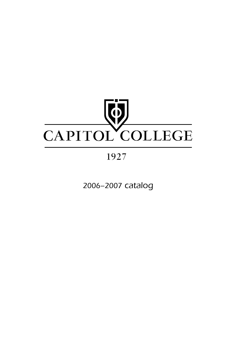

# 1927

2006–2007 catalog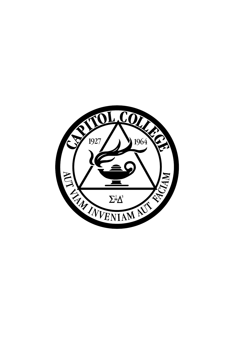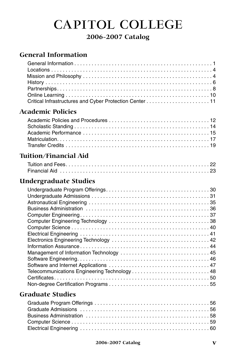# **CAPITOL COLLEGE**

## **2006-2007 Catalog**

## **General Information**

## **Academic Policies**

## **Tuition/Financial Aid**

## **Undergraduate Studies**

| Telecommunications Engineering Technology 48 |
|----------------------------------------------|
|                                              |
|                                              |

## **Graduate Studies**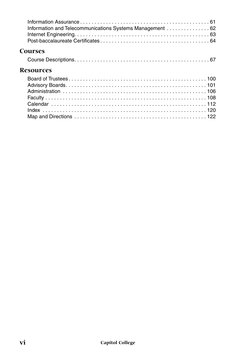| Information and Telecommunications Systems Management  62 |
|-----------------------------------------------------------|
| <b>Courses</b>                                            |
|                                                           |
| <b>Resources</b>                                          |
|                                                           |
|                                                           |
|                                                           |
|                                                           |
|                                                           |
|                                                           |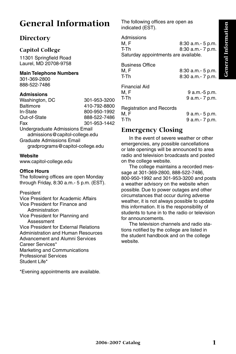# **General Information**

## **Directory**

#### **Capitol College**

11301 Springfield Road Laurel, MD 20708-9758

#### **Main Telephone Numbers**

301-369-2800 888-522-7486

#### **Admissions**

| 301-953-3200                                                     |
|------------------------------------------------------------------|
| 410-792-8800                                                     |
| 800-950-1992                                                     |
| 888-522-7486                                                     |
| 301-953-1442                                                     |
| Undergraduate Admissions Email<br>admissions@capitol-college.edu |
| gradprograms@capitol-college.edu                                 |
|                                                                  |

#### **Website**

www.capitol-college.edu

#### **Office Hours**

The following offices are open Monday through Friday, 8:30 a.m.- 5 p.m. (EST).

#### President

Vice President for Academic Affairs Vice President for Finance and Administration Vice President for Planning and Assessment Vice President for External Relations Administration and Human Resources Advancement and Alumni Services Career Services\* Marketing and Communications Professional Services Student Life\*

\*Evening appointments are available.

The following offices are open as indicated (EST).

Admissions M, F 8:30 a.m. - 5 p.m. T-Th 8:30 a.m.- 7 p.m. Saturday appointments are available. Business Office

M, F 8:30 a.m. - 5 p.m. T-Th 8:30 a.m.- 7 p.m.

Financial Aid

9 a.m.-5 p.m. T-Th 9 a.m.- 7 p.m.

Registration and Records

M, F 9 a.m.- 5 p.m.<br>T-Th 9 a.m.- 7 p.m. 9 a.m.- 7 p.m.

## **Emergency Closing**

In the event of severe weather or other emergencies, any possible cancellations or late openings will be announced to area radio and television broadcasts and posted on the college website.

The college maintains a recorded message at 301-369-2800, 888-522-7486, 800-950-1992 and 301-953-3200 and posts a weather advisory on the website when possible. Due to power outages and other circumstances that occur during adverse weather, it is not always possible to update this information. It is the responsibility of students to tune in to the radio or television for announcements.

The television channels and radio stations notified by the college are listed in the student handbook and on the college website.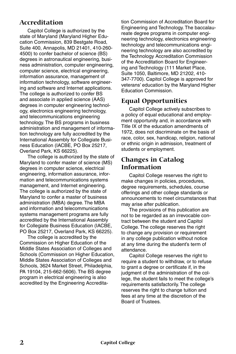## **Accreditation**

Capitol College is authorized by the state of Maryland (Maryland Higher Education Commission, 839 Bestgate Road, Suite 400, Annapolis, MD 21401, 410-260- 4500) to confer bachelor of science (BS) degrees in astronautical engineering, business administration, computer engineering, computer science, electrical engineering, information assurance, management of information technology, software engineering and software and Internet applications. The college is authorized to confer BS and associate in applied science (AAS) degrees in computer engineering technology, electronics engineering technology, and telecommunications engineering technology. The BS programs in business administration and management of information technology are fully accredited by the International Assembly for Collegiate Business Education (IACBE, PO Box 25217, Overland Park, KS 66225).

The college is authorized by the state of Maryland to confer master of science (MS) degrees in computer science, electrical engineering, information assurance, information and telecommunications systems management, and Internet engineering. The college is authorized by the state of Maryland to confer a master of business administration (MBA) degree. The MBA and information and telecommunications systems management programs are fully accredited by the International Assembly for Collegiate Business Education (IACBE, PO Box 25217, Overland Park, KS 66225).

The college is accredited by the Commission on Higher Education of the Middle States Association of Colleges and Schools (Commission on Higher Education, Middle States Association of Colleges and Schools, 3624 Market Street, Philadelphia, PA 19104, 215-662-5606). The BS degree program in electrical engineering is also accredited by the Engineering Accreditation Commission of Accreditation Board for Engineering and Technology. The baccalaureate degree programs in computer engineering technology, electronics engineering technology and telecommunications engineering technology are also accredited by the Technology Accreditation Commission of the Accreditation Board for Engineering and Technology (111 Market Place, Suite 1050, Baltimore, MD 21202, 410- 347-7700). Capitol College is approved for veterans' education by the Maryland Higher Education Commission.

## **Equal Opportunities**

Capitol College actively subscribes to a policy of equal educational and employment opportunity and, in accordance with Title IX of the education amendments of 1972, does not discriminate on the basis of race, color, sex, handicap, religion, national or ethnic origin in admission, treatment of students or employment.

## **Changes in Catalog Information**

Capitol College reserves the right to make changes in policies, procedures, degree requirements, schedules, course offerings and other college standards or announcements to meet circumstances that may arise after publication.

The provisions of this publication are not to be regarded as an irrevocable contract between the student and Capitol College. The college reserves the right to change any provision or requirement in any college publication without notice at any time during the student's term of attendance.

Capitol College reserves the right to require a student to withdraw, or to refuse to grant a degree or certificate if, in the judgment of the administration of the college, the student fails to meet the college's requirements satisfactorily. The college reserves the right to change tuition and fees at any time at the discretion of the Board of Trustees.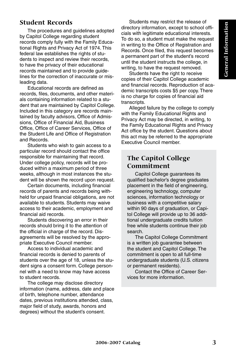## **Student Records**

The procedures and guidelines adopted by Capitol College regarding student records comply fully with the Family Educational Rights and Privacy Act of 1974. This federal law establishes the rights of students to inspect and review their records, to have the privacy of their educational records maintained and to provide guidelines for the correction of inaccurate or misleading data.

Educational records are defined as records, files, documents, and other materials containing information related to a student that are maintained by Capitol College. Included in this category are records maintained by faculty advisors, Office of Admissions, Office of Financial Aid, Business Office, Office of Career Services, Office of the Student Life and Office of Registration and Records.

Students who wish to gain access to a particular record should contact the office responsible for maintaining that record. Under college policy, records will be produced within a maximum period of three weeks, although in most instances the student will be shown the record upon request.

Certain documents, including financial records of parents and records being withheld for unpaid financial obligations, are not available to students. Students may waive access to their academic, employment and financial aid records.

Students discovering an error in their records should bring it to the attention of the official in charge of the record. Disagreements will be resolved by the appropriate Executive Council member.

Access to individual academic and financial records is denied to parents of students over the age of 18, unless the student signs a consent form. College personnel with a need to know may have access to student records.

The college may disclose directory information (name, address, date and place of birth, telephone number, attendance dates, previous institutions attended, class, major field of study, awards, honors and degrees) without the student's consent.

Students may restrict the release of directory information, except to school officials with legitimate educational interests. To do so, a student must make the request in writing to the Office of Registration and Records. Once filed, this request becomes a permanent part of the student's record until the student instructs the college, in writing, to have the request removed.

Students have the right to receive copies of their Capitol College academic and financial records. Reproduction of academic transcripts costs \$5 per copy. There is no charge for copies of financial aid transcripts.

Alleged failure by the college to comply with the Family Educational Rights and Privacy Act may be directed, in writing, to the Family Educational Rights and Privacy Act office by the student. Questions about this act may be referred to the appropriate Executive Council member.

## **The Capitol College Commitment**

Capitol College guarantees its qualified bachelor's degree graduates placement in the field of engineering, engineering technology, computer sciences, information technology or business with a competitive salary within 90 days of graduation, or Capitol College will provide up to 36 additional undergraduate credits tuition free while students continue their job search.

The Capitol College Commitment is a written job guarantee between the student and Capitol College. The commitment is open to all full-time undergraduate students (U.S. citizens or permanent residents).

Contact the Office of Career Services for more information.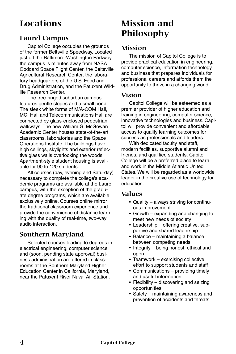# **Locations**

## **Laurel Campus**

Capitol College occupies the grounds of the former Beltsville Speedway. Located just off the Baltimore-Washington Parkway, the campus is minutes away from NASA Goddard Space Flight Center, the Beltsville Agricultural Research Center, the laboratory headquarters of the U.S. Food and Drug Administration, and the Patuxent Wildlife Research Center.

The tree-ringed suburban campus features gentle slopes and a small pond. The sleek white forms of M/A-COM Hall, MCI Hall and Telecommunications Hall are connected by glass-enclosed pedestrian walkways. The new William G. McGowan Academic Center houses state-of-the-art classrooms, laboratories and the Space Operations Institute. The buildings have high ceilings, skylights and exterior reflective glass walls overlooking the woods. Apartment-style student housing is available for 90 to 120 students.

All courses (day, evening and Saturday) necessary to complete the college's academic programs are available at the Laurel campus, with the exception of the graduate degree programs, which are available exclusively online. Courses online mirror the traditional classroom experience and provide the convenience of distance learning with the quality of real-time, two-way audio interaction.

## **Southern Maryland**

Selected courses leading to degrees in electrical engineering, computer science and (soon, pending state approval) business administration are offered in classrooms at the Southern Maryland Higher Education Center in California, Maryland, near the Patuxent River Naval Air Station.

# **Mission and Philosophy**

## **Mission**

The mission of Capitol College is to provide practical education in engineering, computer science, information technology and business that prepares individuals for professional careers and affords them the opportunity to thrive in a changing world.

## **Vision**

Capitol College will be esteemed as a premier provider of higher education and training in engineering, computer science, innovative technologies and business. Capitol will provide convenient and affordable access to quality learning outcomes for success as professionals and leaders.

With dedicated faculty and staff, modern facilities, supportive alumni and friends, and qualified students, Capitol College will be a preferred place to learn and work in the Middle Atlantic United States. We will be regarded as a worldwide leader in the creative use of technology for education.

## **Values**

- Quality always striving for continuous improvement
- Growth expanding and changing to meet new needs of society
- Leadership offering creative, supportive and shared leadership
- Balance maintaining a balance between competing needs
- Integrity being honest, ethical and open
- Teamwork exercising collective effort to support students and staff
- Communications providing timely and useful information
- Flexibility discovering and seizing opportunities
- Safety maintaining awareness and prevention of accidents and threats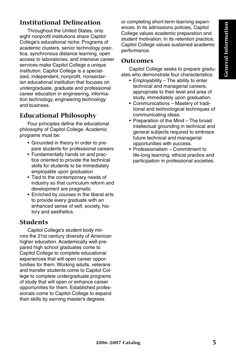## **Institutional Delineation**

Throughout the United States, only eight nonprofit institutions share Capitol College's educational niche. Programs of academic clusters, senior technology practica, synchronous distance learning, open access to laboratories, and intensive career services make Capitol College a unique institution. Capitol College is a specialized, independent, nonprofit, nonsectarian educational institution that focuses on undergraduate, graduate and professional career education in engineering, information technology, engineering technology and business.

## **Educational Philosophy**

Four principles define the educational philosophy of Capitol College. Academic programs must be:

- Grounded in theory in order to prepare students for professional careers
- Fundamentally hands on and practice oriented to provide the technical skills for students to be immediately employable upon graduation
- Tied to the contemporary needs of industry so that curriculum reform and development are pragmatic
- Enriched by courses in the liberal arts to provide every graduate with an enhanced sense of self, society, history and aesthetics.

## **Students**

Capitol College's student body mirrors the 21st century diversity of American higher education. Academically well-prepared high school graduates come to Capitol College to complete educational experiences that will open career opportunities for them. Working adults, veterans and transfer students come to Capitol College to complete undergraduate programs of study that will open or enhance career opportunities for them. Established professionals come to Capitol College to expand their skills by earning master's degrees

or completing short-term learning experiences. In its admissions policies, Capitol College values academic preparation and student motivation. In its retention practice, Capitol College values sustained academic performance.

## **Outcomes**

Capitol College seeks to prepare graduates who demonstrate four characteristics:

- Employability The ability to enter technical and managerial careers, appropriate to their level and area of study, immediately upon graduation.
- Communications Mastery of traditional and technological techniques of communicating ideas.
- Preparation of the Mind The broad intellectual grounding in technical and general subjects required to embrace future technical and managerial opportunities with success.
- Professionalism Commitment to life-long learning, ethical practice and participation in professional societies.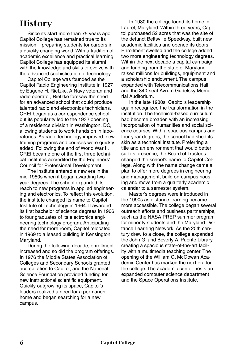# **History**

Since its start more than 75 years ago, Capitol College has remained true to its mission – preparing students for careers in a quickly changing world. With a tradition of academic excellence and practical learning, Capitol College has equipped its alumni with the knowledge and skills to evolve with the advanced sophistication of technology.

Capitol College was founded as the Capitol Radio Engineering Institute in 1927 by Eugene H. Rietzke. A Navy veteran and radio operator, Rietzke foresaw the need for an advanced school that could produce talented radio and electronics technicians. CREI began as a correspondence school, but its popularity led to the 1932 opening of a residence division in Washington, DC, allowing students to work hands on in laboratories. As radio technology improved, new training programs and courses were quickly added. Following the end of World War II, CREI became one of the first three technical institutes accredited by the Engineers' Council for Professional Development.

The institute entered a new era in the mid-1950s when it began awarding twoyear degrees. The school expanded its reach to new programs in applied engineering and electronics. To reflect this evolution, the institute changed its name to Capitol Institute of Technology in 1964. It awarded its first bachelor of science degrees in 1966 to four graduates of its electronics engineering technology program. Anticipating the need for more room, Capitol relocated in 1969 to a leased building in Kensington, Maryland.

During the following decade, enrollment increased and so did the program offerings. In 1976 the Middle States Association of Colleges and Secondary Schools granted accreditation to Capitol, and the National Science Foundation provided funding for new instructional scientific equipment. Quickly outgrowing its space, Capitol's leaders realized a need for a permanent home and began searching for a new campus.

In 1980 the college found its home in Laurel, Maryland. Within three years, Capitol purchased 52 acres that was the site of the defunct Beltsville Speedway, built new academic facilities and opened its doors. Enrollment swelled and the college added two more engineering technology degrees. Within the next decade a capital campaign and funding from the state of Maryland raised millions for buildings, equipment and a scholarship endowment. The campus expanded with Telecommunications Hall and the 340-seat Avrum Gudelsky Memorial Auditorium.

In the late 1980s, Capitol's leadership again recognized the transformation in the institution. The technical-based curriculum had become broader, with an increasing incorporation of humanities and social science courses. With a spacious campus and four-year degrees, the school had shed its skin as a technical institute. Preferring a title and an environment that would better suit its presence, the Board of Trustees changed the school's name to Capitol College. Along with the name change came a plan to offer more degrees in engineering and management, build on-campus housing and move from a quarterly academic calendar to a semester system.

Master's degrees were introduced in the 1990s as distance learning became more accessible. The college began several outreach efforts and business partnerships, such as the NASA PREP summer program for minority students and the Maryland Distance Learning Network. As the 20th century drew to a close, the college expanded the John G. and Beverly A. Puente Library, creating a spacious state-of-the-art facility with a multimedia teaching center. The opening of the William G. McGowan Academic Center has marked the next era for the college. The academic center hosts an expanded computer science department and the Space Operations Institute.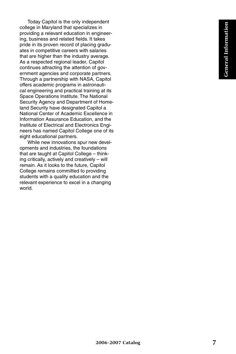Today Capitol is the only independent college in Maryland that specializes in providing a relevant education in engineering, business and related fields. It takes pride in its proven record of placing graduates in competitive careers with salaries that are higher than the industry average. As a respected regional leader, Capitol continues attracting the attention of government agencies and corporate partners. Through a partnership with NASA, Capitol offers academic programs in astronautical engineering and practical training at its Space Operations Institute. The National Security Agency and Department of Homeland Security have designated Capitol a National Center of Academic Excellence in Information Assurance Education, and the Institute of Electrical and Electronics Engineers has named Capitol College one of its eight educational partners.

While new innovations spur new developments and industries, the foundations that are taught at Capitol College – thinking critically, actively and creatively – will remain. As it looks to the future, Capitol College remains committed to providing students with a quality education and the relevant experience to excel in a changing world.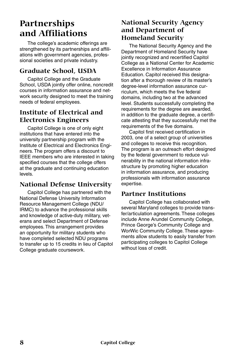# **Partnerships and Affiliations**

The college's academic offerings are strengthened by its partnerships and affiliations with government agencies, professional societies and private industry.

## **Graduate School, USDA**

Capitol College and the Graduate School, USDA jointly offer online, noncredit courses in information assurance and network security designed to meet the training needs of federal employees.

## **Institute of Electrical and Electronics Engineers**

Capitol College is one of only eight institutions that have entered into the university partnership program with the Institute of Electrical and Electronics Engineers. The program offers a discount to IEEE members who are interested in taking specified courses that the college offers at the graduate and continuing education levels.

## **National Defense University**

Capitol College has partnered with the National Defense University Information Resource Management College (NDU/ IRMC) to advance the professional skills and knowledge of active-duty military, veterans and select Department of Defense employees. This arrangement provides an opportunity for military students who have completed selected NDU programs to transfer up to 15 credits in lieu of Capitol College graduate coursework.

## **National Security Agency and Department of Homeland Security**

The National Security Agency and the Department of Homeland Security have jointly recognized and recertified Capitol College as a National Center for Academic Excellence in Information Assurance Education. Capitol received this designation after a thorough review of its master's degree-level information assurance curriculum, which meets the five federal domains, including two at the advanced level. Students successfully completing the requirements for the degree are awarded, in addition to the graduate degree, a certificate attesting that they successfully met the requirements of the five domains.

Capitol first received certification in 2003, one of a select group of universities and colleges to receive this recognition. The program is an outreach effort designed by the federal government to reduce vulnerability in the national information infrastructure by promoting higher education in information assurance, and producing professionals with information assurance expertise.

## **Partner Institutions**

Capitol College has collaborated with several Maryland colleges to provide transfer/articulation agreements. These colleges include Anne Arundel Community College, Prince George's Community College and WorWic Community College. These agreements allow students to easily transfer from participating colleges to Capitol College without loss of credit.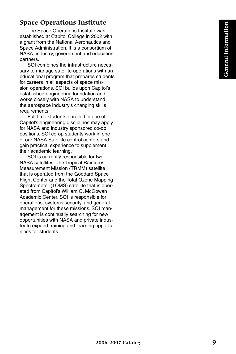## **Space Operations Institute**

The Space Operations Institute was established at Capitol College in 2002 with a grant from the National Aeronautics and Space Administration. It is a consortium of NASA, industry, government and education partners.

SOI combines the infrastructure necessary to manage satellite operations with an educational program that prepares students for careers in all aspects of space mission operations. SOI builds upon Capitol's established engineering foundation and works closely with NASA to understand the aerospace industry's changing skills requirements.

Full-time students enrolled in one of Capitol's engineering disciplines may apply for NASA and industry sponsored co-op positions. SOI co-op students work in one of our NASA Satellite control centers and gain practical experience to supplement their academic learning.

SOI is currently responsible for two NASA satellites. The Tropical Rainforest Measurement Mission (TRMM) satellite that is operated from the Goddard Space Flight Center and the Total Ozone Mapping Spectrometer (TOMS) satellite that is operated from Capitol's William G. McGowan Academic Center. SOI is responsible for operations, systems security, and general management for these missions. SOI management is continually searching for new opportunities with NASA and private industry to expand training and learning opportunities for students.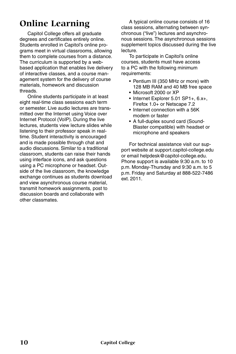# **Online Learning**

Capitol College offers all graduate degrees and certificates entirely online. Students enrolled in Capitol's online programs meet in virtual classrooms, allowing them to complete courses from a distance. The curriculum is supported by a webbased application that enables live delivery of interactive classes, and a course management system for the delivery of course materials, homework and discussion threads.

Online students participate in at least eight real-time class sessions each term or semester. Live audio lectures are transmitted over the Internet using Voice over Internet Protocol (VoIP). During the live lectures, students view lecture slides while listening to their professor speak in realtime. Student interactivity is encouraged and is made possible through chat and audio discussions. Similar to a traditional classroom, students can raise their hands using interface icons, and ask questions using a PC microphone or headset. Outside of the live classroom, the knowledge exchange continues as students download and view asynchronous course material, transmit homework assignments, post to discussion boards and collaborate with other classmates.

A typical online course consists of 16 class sessions, alternating between synchronous ("live") lectures and asynchronous sessions. The asynchronous sessions supplement topics discussed during the live lecture.

To participate in Capitol's online courses, students must have access to a PC with the following minimum requirements:

- Pentium III (350 MHz or more) with 128 MB RAM and 40 MB free space
- Microsoft 2000 or XP
- Internet Explorer 5.01 SP1+, 6.x+, Firefox 1.0+ or Netscape 7.2
- Internet connection with a 56K modem or faster
- A full-duplex sound card (Sound-Blaster compatible) with headset or microphone and speakers

For technical assistance visit our support website at support.capitol-college.edu or email helpdesk@capitol-college.edu. Phone support is available 9:30 a.m. to 10 p.m. Monday-Thursday and 9:30 a.m. to 5 p.m. Friday and Saturday at 888-522-7486 ext. 2011.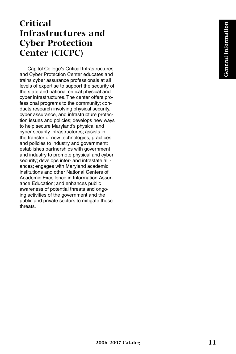# **Critical Infrastructures and Cyber Protection Center (CICPC)**

Capitol College's Critical Infrastructures and Cyber Protection Center educates and trains cyber assurance professionals at all levels of expertise to support the security of the state and national critical physical and cyber infrastructures. The center offers professional programs to the community; conducts research involving physical security, cyber assurance, and infrastructure protection issues and policies; develops new ways to help secure Maryland's physical and cyber security infrastructures; assists in the transfer of new technologies, practices, and policies to industry and government; establishes partnerships with government and industry to promote physical and cyber security; develops inter- and intrastate alliances; engages with Maryland academic institutions and other National Centers of Academic Excellence in Information Assurance Education; and enhances public awareness of potential threats and ongoing activities of the government and the public and private sectors to mitigate those threats.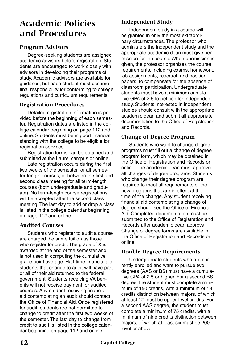# **Academic Policies and Procedures**

#### **Program Advisors**

Degree-seeking students are assigned academic advisors before registration. Students are encouraged to work closely with advisors in developing their programs of study. Academic advisors are available for guidance, but each student must assume final responsibility for conforming to college regulations and curriculum requirements.

#### **Registration Procedures**

Detailed registration information is provided before the beginning of each semester. Registration dates are listed in the college calendar beginning on page 112 and online. Students must be in good financial standing with the college to be eligible for registration services.

Registration forms can be obtained and submitted at the Laurel campus or online.

Late registration occurs during the first two weeks of the semester for all semester-length courses, or between the first and second class meeting for all term-length courses (both undergraduate and graduate). No term-length course registrations will be accepted after the second class meeting. The last day to add or drop a class is listed in the college calendar beginning on page 112 and online.

#### **Audited Courses**

Students who register to audit a course are charged the same tuition as those who register for credit. The grade of X is awarded at the end of the semester and is not used in computing the cumulative grade point average. Half-time financial aid students that change to audit will have part or all of their aid returned to the federal government. Students receiving VA benefits will not receive payment for audited courses. Any student receiving financial aid contemplating an audit should contact the Office of Financial Aid. Once registered for audit, students are not permitted to change to credit after the first two weeks of the semester. The last day to change from credit to audit is listed in the college calendar beginning on page 112 and online.

#### **Independent Study**

Independent study in a course will be granted in only the most extraordinary circumstances. The professor who administers the independent study and the appropriate academic dean must give permission for the course. When permission is given, the professor organizes the course requirements, including exams, homework, lab assignments, research and position papers, to compensate for the absence of classroom participation. Undergraduate students must have a minimum cumulative GPA of 2.5 to petition for independent study. Students interested in independent studies should consult with the appropriate academic dean and submit all appropriate documentation to the Office of Registration and Records.

#### **Change of Degree Program**

Students who want to change degree programs must fill out a change of degree program form, which may be obtained in the Office of Registration and Records or online. The academic dean must approve all changes of degree programs. Students who change their degree program are required to meet all requirements of the new programs that are in effect at the time of the change. Any student receiving financial aid contemplating a change of degree should see the Office of Financial Aid. Completed documentation must be submitted to the Office of Registration and Records after academic dean approval. Change of degree forms are available in the Office of Registration and Records or online.

#### **Double Degree Requirements**

Undergraduate students who are currently enrolled and want to pursue two degrees (AAS or BS) must have a cumulative GPA of 2.5 or higher. For a second BS degree, the student must complete a minimum of 150 credits, with a minimum of 18 credits distinction between majors, of which at least 12 must be upper-level credits. For a second AAS degree, the student must complete a minimum of 75 credits, with a minimum of nine credits distinction between majors, of which at least six must be 200 level or above.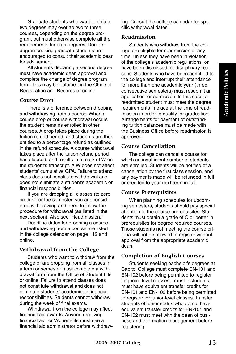Graduate students who want to obtain two degrees may overlap two to three courses, depending on the degree program, but must otherwise complete all the requirements for both degrees. Doubledegree-seeking graduate students are encouraged to consult their academic dean for advisement.

All students declaring a second degree must have academic dean approval and complete the change of degree program form. This may be obtained in the Office of Registration and Records or online.

#### **Course Drop**

There is a difference between dropping and withdrawing from a course. When a course drop or course withdrawal occurs the student remains enrolled in other courses. A drop takes place during the tuition refund period, and students are thus entitled to a percentage refund as outlined in the refund schedule. A course withdrawal takes place after the tuition refund period has elapsed, and results in a mark of W on the student's transcript. A W does not affect students' cumulative GPA. Failure to attend class does not constitute withdrawal and does not eliminate a student's academic or financial responsibilities.

If you are dropping all classes (to zero credits) for the semester, you are considered withdrawing and need to follow the procedure for withdrawal (as listed in the next section). Also see "Readmission."

Deadline dates for dropping a course and withdrawing from a course are listed in the college calendar on page 112 and online.

#### **Withdrawal from the College**

Students who want to withdraw from the college or are dropping from all classes in a term or semester must complete a withdrawal form from the Office of Student Life or online. Failure to attend classes does not constitute withdrawal and does not eliminate students' academic or financial responsibilities. Students cannot withdraw during the week of final exams.

Withdrawal from the college may affect financial aid awards. Anyone receiving financial aid or VA benefits must see a financial aid administrator before withdrawing. Consult the college calendar for specific withdrawal dates.

#### **Readmission**

Students who withdraw from the college are eligible for readmission at any time, unless they have been in violation of the college's academic regulations, or have been dismissed for disciplinary reasons. Students who have been admitted to the college and interrupt their attendance for more than one academic year (three consecutive semesters) must resubmit an application for admission. In this case, a readmitted student must meet the degree requirements in place at the time of readmission in order to qualify for graduation. Arrangements for payment of outstanding tuition balances must be made with the Business Office before readmission is approved.

#### **Course Cancellation**

The college can cancel a course for which an insufficient number of students are enrolled. Students will be notified of a cancellation by the first class session, and any payments made will be refunded in full or credited to your next term in full.

#### **Course Prerequisites**

When planning schedules for upcoming semesters, students should pay special attention to the course prerequisites. Students must obtain a grade of C or better in prerequisites for degree required courses. Those students not meeting the course criteria will not be allowed to register without approval from the appropriate academic dean.

#### **Completion of English Courses**

Students seeking bachelor's degrees at Capitol College must complete EN-101 and EN-102 before being permitted to register for junior-level classes. Transfer students must have equivalent transfer credits for EN-101 and EN-102 before being permitted to register for junior-level classes. Transfer students of junior status who do not have equivalent transfer credits for EN-101 and EN-102 must meet with the dean of business and information management before registering.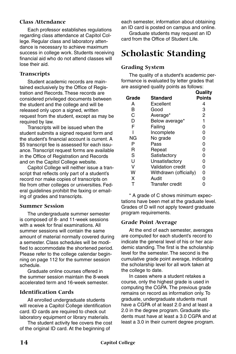#### **Class Attendance**

Each professor establishes regulations regarding class attendance at Capitol College. Regular class and laboratory attendance is necessary to achieve maximum success in college work. Students receiving financial aid who do not attend classes will lose their aid.

#### **Transcripts**

Student academic records are maintained exclusively by the Office of Registration and Records. These records are considered privileged documents between the student and the college and will be released only upon a signed, written request from the student, except as may be required by law.

Transcripts will be issued when the student submits a signed request form and the student's financial account is current. A \$5 transcript fee is assessed for each issuance. Transcript request forms are available in the Office of Registration and Records and on the Capitol College website.

Capitol College will neither issue a transcript that reflects only part of a student's record nor make copies of transcripts on file from other colleges or universities. Federal guidelines prohibit the faxing or emailing of grades and transcripts.

#### **Summer Session**

The undergraduate summer semester is composed of 8- and 11-week sessions with a week for final examinations. All summer sessions will contain the same amount of material normally covered during a semester. Class schedules will be modified to accommodate the shortened period. Please refer to the college calendar beginning on page 112 for the summer session schedule.

Graduate online courses offered in the summer session maintain the 8-week accelerated term and 16-week semester.

#### **Identification Cards**

All enrolled undergraduate students will receive a Capitol College identification card. ID cards are required to check out laboratory equipment or library materials.

The student activity fee covers the cost of the original ID card. At the beginning of

each semester, information about obtaining an ID card is posted on campus and online.

Graduate students may request an ID card from the Office of Student Life.

# **Scholastic Standing**

#### **Grading System**

The quality of a student's academic performance is evaluated by letter grades that are assigned quality points as follows:

|       |                        | Quality        |
|-------|------------------------|----------------|
| Grade | Standard               | <b>Points</b>  |
| А     | Excellent              | 4              |
| в     | Good                   | 3              |
| C     | Average*               | $\overline{2}$ |
| D     | Below average*         | 1              |
| F     | Failing                | 0              |
|       | Incomplete             | 0              |
| NG    | No grade               | 0              |
| Р     | Pass                   | 0              |
| R     | Repeat                 | 0              |
| S     | Satisfactory           | 0              |
| Ū     | Unsatisfactory         | 0              |
| v     | Validation credit      | 0              |
| w     | Withdrawn (officially) | 0              |
| x     | Audit                  | 0              |
|       | Transfer credit        |                |

\* A grade of C shows minimum expectations have been met at the graduate level. Grades of D will not apply toward graduate program requirements.

#### **Grade Point Average**

At the end of each semester, averages are computed for each student's record to indicate the general level of his or her academic standing. The first is the scholarship level for the semester. The second is the cumulative grade point average, indicating the scholarship level for all work taken at the college to date.

In cases where a student retakes a course, only the highest grade is used in computing the CGPA. The previous grade remains on record as information only. To graduate, undergraduate students must have a CGPA of at least 2.0 and at least a 2.0 in the degree program. Graduate students must have at least a 3.0 CGPA and at least a 3.0 in their current degree program.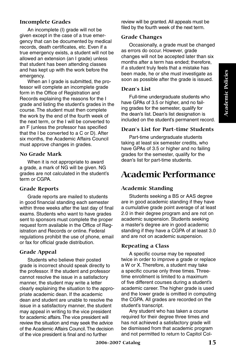#### **Incomplete Grades**

An incomplete (I) grade will not be given except in the case of a true emergency that can be documented by medical records, death certificates, etc. Even if a true emergency exists, a student will not be allowed an extension (an I grade) unless that student has been attending classes and has kept up with the work before the emergency.

When an I grade is submitted, the professor will complete an incomplete grade form in the Office of Registration and Records explaining the reasons for the I grade and listing the student's grades in the course. The student must then complete the work by the end of the fourth week of the next term, or the I will be converted to an F (unless the professor has specified that the I be converted to a C or D). After six months, the Academic Affairs Council must approve changes in grades.

#### **No Grade Mark**

When it is not appropriate to award a grade, a mark of NG will be given. NG grades are not calculated in the student's term or CGPA.

#### **Grade Reports**

Grade reports are mailed to students in good financial standing each semester within three weeks after the last day of final exams. Students who want to have grades sent to sponsors must complete the proper request form available in the Office of Registration and Records or online. Federal regulations prohibit the use of phone, email or fax for official grade distribution.

#### **Grade Appeal**

Students who believe their posted grade is incorrect should speak directly to the professor. If the student and professor cannot resolve the issue in a satisfactory manner, the student may write a letter clearly explaining the situation to the appropriate academic dean. If the academic dean and student are unable to resolve the issue in a satisfactory manner, the student may appeal in writing to the vice president for academic affairs. The vice president will review the situation and may seek the advice of the Academic Affairs Council. The decision of the vice president is final and no further

review will be granted. All appeals must be filed by the fourth week of the next term.

#### **Grade Changes**

Occasionally, a grade must be changed as errors do occur. However, grade changes will not be accepted later than six months after a term has ended; therefore, if a student truly feels that a mistake has been made, he or she must investigate as soon as possible after the grade is issued.

#### **Dean's List**

Full-time undergraduate students who have GPAs of 3.5 or higher, and no failing grades for the semester, qualify for the dean's list. Dean's list designation is included on the student's permanent record.

#### **Dean's List for Part-time Students**

Part-time undergraduate students taking at least six semester credits, who have GPAs of 3.5 or higher and no failing grades for the semester, qualify for the dean's list for part-time students.

# **Academic Performance**

#### **Academic Standing**

Students seeking a BS or AAS degree are in good academic standing if they have a cumulative grade point average of at least 2.0 in their degree program and are not on academic suspension. Students seeking a master's degree are in good academic standing if they have a CGPA of at least 3.0 and are not on academic suspension.

#### **Repeating a Class**

A specific course may be repeated twice in order to improve a grade or replace a W or X. Therefore, a student may take a specific course only three times. Threetime enrollment is limited to a maximum of five different courses during a student's academic career. The higher grade is used and the lower grade is omitted in computing the CGPA. All grades are recorded on the student's transcript.

Any student who has taken a course required for their degree three times and has not achieved a satisfactory grade will be dismissed from that academic program and not permitted to return to Capitol Col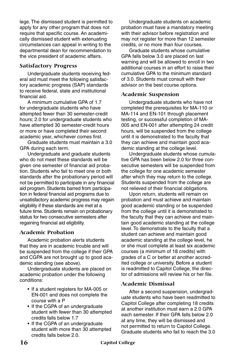lege. The dismissed student is permitted to apply for any other program that does not require that specific course. An academically dismissed student with extenuating circumstances can appeal in writing to the departmental dean for recommendation to the vice president of academic affairs.

#### **Satisfactory Progress**

Undergraduate students receiving federal aid must meet the following satisfactory academic progress (SAP) standards to receive federal, state and institutional financial aid.

A minimum cumulative GPA of 1.7 for undergraduate students who have attempted fewer than 30 semester-credit hours; 2.0 for undergraduate students who have attempted 30 semester-credit hours or more or have completed their second academic year, whichever comes first.

Graduate students must maintain a 3.0 GPA during each term.

Undergraduate and graduate students who do not meet these standards will be given one semester of financial aid probation. Students who fail to meet one or both standards after the probationary period will not be permitted to participate in any financial aid program. Students barred from participation in federal financial aid programs due to unsatisfactory academic progress may regain eligibility if these standards are met at a future time. Students remain on probationary status for two consecutive semesters after regaining financial aid eligibility.

#### **Academic Probation**

Academic probation alerts students that they are in academic trouble and will be suspended from the college if their GPA and CGPA are not brought up to good academic standing (see above).

Undergraduate students are placed on academic probation under the following conditions:

- If a student registers for MA-005 or EN-001 and does not complete the course with a P
- If the CGPA of an undergraduate student with fewer than 30 attempted credits falls below 1.7
- If the CGPA of an undergraduate student with more than 30 attempted credits falls below 2.0.

Undergraduate students on academic probation must have a mandatory meeting with their advisor before registration and may not register for more than 12 semester credits, or no more than four courses.

Graduate students whose cumulative GPA falls below 3.0 are placed on last warning and will be allowed to enroll in two additional courses in an effort to raise their cumulative GPA to the minimum standard of 3.0. Students must consult with their advisor on the best course options.

#### **Academic Suspension**

Undergraduate students who have not completed the prerequisites for MA-110 or MA-114 and EN-101 through placement testing, or successful completion of MA-005 and EN-001 after attempting 24 credit hours, will be suspended from the college until it is demonstrated to the faculty that they can achieve and maintain good academic standing at the college level.

Undergraduate students whose cumulative GPA has been below 2.0 for three consecutive semesters will be suspended from the college for one academic semester after which they may return to the college. Students suspended from the college are not relieved of their financial obligations.

Upon return, students will remain on probation and must achieve and maintain good academic standing or be suspended from the college until it is demonstrated to the faculty that they can achieve and maintain good academic standing at the college level. To demonstrate to the faculty that a student can achieve and maintain good academic standing at the college level, he or she must complete at least six academic courses (a minimum of 18 credits) with grades of a C or better at another accredited college or university. Before a student is readmitted to Capitol College, the director of admissions will review his or her file.

#### **Academic Dismissal**

After a second suspension, undergraduate students who have been readmitted to Capitol College after completing 18 credits at another institution must earn a 2.0 GPA each semester. If their GPA falls below 2.0 at any time, they will be dismissed and not permitted to return to Capitol College. Graduate students who fail to reach the 3.0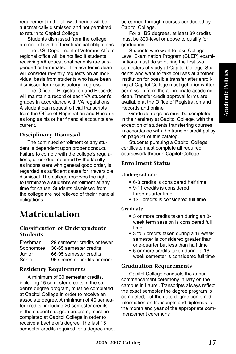requirement in the allowed period will be automatically dismissed and not permitted to return to Capitol College.

Students dismissed from the college are not relieved of their financial obligations.

The U.S. Department of Veterans Affairs regional office will be notified if students receiving VA educational benefits are suspended or terminated. The academic dean will consider re-entry requests on an individual basis from students who have been dismissed for unsatisfactory progress.

The Office of Registration and Records will maintain a record of each VA student's grades in accordance with VA regulations. A student can request official transcripts from the Office of Registration and Records as long as his or her financial accounts are current.

#### **Disciplinary Dismissal**

The continued enrollment of any student is dependent upon proper conduct. Failure to comply with the college's regulations, or conduct deemed by the faculty as inconsistent with general good order, is regarded as sufficient cause for irreversible dismissal. The college reserves the right to terminate a student's enrollment at any time for cause. Students dismissed from the college are not relieved of their financial obligations.

# **Matriculation**

#### **Classification of Undergraduate Students**

| Freshman  | 29 semester credits or fewer |
|-----------|------------------------------|
| Sophomore | 30-65 semester credits       |
| Junior    | 66-95 semester credits       |
| Senior    | 96 semester credits or more  |

#### **Residency Requirements**

A minimum of 30 semester credits, including 15 semester credits in the student's degree program, must be completed at Capitol College in order to receive an associate degree. A minimum of 40 semester credits, including 20 semester credits in the student's degree program, must be completed at Capitol College in order to receive a bachelor's degree. The last 15 semester credits required for a degree must be earned through courses conducted by Capitol College.

For all BS degrees, at least 39 credits must be 300-level or above to qualify for graduation.

Students who want to take College Level Examination Program (CLEP) examinations must do so during the first two semesters of study at Capitol College. Students who want to take courses at another institution for possible transfer after enrolling at Capitol College must get prior written permission from the appropriate academic dean. Transfer credit approval forms are available at the Office of Registration and Records and online.

Graduate degrees must be completed in their entirety at Capitol College, with the exception of students transferring courses in accordance with the transfer credit policy on page 21 of this catalog.

Students pursuing a Capitol College certificate must complete all required coursework through Capitol College.

#### **Enrollment Status**

#### **Undergraduate**

- 6-8 credits is considered half time
- 9-11 credits is considered three-quarter time
- 12+ credits is considered full time

#### **Graduate**

- 3 or more credits taken during an 8 week term session is considered full time
- 3 to 5 credits taken during a 16-week semester is considered greater than one-quarter but less than half time
- 6 or more credits taken during a 16 week semester is considered full time

#### **Graduation Requirements**

Capitol College conducts the annual commencement ceremony in May on the campus in Laurel. Transcripts always reflect the exact semester the degree program is completed, but the date degree conferred information on transcripts and diplomas is the month and year of the appropriate commencement ceremony.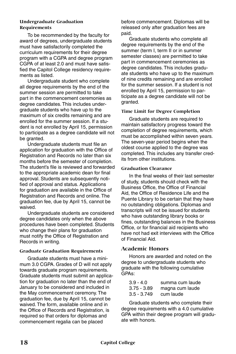#### **Undergraduate Graduation Requirements**

To be recommended by the faculty for award of degrees, undergraduate students must have satisfactorily completed the curriculum requirements for their degree program with a CGPA and degree program CGPA of at least 2.0 and must have satisfied the Capitol College residency requirements as listed.

Undergraduate student who complete all degree requirements by the end of the summer session are permitted to take part in the commencement ceremonies as degree candidates. This includes undergraduate students who have up to the maximum of six credits remaining and are enrolled for the summer session. If a student is not enrolled by April 15, permission to participate as a degree candidate will not be granted.

Undergraduate students must file an application for graduation with the Office of Registration and Records no later than six months before the semester of completion. The student's file is reviewed and forwarded to the appropriate academic dean for final approval. Students are subsequently notified of approval and status. Applications for graduation are available in the Office of Registration and Records and online. The graduation fee, due by April 15, cannot be waived.

Undergraduate students are considered degree candidates only when the above procedures have been completed. Students who change their plans for graduation must notify the Office of Registration and Records in writing.

#### **Graduate Graduation Requirements**

Graduate students must have a minimum 3.0 CGPA. Grades of D will not apply towards graduate program requirements. Graduate students must submit an application for graduation no later than the end of January to be considered and included in the May commencement ceremony. The graduation fee, due by April 15, cannot be waived. The form, available online and in the Office of Records and Registration, is required so that orders for diplomas and commencement regalia can be placed

before commencement. Diplomas will be released only after graduation fees are paid.

Graduate students who complete all degree requirements by the end of the summer (term I, term II or in summer semester classes) are permitted to take part in commencement ceremonies as degree candidates. This includes graduate students who have up to the maximum of nine credits remaining and are enrolled for the summer session. If a student is not enrolled by April 15, permission to participate as a degree candidate will not be granted.

#### **Time Limit for Degree Completion**

Graduate students are required to maintain satisfactory progress toward the completion of degree requirements, which must be accomplished within seven years. The seven-year period begins when the oldest course applied to the degree was completed. This includes any transfer credits from other institutions.

#### **Graduation Clearance**

In the final weeks of their last semester of study, students should check with the Business Office, the Office of Financial Aid, the Office of Residence Life and the Puente Library to be certain that they have no outstanding obligations. Diplomas and transcripts will not be issued for students who have outstanding library books or fines, outstanding balances in the Business Office, or for financial aid recipients who have not had exit interviews with the Office of Financial Aid.

#### **Academic Honors**

Honors are awarded and noted on the degree to undergraduate students who graduate with the following cumulative GPAs:

| $3.9 - 4.0$   | summa cum laude |
|---------------|-----------------|
| $3.75 - 3.89$ | magna cum laude |
| $3.5 - 3.749$ | cum laude       |

Graduate students who complete their degree requirements with a 4.0 cumulative GPA within their degree program will graduate with honors.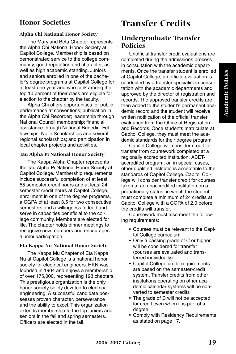# **Academic Policies Academic Policies**

## **Honor Societies**

#### **Alpha Chi National Honor Society**

The Maryland Beta Chapter represents the Alpha Chi National Honor Society at Capitol College. Membership is based on demonstrated service to the college community, good reputation and character, as well as high academic standing. Juniors and seniors enrolled in one of the bachelor's degree programs at Capitol College for at least one year and who rank among the top 10 percent of their class are eligible for election to the chapter by the faculty.

Alpha Chi offers opportunities for public performance at conventions; publication in the Alpha Chi Recorder; leadership through National Council membership; financial assistance through National Benedict Fellowships, Nolle Scholarships and several regional scholarships; and participation in local chapter projects and activities.

#### **Tau Alpha Pi National Honor Society**

The Kappa Alpha Chapter represents the Tau Alpha Pi National Honor Society at Capitol College. Membership requirements include successful completion of at least 55 semester credit hours and at least 24 semester credit hours at Capitol College, enrollment in one of the degree programs, a CGPA of at least 3.5 for two consecutive semesters and a willingness to lead and serve in capacities beneficial to the college community. Members are elected for life. The chapter holds dinner meetings to recognize new members and encourages alumni participation.

#### **Eta Kappa Nu National Honor Society**

The Kappa Mu Chapter of Eta Kappa Nu at Capitol College is a national honor society for electrical engineers. HKN was founded in 1904 and enjoys a membership of over 175,000, representing 198 chapters. This prestigious organization is the only honor society solely devoted to electrical engineering. A successful candidate possesses proven character, perseverance and the ability to excel. This organization extends membership to the top juniors and seniors in the fall and spring semesters. Officers are elected in the fall.

## **Transfer Credits**

## **Undergraduate Transfer Policies**

Unofficial transfer credit evaluations are completed during the admissions process in consultation with the academic departments. Once the transfer student is enrolled at Capitol College, an official evaluation is conducted by a transfer specialist in consultation with the academic departments and approved by the director of registration and records. The approved transfer credits are then added to the student's permanent academic record and the student will receive written notification of the official transfer evaluation from the Office of Registration and Records. Once students matriculate at Capitol College, they must meet the academic standards for their degree program.

Capitol College will consider credit for transfer from coursework completed at a regionally accredited institution, ABETaccredited program, or, in special cases, other qualified institutions acceptable to the standards of Capitol College. Capitol College will consider transfer credit for courses taken at an unaccredited institution on a probationary status, in which the student must complete a minimum of 24 credits at Capitol College with a CGPA of 2.0 before the credits will transfer.

Coursework must also meet the following requirements:

- Courses must be relevant to the Capitol College curriculum
- Only a passing grade of C or higher will be considered for transfer (courses are evaluated and transferred individually)
- Capitol College credit requirements are based on the semester-credit system. Transfer credits from other institutions operating on other academic calendar systems will be converted to semester credits
- The grade of D will not be accepted for credit even when it is part of a degree.
- Comply with Residency Requirements as stated on page 17.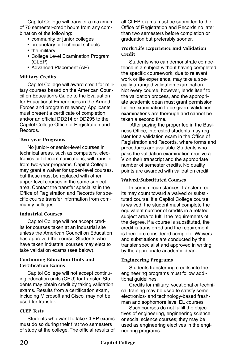Capitol College will transfer a maximum of 70 semester-credit hours from any combination of the following:

- community or junior colleges
- proprietary or technical schools
- the military
- College Level Examination Program (CLEP)
- Advanced Placement (AP)

#### **Military Credits**

Capitol College will award credit for military courses based on the American Council on Education's Guide to the Evaluation for Educational Experiences in the Armed Forces and program relevancy. Applicants must present a certificate of completion and/or an official DD214 or DD295 to the Capitol College Office of Registration and Records.

#### **Two-year Programs**

No junior- or senior-level courses in technical areas, such as computers, electronics or telecommunications, will transfer from two-year programs. Capitol College may grant a waiver for upper-level courses, but these must be replaced with other upper-level courses in the same subject area. Contact the transfer specialist in the Office of Registration and Records for specific course transfer information from community colleges.

#### **Industrial Courses**

Capitol College will not accept credits for courses taken at an industrial site unless the American Council on Education has approved the course. Students who have taken industrial courses may elect to take validation exams (see below).

#### **Continuing Education Units and Certification Exams**

Capitol College will not accept continuing education units (CEU) for transfer. Students may obtain credit by taking validation exams. Results from a certification exam, including Microsoft and Cisco, may not be used for transfer.

#### **CLEP Tests**

Students who want to take CLEP exams must do so during their first two semesters of study at the college. The official results of all CLEP exams must be submitted to the Office of Registration and Records no later than two semesters before completion or graduation but preferably sooner.

#### **Work/Life Experience and Validation Credit**

Students who can demonstrate competence in a subject without having completed the specific coursework, due to relevant work or life experience, may take a specially arranged validation examination. Not every course, however, lends itself to the validation process, and the appropriate academic dean must grant permission for the examination to be given. Validation examinations are thorough and cannot be taken a second time.

 After paying the proper fee in the Business Office, interested students may register for a validation exam in the Office of Registration and Records, where forms and procedures are available. Students who pass the validation examination receive a V on their transcript and the appropriate number of semester credits. No quality points are awarded with validation credit.

#### **Waived/Substituted Courses**

In some circumstances, transfer credits may count toward a waived or substituted course. If a Capitol College course is waived, the student must complete the equivalent number of credits in a related subject area to fulfill the requirements of the degree. If a course is substituted, the credit is transferred and the requirement is therefore considered complete. Waivers and substitutions are conducted by the transfer specialist and approved in writing by the appropriate academic dean.

#### **Engineering Programs**

Students transferring credits into the engineering programs must follow additional guidelines.

Credits for military, vocational or technical training may be used to satisfy some electronics- and technology-based freshman and sophomore level EL courses.

Such courses do not fulfill the objectives of engineering, engineering science, or social science courses; they may be used as engineering electives in the engineering programs.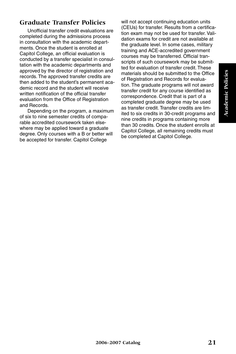# **Academic Policies Academic Policies**

## **Graduate Transfer Policies**

Unofficial transfer credit evaluations are completed during the admissions process in consultation with the academic departments. Once the student is enrolled at Capitol College, an official evaluation is conducted by a transfer specialist in consultation with the academic departments and approved by the director of registration and records. The approved transfer credits are then added to the student's permanent academic record and the student will receive written notification of the official transfer evaluation from the Office of Registration and Records.

Depending on the program, a maximum of six to nine semester credits of comparable accredited coursework taken elsewhere may be applied toward a graduate degree. Only courses with a B or better will be accepted for transfer. Capitol College

will not accept continuing education units (CEUs) for transfer. Results from a certification exam may not be used for transfer. Validation exams for credit are not available at the graduate level. In some cases, military training and ACE-accredited government courses may be transferred. Official transcripts of such coursework may be submitted for evaluation of transfer credit. These materials should be submitted to the Office of Registration and Records for evaluation. The graduate programs will not award transfer credit for any course identified as correspondence. Credit that is part of a completed graduate degree may be used as transfer credit. Transfer credits are limited to six credits in 30-credit programs and nine credits in programs containing more than 30 credits. Once the student enrolls at Capitol College, all remaining credits must be completed at Capitol College.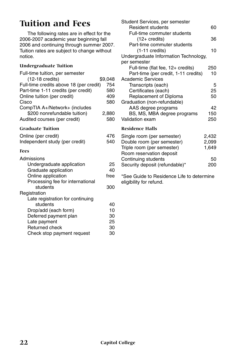# **Tuition and Fees**

The following rates are in effect for the 2006-2007 academic year beginning fall 2006 and continuing through summer 2007. Tuition rates are subject to change without notice.

#### **Undergraduate Tuition**

| 476<br>540                       |
|----------------------------------|
|                                  |
| 25<br>40<br>free<br>300          |
| 40<br>10<br>30<br>25<br>30<br>30 |
|                                  |

| Student Services, per semester        |       |
|---------------------------------------|-------|
| <b>Resident students</b>              | 60    |
| Full-time commuter students           |       |
| (12+ credits)                         | 36    |
| Part-time commuter students           |       |
| $(1-11 \text{ credits})$              | 10    |
| Undergraduate Information Technology, |       |
| per semester                          |       |
| Full-time (flat fee, 12+ credits)     | 250   |
| Part-time (per credit, 1-11 credits)  | 10    |
| <b>Academic Services</b>              |       |
| Transcripts (each)                    | 5     |
| Certificates (each)                   | 25    |
| Replacement of Diploma                | 50    |
| Graduation (non-refundable)           |       |
| AAS degree programs                   | 42    |
| BS, MS, MBA degree programs           | 150   |
| Validation exam                       | 250   |
| Residence Halls                       |       |
| Single room (per semester)            | 2,432 |
| Double room (per semester)            | 2,099 |
| Triple room (per semester)            | 1,649 |
| Room reservation deposit              |       |
| Continuing students                   | 50    |
| Security deposit (refundable)*        | 200   |

\*See Guide to Residence Life to determine eligibility for refund.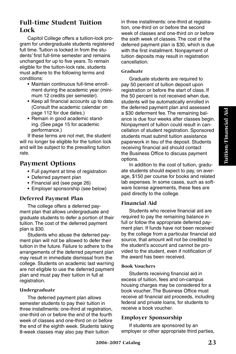## **Full-time Student Tuition Lock**

Capitol College offers a tuition-lock program for undergraduate students registered full time. Tuition is locked in from the students' first full-time semester and remains unchanged for up to five years. To remain eligible for the tuition-lock rate, students must adhere to the following terms and conditions:

- Maintain continuous full-time enrollment during the academic year (minimum 12 credits per semester).
- Keep all financial accounts up to date. (Consult the academic calendar on page 112 for due dates.)
- Remain in good academic standing. (See page 15 for academic performance.)

If these terms are not met, the student will no longer be eligible for the tuition lock and will be subject to the prevailing tuition rate.

## **Payment Options**

- Full payment at time of registration
- Deferred payment plan
- Financial aid (see page 26)
- Employer sponsorship (see below)

#### **Deferred Payment Plan**

The college offers a deferred payment plan that allows undergraduate and graduate students to defer a portion of their tuition. The cost of the deferred payment plan is \$30.

Students who abuse the deferred payment plan will not be allowed to defer their tuition in the future. Failure to adhere to the arrangements of the deferred payment plan may result in immediate dismissal from the college. Students on academic last warning are not eligible to use the deferred payment plan and must pay their tuition in full at registration.

#### **Undergraduate**

The deferred payment plan allows semester students to pay their tuition in three installments: one-third at registration, one-third on or before the end of the fourth week of classes and one-third on or before the end of the eighth week. Students taking 8-week classes may also pay their tuition

in three installments: one-third at registration, one-third on or before the second week of classes and one-third on or before the sixth week of classes. The cost of the deferred payment plan is \$30, which is due with the first installment. Nonpayment of tuition deposits may result in registration cancellation.

#### **Graduate**

Graduate students are required to pay 50 percent of tuition deposit upon registration or before the start of class. If the 50 percent is not received when due, students will be automatically enrolled in the deferred payment plan and assessed a \$30 deferment fee. The remaining balance is due four weeks after classes begin. Nonpayment of tuition could result in cancellation of student registration. Sponsored students must submit tuition assistance paperwork in lieu of the deposit. Students receiving financial aid should contact the Business Office to discuss payment options.

In addition to the cost of tuition, graduate students should expect to pay, on average, \$150 per course for books and related lab expenses. In some cases, such as software license agreements, these fees are paid directly to the college.

## **Financial Aid**

Students who receive financial aid are required to pay the remaining balance in full or follow the appropriate deferred payment plan. If funds have not been received by the college from a particular financial aid source, that amount will not be credited to the student's account and cannot be provided to the student, even if notification of the award has been received.

#### **Book Vouchers**

Students receiving financial aid in excess of tuition, fees and on-campus housing charges may be considered for a book voucher. The Business Office must receive all financial aid proceeds, including federal and private loans, for students to receive a book voucher.

#### **Employer Sponsorship**

If students are sponsored by an employer or other appropriate third parties,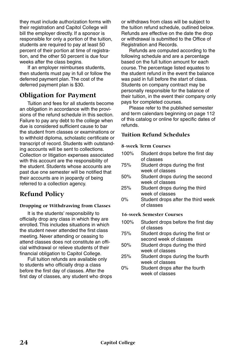they must include authorization forms with their registration and Capitol College will bill the employer directly. If a sponsor is responsible for only a portion of the tuition, students are required to pay at least 50 percent of their portion at time of registration, and the other 50 percent is due four weeks after the class begins.

If an employer reimburses students, then students must pay in full or follow the deferred payment plan. The cost of the deferred payment plan is \$30.

## **Obligation for Payment**

Tuition and fees for all students become an obligation in accordance with the provisions of the refund schedule in this section. Failure to pay any debt to the college when due is considered sufficient cause to bar the student from classes or examinations or to withhold diploma, scholastic certificate or transcript of record. Students with outstanding accounts will be sent to collections. Collection or litigation expenses associated with this account are the responsibility of the student. Students whose accounts are past due one semester will be notified that their accounts are in jeopardy of being referred to a collection agency.

## **Refund Policy**

#### **Dropping or Withdrawing from Classes**

It is the students' responsibility to officially drop any class in which they are enrolled. This includes situations in which the student never attended the first class meeting. Never attending or ceasing to attend classes does not constitute an official withdrawal or relieve students of their financial obligation to Capitol College.

Full tuition refunds are available only to students who officially drop a class before the first day of classes. After the first day of classes, any student who drops or withdraws from class will be subject to the tuition refund schedule, outlined below. Refunds are effective on the date the drop or withdrawal is submitted to the Office of Registration and Records.

Refunds are computed according to the following schedule and are a percentage based on the full tuition amount for each course. The percentage listed equates to the student refund in the event the balance was paid in full before the start of class. Students on company contract may be personally responsible for the balance of their tuition, in the event their company only pays for completed courses.

Please refer to the published semester and term calendars beginning on page 112 of this catalog or online for specific dates of refunds.

#### **Tuition Refund Schedules**

#### **8-week Term Courses**

- 100% Student drops before the first day of classes 75% Student drops during the first week of classes 50% Student drops during the second week of classes 25% Student drops during the third week of classes
- 0% Student drops after the third week of classes

#### **16-week Semester Courses**

- 100% Student drops before the first day of classes
- 75% Student drops during the first or second week of classes
- 50% Student drops during the third week of classes
- 25% Student drops during the fourth week of classes
- 0% Student drops after the fourth week of classes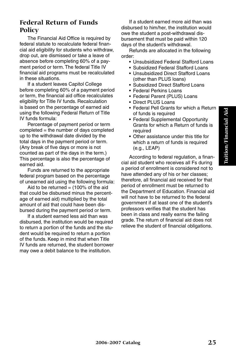## **Federal Return of Funds Policy**

The Financial Aid Office is required by federal statute to recalculate federal financial aid eligibility for students who withdraw, drop out, are dismissed or take a leave of absence before completing 60% of a payment period or term. The federal Title IV financial aid programs must be recalculated in these situations.

If a student leaves Capitol College before completing 60% of a payment period or term, the financial aid office recalculates eligibility for Title IV funds. Recalculation is based on the percentage of earned aid using the following Federal Return of Title IV funds formula:

Percentage of payment period or term completed = the number of days completed up to the withdrawal date divided by the total days in the payment period or term. (Any break of five days or more is not counted as part of the days in the term.) This percentage is also the percentage of earned aid.

Funds are returned to the appropriate federal program based on the percentage of unearned aid using the following formula:

Aid to be returned  $=$  (100% of the aid that could be disbursed minus the percentage of earned aid) multiplied by the total amount of aid that could have been disbursed during the payment period or term.

If a student earned less aid than was disbursed, the institution would be required to return a portion of the funds and the student would be required to return a portion of the funds. Keep in mind that when Title IV funds are returned, the student borrower may owe a debit balance to the institution.

If a student earned more aid than was disbursed to him/her, the institution would owe the student a post-withdrawal disbursement that must be paid within 120 days of the student's withdrawal.

Refunds are allocated in the following order:

- Unsubsidized Federal Stafford Loans
- Subsidized Federal Stafford Loans
- Unsubsidized Direct Stafford Loans (other than PLUS loans)
- Subsidized Direct Stafford Loans
- Federal Perkins Loans
- Federal Parent (PLUS) Loans
- Direct PLUS Loans
- Federal Pell Grants for which a Return of funds is required
- Federal Supplemental Opportunity Grants for which a Return of funds is required
- Other assistance under this title for which a return of funds is required (e.g., LEAP)

According to federal regulation, a financial aid student who receives all Fs during a period of enrollment is considered not to have attended any of his or her classes; therefore, all financial aid received for that period of enrollment must be returned to the Department of Education. Financial aid will not have to be returned to the federal government if at least one of the student's professors verifies that the student has been in class and really earns the failing grade. The return of financial aid does not relieve the student of financial obligations.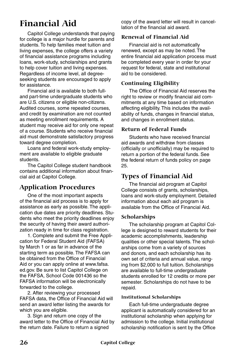# **Financial Aid**

Capitol College understands that paying for college is a major hurdle for parents and students. To help families meet tuition and living expenses, the college offers a variety of financial assistance programs including loans, work-study, scholarships and grants to help cover tuition and living expenses. Regardless of income level, all degreeseeking students are encouraged to apply for assistance.

Financial aid is available to both fulland part-time undergraduate students who are U.S. citizens or eligible non-citizens. Audited courses, some repeated courses, and credit by examination are not counted as meeting enrollment requirements. A student may receive aid for only one repeat of a course. Students who receive financial aid must demonstrate satisfactory progress toward degree completion.

Loans and federal work-study employment are available to eligible graduate students.

The Capitol College student handbook contains additional information about financial aid at Capitol College.

## **Application Procedures**

One of the most important aspects of the financial aid process is to apply for assistance as early as possible. The application due dates are priority deadlines. Students who meet the priority deadlines enjoy the security of having their award authorization ready in time for class registration.

1. Complete and submit the Free Application for Federal Student Aid (FAFSA) by March 1 or as far in advance of the starting term as possible. The FAFSA can be obtained from the Office of Financial Aid or you can apply online at www.fafsa. ed.gov. Be sure to list Capitol College on the FAFSA, School Code 001436 so the FAFSA information will be electronically forwarded to the college.

2. After reviewing your processed FAFSA data, the Office of Financial Aid will send an award letter listing the awards for which you are eligible.

3. Sign and return one copy of the award letter to the Office of Financial Aid by the return date. Failure to return a signed

copy of the award letter will result in cancellation of the financial aid award.

#### **Renewal of Financial Aid**

Financial aid is not automatically renewed, except as may be noted. The entire financial aid application process must be completed every year in order for your request for federal, state and institutional aid to be considered.

#### **Continuing Eligibility**

The Office of Financial Aid reserves the right to review or modify financial aid commitments at any time based on information affecting eligibility. This includes the availability of funds, changes in financial status, and changes in enrollment status.

#### **Return of Federal Funds**

Students who have received financial aid awards and withdraw from classes (officially or unofficially) may be required to return a portion of the federal funds. See the federal return of funds policy on page 25.

## **Types of Financial Aid**

The financial aid program at Capitol College consists of grants, scholarships, loans and work-study employment. Detailed information about each aid program is available from the Office of Financial Aid.

## **Scholarships**

The scholarship program at Capitol College is designed to reward students for their academic accomplishments, leadership qualities or other special talents. The scholarships come from a variety of sources and donors, and each scholarship has its own set of criteria and annual value, ranging from \$2,000 to full tuition. Scholarships are available to full-time undergraduate students enrolled for 12 credits or more per semester. Scholarships do not have to be repaid.

#### **Institutional Scholarships**

Each full-time undergraduate degree applicant is automatically considered for an institutional scholarship when applying for admission to the college. Initial institutional scholarship notification is sent by the Office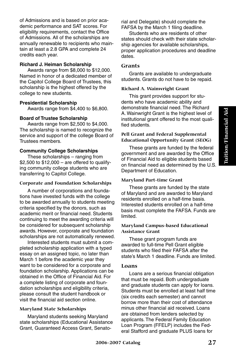of Admissions and is based on prior academic performance and SAT scores. For eligibility requirements, contact the Office of Admissions. All of the scholarships are annually renewable to recipients who maintain at least a 2.8 GPA and complete 24 credits each year.

#### **Richard J. Heiman Scholarship**

Awards range from \$8,000 to \$12,000. Named in honor of a dedicated member of the Capitol College Board of Trustees, this scholarship is the highest offered by the college to new students.

#### **Presidential Scholarship**

Awards range from \$4,400 to \$6,800.

#### **Board of Trustee Scholarship**

Awards range from \$2,500 to \$4,000. The scholarship is named to recognize the service and support of the college Board of Trustees members.

#### **Community College Scholarships**

These scholarships – ranging from  $$2,500$  to  $$12,000 -$  are offered to qualifying community college students who are transferring to Capitol College.

#### **Corporate and Foundation Scholarships**

A number of corporations and foundations have invested funds with the college to be awarded annually to students meeting criteria specified by the donors, such as academic merit or financial need. Students continuing to meet the awarding criteria will be considered for subsequent scholarship awards. However, corporate and foundation scholarships are not automatically renewed.

Interested students must submit a completed scholarship application with a typed essay on an assigned topic, no later than March 1 before the academic year they want to be considered for a corporate and foundation scholarship. Applications can be obtained in the Office of Financial Aid. For a complete listing of corporate and foundation scholarships and eligibility criteria, please consult the student handbook or visit the financial aid section online.

#### **Maryland State Scholarships**

Maryland students seeking Maryland state scholarships (Educational Assistance Grant, Guaranteed Access Grant, Senatorial and Delegate) should complete the FAFSA by the March 1 filing deadline.

Students who are residents of other states should check with their state scholarship agencies for available scholarships, proper application procedures and deadline dates.

#### **Grants**

Grants are available to undergraduate students. Grants do not have to be repaid.

#### **Richard A. Wainwright Grant**

This grant provides support for students who have academic ability and demonstrate financial need. The Richard A. Wainwright Grant is the highest level of institutional grant offered to the most qualified students.

#### **Pell Grant and Federal Supplemental Educational Opportunity Grant (SEOG)**

These grants are funded by the federal government and are awarded by the Office of Financial Aid to eligible students based on financial need as determined by the U.S. Department of Education.

#### **Maryland Part-time Grant**

These grants are funded by the state of Maryland and are awarded to Maryland residents enrolled on a half-time basis. Interested students enrolled on a half-time basis must complete the FAFSA. Funds are limited.

#### **Maryland Campus-based Educational Assistance Grant**

These grant program funds are awarded to full-time Pell Grant eligible students who filed their FAFSA after the state's March 1 deadline. Funds are limited.

#### **Loans**

Loans are a serious financial obligation that must be repaid. Both undergraduate and graduate students can apply for loans. Students must be enrolled at least half time (six credits each semester) and cannot borrow more than their cost of attendance minus other financial aid received. Loans are obtained from lenders selected by applicants. The Federal Family Education Loan Program (FFELP) includes the Federal Stafford and graduate PLUS loans for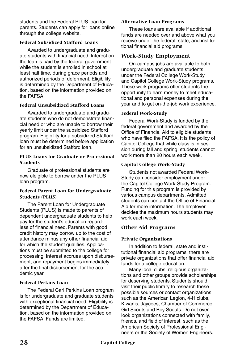students and the Federal PLUS loan for parents. Students can apply for loans online through the college website.

#### **Federal Subsidized Stafford Loans**

Awarded to undergraduate and graduate students with financial need. Interest on the loan is paid by the federal government while the student is enrolled in school at least half time, during grace periods and authorized periods of deferment. Eligibility is determined by the Department of Education, based on the information provided on the FAFSA.

#### **Federal Unsubsidized Stafford Loans**

Awarded to undergraduate and graduate students who do not demonstrate financial need or who are unable to borrow their yearly limit under the subsidized Stafford program. Eligibility for a subsidized Stafford loan must be determined before application for an unsubsidized Stafford loan.

#### **PLUS Loans for Graduate or Professional Students**

Graduate of professional students are now eleigible to borrow under the PLUS loan program.

#### **Federal Parent Loan for Undergraduate Students (PLUS)**

The Parent Loan for Undergraduate Students (PLUS) is made to parents of dependent undergraduate students to help pay for the student's education regardless of financial need. Parents with good credit history may borrow up to the cost of attendance minus any other financial aid for which the student qualifies. Applications must be submitted to the college for processing. Interest accrues upon disbursement, and repayment begins immediately after the final disbursement for the academic year.

#### **Federal Perkins Loan**

The Federal Carl Perkins Loan program is for undergraduate and graduate students with exceptional financial need. Eligibility is determined by the Department of Education, based on the information provided on the FAFSA. Funds are limited.

#### **Alternative Loan Programs**

These loans are available if additional funds are needed over and above what you receive under the federal, state, and institutional financial aid programs.

#### **Work-Study Employment**

On-campus jobs are available to both undergraduate and graduate students under the Federal College Work-Study and Capitol College Work-Study programs. These work programs offer students the opportunity to earn money to meet educational and personal expenses during the year and to get on-the-job work experience.

#### **Federal Work-Study**

Federal Work-Study is funded by the federal government and awarded by the Office of Financial Aid to eligible students who have filed the FAFSA. It is the policy of Capitol College that while class is in session during fall and spring, students cannot work more than 20 hours each week.

#### **Capitol College Work-Study**

Students not awarded Federal Work-Study can consider employment under the Capitol College Work-Study Program. Funding for this program is provided by various campus departments. Admitted students can contact the Office of Financial Aid for more information. The employer decides the maximum hours students may work each week

#### **Other Aid Programs**

#### **Private Organizations**

In addition to federal, state and institutional financial aid programs, there are private organizations that offer financial aid funds for a college education.

Many local clubs, religious organizations and other groups provide scholarships for deserving students. Students should visit their public library to research these possible sources or contact organizations such as the American Legion, 4-H clubs, Kiwanis, Jaycees, Chamber of Commerce, Girl Scouts and Boy Scouts. Do not overlook organizations connected with family, friends, and field of interest, such as the American Society of Professional Engineers or the Society of Women Engineers.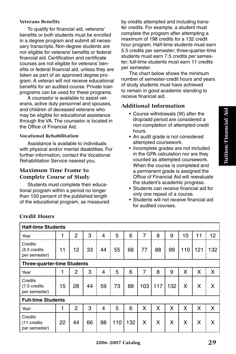#### **Veterans Benefits**

To qualify for financial aid, veterans' benefits or both students must be enrolled in a degree program and submit all necessary transcripts. Non-degree students are not eligible for veterans' benefits or federal financial aid. Certification and certificate courses are not eligible for veterans' benefits or federal financial aid, unless they are taken as part of an approved degree program. A veteran will not receive educational benefits for an audited course. Private loan programs can be used for these programs.

A counselor is available to assist veterans, active duty personnel and spouses, and children of deceased veterans who may be eligible for educational assistance through the VA. The counselor is located in the Office of Financial Aid.

#### **Vocational Rehabilitation**

Assistance is available to individuals with physical and/or mental disabilities. For further information, contact the Vocational Rehabilitation Service nearest you.

#### **Maximum Time Frame to Complete Course of Study**

Students must complete their educational program within a period no longer than 150 percent of the published length of the educational program, as measured by credits attempted and including transfer credits. For example, a student must complete the program after attempting a maximum of 198 credits for a 132 credit hour program. Half-time students must earn 5.5 credits per semester; three-quarter-time students must earn 7.5 credits per semester; full-time students must earn 11 credits per semester.

The chart below shows the minimum number of semester-credit hours and years of study students must have achieved to remain in good academic standing to receive financial aid.

#### **Additional Information**

- Course withdrawals (W) after the drop/add period are considered a non-completion of attempted credit hours.
- An audit grade is not considered attempted coursework.
- Incomplete grades are not included in the GPA calculation nor are they counted as attempted coursework. When the course is completed and a permanent grade is assigned the Office of Financial Aid will reevaluate the student's academic progress.
- Students can receive financial aid for only one repeat of a course.
- Students will not receive financial aid for audited courses.

| <b>Half-time Students</b>                |    |                |    |    |     |     |     |     |     |     |     |     |
|------------------------------------------|----|----------------|----|----|-----|-----|-----|-----|-----|-----|-----|-----|
| Year                                     | 1  | 2              | 3  | 4  | 5   | 6   | 7   | 8   | 9   | 10  | 11  | 12  |
| Credits<br>(5.5 credits<br>per semester) | 11 | 12             | 33 | 44 | 55  | 66  | 77  | 88  | 99  | 110 | 121 | 132 |
| <b>Three-quarter-time Students</b>       |    |                |    |    |     |     |     |     |     |     |     |     |
| Year                                     | 1  | 2              | 3  | 4  | 5   | 6   | 7   | 8   | 9   | X   | x   | X   |
| Credits<br>(7.5 credits<br>per semester) | 15 | 28             | 44 | 59 | 73  | 88  | 103 | 117 | 132 | x   | x   | x   |
| <b>Full-time Students</b>                |    |                |    |    |     |     |     |     |     |     |     |     |
| Year                                     | 1  | $\mathfrak{p}$ | 3  | 4  | 5   | 6   | x   | X   | x   | x   | x   | X   |
| Credits<br>(11 credits<br>per semester)  | 22 | 44             | 66 | 88 | 110 | 132 | X   | X   | X   | X   | Χ   | X   |

## **Credit Hours**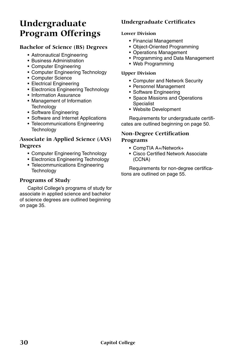# **Undergraduate Program Offerings**

#### **Bachelor of Science (BS) Degrees**

- Astronautical Engineering
- Business Administration
- Computer Engineering
- Computer Engineering Technology
- Computer Science
- Electrical Engineering
- Electronics Engineering Technology
- Information Assurance
- Management of Information **Technology**
- Software Engineering
- Software and Internet Applications
- Telecommunications Engineering **Technology**

### **Associate in Applied Science (AAS) Degrees**

- Computer Engineering Technology
- Electronics Engineering Technology
- Telecommunications Engineering **Technology**

## **Programs of Study**

Capitol College's programs of study for associate in applied science and bachelor of science degrees are outlined beginning on page 35.

## **Undergraduate Certificates**

#### **Lower Division**

- Financial Management
- Object-Oriented Programming
- Operations Management
- Programming and Data Management
- Web Programming

#### **Upper Division**

- Computer and Network Security
- Personnel Management
- Software Engineering
- Space Missions and Operations Specialist
- Website Development

Requirements for undergraduate certificates are outlined beginning on page 50.

#### **Non-Degree Certification Programs**

- CompTIA A+/Network+
- Cisco Certified Network Associate (CCNA)

Requirements for non-degree certifications are outlined on page 55.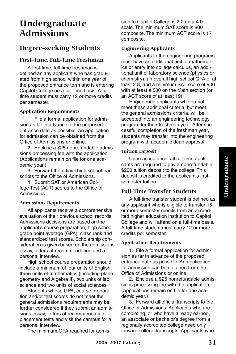# **Undergraduate Admissions**

## **Degree-seeking Students**

#### **First-Time, Full-Time Freshman**

A first-time, full-time freshman is defined as any applicant who has graduated from high school within one year of the proposed entrance term and is entering Capitol College on a full-time basis. A fulltime student must carry 12 or more credits per semester.

#### **Application Requirements**

1. File a formal application for admission as far in advance of the proposed entrance date as possible. An application for admission can be obtained from the Office of Admissions or online.

2. Enclose a \$25 nonrefundable admissions processing fee with the application. (Applications remain on file for one academic year.)

3. Forward the official high school transcripts to the Office of Admissions.

4. Submit SAT or American College Test (ACT) scores to the Office of Admissions.

#### **Admissions Requirements**

All applicants receive a comprehensive evaluation of their previous school records. Admissions decisions are based on the applicant's course preparation, high school grade point average (GPA), class rank and standardized test scores. Scholarship consideration is given based on the admissions essay, letters of recommendation and a personal interview.

High school course preparation should include a minimum of four units of English, three units of mathematics (including plane geometry and Algebra II), two units of lab science and two units of social sciences.

Students whose GPA, course preparation and/or test scores do not meet the general admissions requirements may be further considered if they submit an admissions essay, letters of recommendation, placement tests and visit the campus for a personal interview.

The minimum GPA required for admis-

sion to Capitol College is 2.2 on a 4.0 scale. The minimum SAT score is 800 composite. The minimum ACT score is 17 composite.

#### **Engineering Applicants**

Applicants to the engineering programs must have an additional unit of mathematics or entry into college calculus, an additional unit of laboratory science (physics or chemistry), an overall high school GPA of at least 2.8, and a minimum SAT score of 900 with at least a 500 on the Math section (or an ACT score of at least 19).

Engineering applicants who do not meet these additional criteria, but meet the general admissions criteria, will be accepted into an engineering technology program for their freshman year. After successful completion of the freshman year, students may transfer into the engineering program with academic dean approval.

#### **Tuition Deposit**

Upon acceptance, all full-time applicants are required to pay a nonrefundable \$200 tuition deposit to the college. This deposit is credited to the applicant's firstsemester tuition.

#### **Full-Time Transfer Students**

A full-time transfer student is defined as any applicant who is eligible to transfer 15 or more semester credits from an accredited higher education institution to Capitol College and will attend on a full-time basis. A full-time student must carry 12 or more credits per semester.

#### **Application Requirements**

1. File a formal application for admission as far in advance of the proposed entrance date as possible. An application for admission can be obtained from the Office of Admissions or online.

2. Enclose a \$25 nonrefundable admissions processing fee with the application. (Applications remain on file for one academic year.)

3. Forward all official transcripts to the Office of Admissions. Applicants who are completing, or who have already earned, an associate or bachelor's degree from a regionally accredited college need only forward college transcripts. Applicants who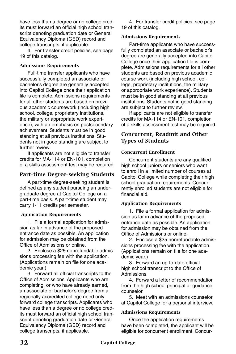have less than a degree or no college credits must forward an official high school transcript denoting graduation date or General Equivalency Diploma (GED) record and college transcripts, if applicable.

4. For transfer credit policies, see page 19 of this catalog.

#### **Admissions Requirements**

Full-time transfer applicants who have successfully completed an associate or bachelor's degree are generally accepted into Capitol College once their application file is complete. Admissions requirements for all other students are based on previous academic coursework (including high school, college, proprietary institutions, the military or appropriate work experience), with an emphasis on postsecondary achievement. Students must be in good standing at all previous institutions. Students not in good standing are subject to further review.

If applicants are not eligible to transfer credits for MA-114 or EN-101, completion of a skills assessment test may be required.

#### **Part-time Degree-seeking Students**

A part-time degree-seeking student is defined as any student pursuing an undergraduate degree at Capitol College on a part-time basis. A part-time student may carry 1-11 credits per semester.

#### **Application Requirements**

1. File a formal application for admission as far in advance of the proposed entrance date as possible. An application for admission may be obtained from the Office of Admissions or online.

2. Enclose a \$25 nonrefundable admissions processing fee with the application. (Applications remain on file for one academic year.)

3. Forward all official transcripts to the Office of Admissions. Applicants who are completing, or who have already earned, an associate or bachelor's degree from a regionally accredited college need only forward college transcripts. Applicants who have less than a degree or no college credits must forward an official high school transcript denoting graduation date or General Equivalency Diploma (GED) record and college transcripts, if applicable.

4. For transfer credit policies, see page 19 of this catalog.

#### **Admissions Requirements**

Part-time applicants who have successfully completed an associate or bachelor's degree are generally accepted into Capitol College once their application file is complete. Admissions requirements for all other students are based on previous academic course work (including high school, college, proprietary institutions, the military or appropriate work experience). Students must be in good standing at all previous institutions. Students not in good standing are subject to further review.

If applicants are not eligible to transfer credits for MA-114 or EN-101, completion of a skills assessment test may be required.

#### **Concurrent, Readmit and Other Types of Students**

#### **Concurrent Enrollment**

Concurrent students are any qualified high school juniors or seniors who want to enroll in a limited number of courses at Capitol College while completing their high school graduation requirements. Concurrently enrolled students are not eligible for financial aid.

#### **Application Requirements**

1. File a formal application for admission as far in advance of the proposed entrance date as possible. An application for admission may be obtained from the Office of Admissions or online.

2. Enclose a \$25 nonrefundable admissions processing fee with the application. (Applications remain on file for one academic year.)

3. Forward an up-to-date official high school transcript to the Office of **Admissions** 

4. Forward a letter of recommendation from the high school principal or guidance counselor.

5. Meet with an admissions counselor at Capitol College for a personal interview.

#### **Admissions Requirements**

Once the application requirements have been completed, the applicant will be eligible for concurrent enrollment. Concur-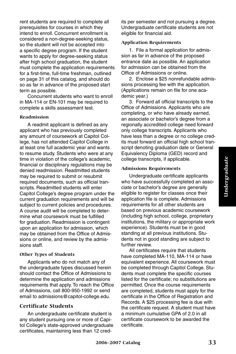rent students are required to complete all prerequisites for courses in which they intend to enroll. Concurrent enrollment is considered a non-degree-seeking status, so the student will not be accepted into a specific degree program. If the student wants to apply for degree-seeking status after high school graduation, the student must complete the application requirements for a first-time, full-time freshman, outlined on page 31 of this catalog, and should do so as far in advance of the proposed start term as possible.

Concurrent students who want to enroll in MA-114 or EN-101 may be required to complete a skills assessment test.

#### **Readmission**

A readmit applicant is defined as any applicant who has previously completed any amount of coursework at Capitol College, has not attended Capitol College in at least one full academic year and wants to resume study. Students who were at any time in violation of the college's academic, financial or disciplinary regulations may be denied readmission. Readmitted students may be required to submit or resubmit required documents, such as official transcripts. Readmitted students will enter Capitol College's degree program under the current graduation requirements and will be subject to current policies and procedures. A course audit will be completed to determine what coursework must be fulfilled for graduation. Readmission is contingent upon an application for admission, which may be obtained from the Office of Admissions or online, and review by the admissions staff.

#### **Other Types of Students**

Applicants who do not match any of the undergraduate types discussed herein should contact the Office of Admissions to determine the application and admissions requirements that apply. To reach the Office of Admissions, call 800-950-1992 or send email to admissions@capitol-college.edu.

#### **Certificate Students**

An undergraduate certificate student is any student pursuing one or more of Capitol College's state-approved undergraduate certificates, maintaining less than 12 credits per semester and not pursuing a degree. Undergraduate certificate students are not eligible for financial aid.

#### **Application Requirements**

1. File a formal application for admission as far in advance of the proposed entrance date as possible. An application for admission can be obtained from the Office of Admissions or online.

2. Enclose a \$25 nonrefundable admissions processing fee with the application. (Applications remain on file for one academic year.)

3. Forward all official transcripts to the Office of Admissions. Applicants who are completing, or who have already earned, an associate or bachelor's degree from a regionally accredited college need forward only college transcripts. Applicants who have less than a degree or no college credits must forward an official high school transcript denoting graduation date or General Equivalency Diploma (GED) record and college transcripts, if applicable.

#### **Admissions Requirements**

Undergraduate certificate applicants who have successfully completed an associate or bachelor's degree are generally eligible to register for classes once their application file is complete. Admissions requirements for all other students are based on previous academic coursework (including high school, college, proprietary institutions, the military or appropriate work experience). Students must be in good standing at all previous institutions. Students not in good standing are subject to further review.

All certificates require that students have completed MA-110, MA-114 or have equivalent experience. All coursework must be completed through Capitol College. Students must complete the specific courses listed for the certificate; no substitutions are permitted. Once the course requirements are completed, students must apply for the certificate in the Office of Registration and Records. A \$25 processing fee is due with the certificate request. A student must have a minimum cumulative GPA of 2.0 in all certificate coursework to be awarded the certificate.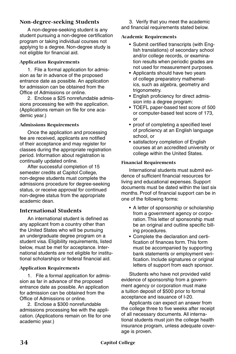#### **Non-degree-seeking Students**

A non-degree-seeking student is any student pursuing a non-degree certification program or taking individual courses not applying to a degree. Non-degree study is not eligible for financial aid.

#### **Application Requirements**

1. File a formal application for admission as far in advance of the proposed entrance date as possible. An application for admission can be obtained from the Office of Admissions or online.

2. Enclose a \$25 nonrefundable admissions processing fee with the application. (Applications remain on file for one academic year.)

#### **Admissions Requirements**

Once the application and processing fee are received, applicants are notified of their acceptance and may register for classes during the appropriate registration period. Information about registration is continually updated online.

After successful completion of 15 semester credits at Capitol College, non-degree students must complete the admissions procedure for degree-seeking status, or receive approval for continued non-degree status from the appropriate academic dean.

#### **International Students**

An international student is defined as any applicant from a country other than the United States who will be pursuing an undergraduate degree program on a student visa. Eligibility requirements, listed below, must be met for acceptance. International students are not eligible for institutional scholarships or federal financial aid.

#### **Application Requirements**

1. File a formal application for admission as far in advance of the proposed entrance date as possible. An application for admission can be obtained from the Office of Admissions or online.

2. Enclose a \$300 nonrefundable admissions processing fee with the application. (Applications remain on file for one academic year.)

3. Verify that you meet the academic and financial requirements stated below.

#### **Academic Requirements**

- Submit certified transcripts (with English translations) of secondary school and/or college records, or examination results when periodic grades are not used for measurement purposes.
- Applicants should have two years of college preparatory mathematics, such as algebra, geometry and trigonometry.
- English proficiency for direct admission into a degree program:
- TOEFL paper-based test score of 500 or computer-based test score of 173, or
- proof of completing a specified level of proficiency at an English language school, or
- satisfactory completion of English courses at an accredited university or college within the United States.

#### **Financial Requirements**

International students must submit evidence of sufficient financial resources for living and educational expenses. Support documents must be dated within the last six months. Proof of financial support can be in one of the following forms:

- A letter of sponsorship or scholarship from a government agency or corporation. This letter of sponsorship must be an original and outline specific billing procedures.
- Complete the declaration and certification of finances form. This form must be accompanied by supporting bank statements or employment verification. Include signatures or original letters of support from each sponsor.

Students who have not provided valid evidence of sponsorship from a government agency or corporation must make a tuition deposit of \$500 prior to formal acceptance and issuance of I-20.

Applicants can expect an answer from the college three to five weeks after receipt of all necessary documents. All international students must join the college health insurance program, unless adequate coverage is proven.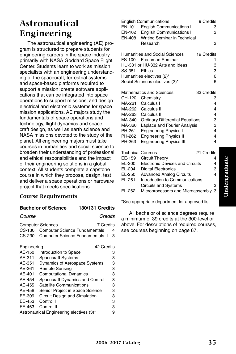## **Astronautical Engineering**

The astronautical engineering (AE) program is structured to prepare students for engineering careers in the space industry, primarily with NASA Goddard Space Flight Center. Students learn to work as mission specialists with an engineering understanding of the spacecraft, terrestrial systems and space-based platforms required to support a mission; create software applications that can be integrated into space operations to support missions; and design electrical and electronic systems for space mission applications. AE majors study the fundamentals of space operations and technology, flight dynamics and spacecraft design, as well as earth science and NASA missions devoted to the study of the planet. All engineering majors must take courses in humanities and social science to broaden their understanding of professional and ethical responsibilities and the impact of their engineering solutions in a global context. All students complete a capstone course in which they propose, design, test and deliver a space operations or hardware project that meets specifications.

#### **Course Requirements**

#### **Bachelor of Science 130/131 Credits**

*Course Credits*

| <b>Computer Sciences</b><br>7 Credits     |  |
|-------------------------------------------|--|
| CS-130 Computer Science Fundamentals I 4  |  |
| CS-230 Computer Science Fundamentals II 3 |  |

| Engineering |                                          | 42 Credits |
|-------------|------------------------------------------|------------|
| AE-150      | Introduction to Space                    | 3          |
| AE-311      | <b>Spacecraft Systems</b>                | з          |
| AE-351      | <b>Dynamics of Aerospace Systems</b>     | з          |
| AE-361      | Remote Sensing                           | з          |
| AE-401      | <b>Computational Dynamics</b>            | з          |
| AF-454      | Spacecraft Dynamics and Control          | з          |
| AE-455      | Satellite Communications                 | з          |
| AF-458      | Senior Project in Space Science          | з          |
| EE-309      | Circuit Design and Simulation            | з          |
| EE-453      | Control I                                | 3          |
| EE-463      | Control II                               | з          |
|             | Astronautical Engineering electives (3)* |            |

|                          | <b>English Communications</b>          | 9 Credits  |
|--------------------------|----------------------------------------|------------|
| EN-101                   | <b>English Communications I</b>        | 3          |
|                          | EN-102 English Communications II       | 3          |
| EN-408                   | Writing Seminar in Technical           |            |
|                          | Research                               | 3          |
|                          |                                        |            |
|                          | Humanities and Social Sciences         | 19 Credits |
|                          | FS-100 Freshman Seminar                | 1          |
|                          | HU-331 or HU-332 Arts and Ideas        | 3          |
| SS-351 Ethics            |                                        | 3          |
|                          | Humanities electives (2)*              | 6          |
|                          | Social Sciences electives (2)*         | 6          |
|                          |                                        |            |
|                          | Mathematics and Sciences               | 33 Credits |
|                          | CH-120 Chemistry                       | 3          |
|                          | MA-261 Calculus I                      | 4          |
|                          | MA-262 Calculus II                     | 4          |
|                          | MA-263 Calculus III                    | 4          |
| MA-340                   | <b>Ordinary Differential Equations</b> | 3          |
| MA-360                   | Laplace and Fourier Analysis           | 3          |
| PH-261                   | <b>Engineering Physics I</b>           | 4          |
| PH-262                   | <b>Engineering Physics II</b>          | 4          |
| PH-263                   | <b>Engineering Physics III</b>         | 4          |
| <b>Technical Courses</b> |                                        | 21 Credits |
| EE-159                   | Circuit Theory                         | 4          |
| EL-200                   | <b>Electronic Devices and Circuits</b> | 4          |
| EL-204                   | <b>Digital Electronics</b>             | 3          |
| EL-250                   | <b>Advanced Analog Circuits</b>        | 4          |
| EL-261                   | Introduction to Communications         |            |
|                          | <b>Circuits and Systems</b>            | 3          |
|                          |                                        |            |

EL-262 Microprocessors and Microassembly 3

\*See appropriate department for approved list.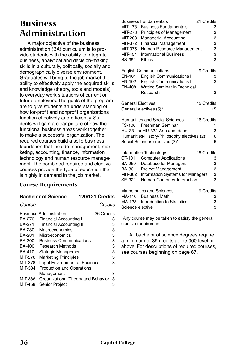## **Business Administration**

A major objective of the business administration (BA) curriculum is to provide students with the ability to integrate business, analytical and decision-making skills in a culturally, politically, socially and demographically diverse environment. Graduates will bring to the job market the ability to effectively apply the acquired skills and knowledge (theory, tools and models) to everyday work situations of current or future employers. The goals of the program are to give students an understanding of how for-profit and nonprofit organizations function effectively and efficiently. Students will gain a clear picture of how the functional business areas work together to make a successful organization. The required courses build a solid business foundation that include management, marketing, accounting, finance, information technology and human resource management. The combined required and elective courses provide the type of education that is highly in demand in the job market.

#### **Course Requirements**

#### **Bachelor of Science 120/121 Credits**

*Course Credits*

|         | <b>Business Administration</b><br>36 Credits |   |
|---------|----------------------------------------------|---|
| BA-270  | Financial Accounting I                       | 3 |
| BA-271  | <b>Financial Accounting II</b>               | З |
| BA-280  | Macroeconomics                               | 3 |
| BA-281  | Microeconomics                               | з |
| BA-300  | <b>Business Communications</b>               | 3 |
| BA-400  | <b>Research Methods</b>                      | 3 |
| BA-410  | Stategic Management                          | 3 |
| MIT-276 | <b>Marketing Principles</b>                  | 3 |
| MIT-378 | Legal Environment of Business                | з |
| MIT-384 | <b>Production and Operations</b>             |   |
|         | Management                                   | 3 |
| MIT-386 | Organizational Theory and Behavior           | з |
| MIT-458 | <b>Senior Project</b>                        | з |

| MIT-173<br>MIT-278<br>MIT-283<br>MIT-372<br>MIT-375<br>MIT-454<br>SS-351 | <b>Business Fundamentals</b><br><b>Business Fundamentals</b><br><b>Principles of Management</b><br><b>Managerial Accounting</b><br><b>Financial Management</b><br>Human Resource Management<br><b>International Business</b><br>Ethics | 21 Credits<br>3<br>3<br>3<br>3<br>3<br>3<br>3 |
|--------------------------------------------------------------------------|----------------------------------------------------------------------------------------------------------------------------------------------------------------------------------------------------------------------------------------|-----------------------------------------------|
| EN-101<br>EN-102<br><b>EN-408</b>                                        | <b>English Communications</b><br><b>English Communications I</b><br><b>English Communications II</b><br>Writing Seminar in Technical<br>Research                                                                                       | 9 Credits<br>3<br>3<br>3                      |
| <b>General Electives</b>                                                 | General electives (5)*                                                                                                                                                                                                                 | 15 Credits<br>15                              |
| FS-100                                                                   | Humanities and Social Sciences<br>Freshman Seminar<br>HU-331 or HU-332 Arts and Ideas<br>Humanities/History/Philosophy electives (2)*<br>Social Sciences electives (2)*                                                                | 16 Credits<br>1<br>3<br>6<br>6                |
| CT-101<br><b>BA-250</b><br>BA-301<br>MIT-362<br>SE-321                   | Information Technology<br><b>Computer Applications</b><br>Database for Managers<br><b>Project Management</b><br><b>Information Systems for Managers</b><br>Human-Computer Interaction                                                  | 15 Credits<br>3<br>3<br>3<br>3<br>3           |
| MA-110<br>MA-128<br>Science elective                                     | <b>Mathematics and Sciences</b><br><b>Business Math</b><br>Introduction to Statistics                                                                                                                                                  | 9 Credits<br>3<br>3<br>3                      |

\*Any course may be taken to satisfy the general elective requirement.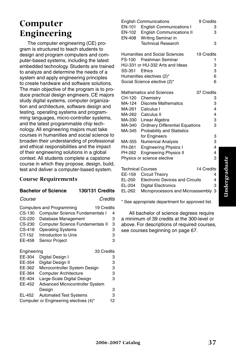## **Computer Engineering**

The computer engineering (CE) program is structured to teach students to design and program computers and computer-based systems, including the latest embedded technology. Students are trained to analyze and determine the needs of a system and apply engineering principles to create hardware and software solutions. The main objective of the program is to produce practical design engineers. CE majors study digital systems, computer organization and architecture, software design and testing, operating systems and programming languages, micro-controller systems, and the latest programmable chip technology. All engineering majors must take courses in humanities and social science to broaden their understanding of professional and ethical responsibilities and the impact of their engineering solutions in a global context. All students complete a capstone course in which they propose, design, build, test and deliver a computer-based system.

#### **Course Requirements**

#### **Bachelor of Science 130/131 Credits**

#### *Course Credits*

|             | <b>Computers and Programming</b><br>19 Credits |   |
|-------------|------------------------------------------------|---|
| CS-130      | <b>Computer Science Fundamentals I</b>         | 4 |
| CS-220      | Database Management                            | з |
| CS-230      | Computer Science Fundamentals II               | 3 |
| CS-418      | <b>Operating Systems</b>                       | 3 |
| CT-152      | Introduction to Unix                           | з |
| EE-458      | <b>Senior Project</b>                          | 3 |
| Engineering | 33 Credits                                     |   |

| EE-304        | Digital Design I                       | 3  |
|---------------|----------------------------------------|----|
| EE-354        | Digital Design II                      | 3  |
| EE-362        | Microcontroller System Design          | з  |
| EE-364        | <b>Computer Architecture</b>           | 3  |
| EE-404        | Large-Scale Digital Design             | 3  |
| <b>EE-452</b> | <b>Advanced Microcontroller System</b> |    |
|               | Design                                 | 3  |
| EL-452        | <b>Automated Test Systems</b>          | з  |
|               | Computer or Engineering electives (4)* | 12 |
|               |                                        |    |

|                          | <b>English Communications</b>          | 9 Credits  |
|--------------------------|----------------------------------------|------------|
| EN-101                   | <b>English Communications I</b>        | 3          |
| EN-102                   | <b>English Communications II</b>       | 3          |
| EN-408                   | Writing Seminar in                     |            |
|                          | <b>Technical Research</b>              | 3          |
|                          | Humanities and Social Sciences         | 19 Credits |
| FS-100                   | Freshman Seminar                       | 1          |
|                          | HU-331 or HU-332 Arts and Ideas        | 3          |
| SS-351                   | Ethics                                 | 3          |
|                          | Humanities electives (2)*              | 6          |
|                          | Social Science elective (2)*           | 6          |
|                          |                                        |            |
|                          | <b>Mathematics and Sciences</b>        | 37 Credits |
| CH-120                   | Chemistry                              | 3          |
| MA-124                   | <b>Discrete Mathematics</b>            | 3          |
| MA-261                   | Calculus I                             | 4          |
| MA-262                   | Calculus II                            | 4          |
| MA-330                   | Linear Algebra                         | 3          |
| MA-340                   | <b>Ordinary Differential Equations</b> | 3          |
| MA-345                   | <b>Probability and Statistics</b>      |            |
|                          | for Engineers                          | 3          |
| MA-355                   | <b>Numerical Analysis</b>              | 3          |
| PH-261                   | <b>Engineering Physics I</b>           | 4          |
| PH-262                   | <b>Engineering Physics II</b>          | 4          |
|                          | Physics or science elective            | 3          |
| <b>Technical Courses</b> |                                        | 14 Credits |
| EE-159                   | Circuit Theory                         | 4          |
| EL-200                   | <b>Electronic Devices and Circuits</b> | 4          |
| EL-204                   | <b>Digital Electronics</b>             | 3          |
| EL-262                   | Microprocessors and Microassembly      | 3          |

\* See appropriate department for approved list.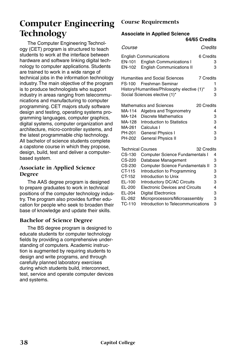## **Computer Engineering Technology**

The Computer Engineering Technology (CET) program is structured to teach students to work at the interface between hardware and software linking digital technology to computer applications. Students are trained to work in a wide range of technical jobs in the information technology industry. The main objective of the program is to produce technologists who support industry in areas ranging from telecommunications and manufacturing to computer programming. CET majors study software design and testing, operating systems programming languages, computer graphics, digital systems, computer organization and architecture, micro-controller systems, and the latest programmable chip technology. All bachelor of science students complete a capstone course in which they propose, design, build, test and deliver a computerbased system.

#### **Associate in Applied Science Degree**

The AAS degree program is designed to prepare graduates to work in technical positions of the computer technology industry. The program also provides further education for people who seek to broaden their base of knowledge and update their skills.

#### **Bachelor of Science Degree**

The BS degree program is designed to educate students for computer technology fields by providing a comprehensive understanding of computers. Academic instruction is augmented by requiring students to design and write programs, and through carefully planned laboratory exercises during which students build, interconnect, test, service and operate computer devices and systems.

#### **Course Requirements**

#### **Associate in Applied Science**

|                                                                              |                                                                                                                                                                                                                                                                 | 64/65 Credits    |                                      |
|------------------------------------------------------------------------------|-----------------------------------------------------------------------------------------------------------------------------------------------------------------------------------------------------------------------------------------------------------------|------------------|--------------------------------------|
| Course                                                                       |                                                                                                                                                                                                                                                                 | Credits          |                                      |
| EN-101<br>EN-102                                                             | <b>English Communications</b><br><b>English Communications I</b><br><b>English Communications II</b>                                                                                                                                                            | 6 Credits        | 3<br>3                               |
| FS-100                                                                       | <b>Humanities and Social Sciences</b><br>Freshman Seminar<br>History/Humanities/Philosophy elective (1)*<br>Social Sciences elective (1)*                                                                                                                       | <b>7 Credits</b> | 1<br>3<br>3                          |
| MA-114<br>MA-124<br>MA-128<br>MA-261<br>PH-201<br>PH-202                     | <b>Mathematics and Sciences</b><br>Algebra and Trigonometry<br><b>Discrete Mathematics</b><br>Introduction to Statistics<br>Calculus I<br><b>General Physics I</b><br><b>General Physics II</b>                                                                 | 20 Credits       | 4<br>3<br>3<br>4<br>3<br>3           |
|                                                                              | <b>Technical Courses</b>                                                                                                                                                                                                                                        | 32 Credits       |                                      |
| CS-130<br>CS-220<br>CS-230<br>CT-115<br>CT-152<br>EL-100<br>EL-200<br>EL-204 | <b>Computer Science Fundamentals I</b><br>Database Management<br>Computer Science Fundamentals II<br>Introduction to Programming<br>Introduction to Unix<br>Introductory DC/AC Circuits<br><b>Electronic Devices and Circuits</b><br><b>Digital Electronics</b> |                  | 4<br>3<br>3<br>3<br>3<br>3<br>4<br>3 |
| EL-262<br>TC-110                                                             | Microprocessors/Microassembly<br>Introduction to Telecommunications                                                                                                                                                                                             |                  | 3<br>3                               |
|                                                                              |                                                                                                                                                                                                                                                                 |                  |                                      |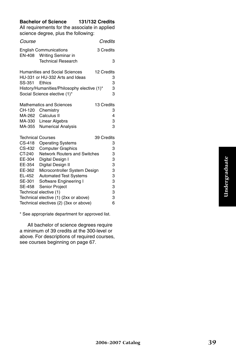#### **Bachelor of Science 131/132 Credits**

All requirements for the associate in applied science degree, plus the following:

| Course                   |                                                            | Credits    |        |
|--------------------------|------------------------------------------------------------|------------|--------|
|                          | <b>English Communications</b><br>EN-408 Writing Seminar in | 3 Credits  |        |
|                          | <b>Technical Research</b>                                  |            | 3      |
|                          | <b>Humanities and Social Sciences</b>                      | 12 Credits |        |
|                          | HU-331 or HU-332 Arts and Ideas                            |            | 3      |
| SS-351                   | Ethics                                                     |            | 3      |
|                          | History/Humanities/Philosophy elective (1)*                |            | 3      |
|                          | Social Science elective (1)*                               |            | 3      |
|                          | <b>Mathematics and Sciences</b>                            | 13 Credits |        |
| CH-120                   | Chemistry                                                  |            | 3      |
|                          | MA-262 Calculus II                                         |            | 4      |
|                          | MA-330 Linear Algebra                                      |            | 3      |
| MA-355                   | <b>Numerical Analysis</b>                                  |            | 3      |
| <b>Technical Courses</b> |                                                            | 39 Credits |        |
| CS-418                   | <b>Operating Systems</b>                                   |            | 3      |
| CS-432                   | <b>Computer Graphics</b>                                   |            | 3      |
| CT-240                   | <b>Network Routers and Switches</b>                        |            | 3      |
| EE-304                   | Digital Design I                                           |            | 3      |
| EE-354                   | Digital Design II                                          |            | 3      |
| EE-362                   | Microcontroller System Design                              |            | 3      |
| EL-452                   | <b>Automated Test Systems</b>                              |            | 3      |
| SE-301                   | Software Engineering I                                     |            | 3      |
| SE-458                   | Senior Project                                             |            | 3<br>З |
|                          | Technical elective (1)                                     |            |        |
|                          | Technical elective (1) (2xx or above)                      |            | 3      |
|                          | Technical electives (2) (3xx or above)                     |            | 6      |

\* See appropriate department for approved list.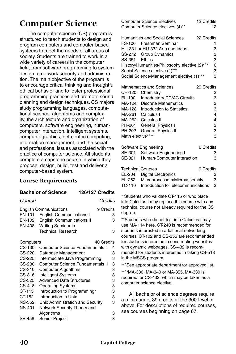## **Computer Science**

The computer science (CS) program is structured to teach students to design and program computers and computer-based systems to meet the needs of all areas of society. Students are trained to work in a wide variety of careers in the computer field, from software programming to system design to network security and administration. The main objective of the program is to encourage critical thinking and thoughtful ethical behavior and to foster professional programming practices and promote sound planning and design techniques. CS majors study programming languages, computational science, algorithms and complexity, the architecture and organization of computers, software engineering, humancomputer interaction, intelligent systems, computer graphics, net-centric computing, information management, and the social and professional issues associated with the practice of computer science. All students complete a capstone course in which they propose, design, build, test and deliver a computer-based system.

#### **Course Requirements**

#### **Bachelor of Science 126/127 Credits**

| Course |
|--------|
|--------|

*Course Credits*

| <b>English Communications</b>           | 9 Credits |
|-----------------------------------------|-----------|
| EN-101 English Communications I         | з         |
| <b>EN-102</b> English Communications II | з         |
| EN-408 Writing Seminar in               |           |
| <b>Technical Research</b>               | з         |

| Computers     | 40 Credits                              |   |
|---------------|-----------------------------------------|---|
| $CS-130$      | <b>Computer Science Fundamentals I</b>  | 4 |
| CS-220        | Database Management                     | 3 |
| CS-225        | Intermediate Java Programming           | 3 |
| CS-230        | <b>Computer Science Fundamentals II</b> | 3 |
| CS-310        | <b>Computer Algorithms</b>              | 3 |
| CS-316        | <b>Intelligent Systems</b>              | 3 |
| CS-325        | <b>Advanced Data Structures</b>         | 3 |
| CS-418        | <b>Operating Systems</b>                | 3 |
| CT-115        | Introduction to Programming*            | 3 |
| CT-152        | Introduction to Unix                    | 3 |
| <b>NS-352</b> | Unix Administration and Security        | 3 |
| <b>NS-401</b> | Network Security Theory and             |   |
|               | Algorithms                              | 3 |
| SE-458        | <b>Senior Project</b>                   | 3 |

|                          | <b>Computer Science Electives</b>             | 12 Credits |
|--------------------------|-----------------------------------------------|------------|
|                          | Computer Science electives (4)**              | 12         |
|                          | Humanities and Social Sciences                | 22 Credits |
| FS-100                   | Freshman Seminar                              | 1          |
|                          | HU-331 or HU-332 Arts and Ideas               | 3          |
| SS-272                   | Group Dynamics                                | 3          |
| SS-351                   | <b>Fthics</b>                                 | 3          |
|                          | History/Humanities/Philosophy elective (2)*** | 6          |
|                          | Social Science elective (1)***                | 3          |
|                          | Social Science/Management elective (1)***     | 3          |
|                          | Mathematics and Sciences                      | 29 Credits |
| CH-120                   | Chemistry                                     | 3          |
| EL-100                   | Introductory DC/AC Circuits                   | 3          |
| MA-124                   | <b>Discrete Mathematics</b>                   | 3          |
| MA-128                   | Introduction to Statistics                    | 3          |
| MA-261                   | Calculus I                                    | 4          |
| MA-262                   | Calculus II                                   | 4          |
| PH-201                   | <b>General Physics I</b>                      | 3          |
| PH-202                   | <b>General Physics II</b>                     | 3          |
| Math elective****        |                                               | 3          |
|                          | Software Engineering                          | 6 Credits  |
| SE-301                   | Software Engineering I                        | 3          |
| SE-321                   | Human-Computer Interaction                    | 3          |
| <b>Technical Courses</b> |                                               | 9 Credits  |
| EL-204                   | <b>Digital Electronics</b>                    | 3          |
| EL-262                   | Microprocessors/Microassembly                 | 3          |
| <b>TC-110</b>            | Introduction to Telecommunications            | 3          |
|                          |                                               |            |

\* Students who validate CT-115 or who place into Calculus I may replace this course with any technical course not already required for the CS degree.

\*\*Students who do not test into Calculus I may use MA-114 here. CT-240 is recommended for students interested in additional networking courses. CT-102 and CS-356 are recommended for students interested in constructing websites with dynamic webpages. CS-432 is recommended for students interested in taking CS-513 in the MSCS program.

\*\*\*See appropriate department for approved list.

\*\*\*\*MA-330, MA-340 or MA-355. MA-330 is required for CS-432, which may be taken as a computer science elective.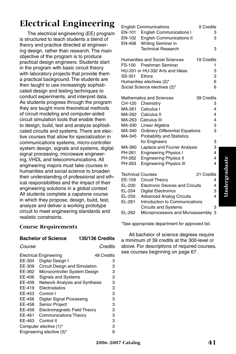## **Electrical Engineering**

The electrical engineering (EE) program is structured to teach students a blend of theory and practice directed at engineering design, rather than research. The main objective of the program is to produce practical design engineers. Students start in the program with basic circuit theory with laboratory projects that provide them a practical background. The students are then taught to use increasingly sophisticated design and testing techniques to conduct experiments, and interpret data. As students progress through the program they are taught more theoretical methods of circuit modeling and computer-aided circuit simulation tools that enable them to design, build, test and analyze sophisticated circuits and systems. There are elective courses that allow for specialization in communications systems, micro-controller system design, signals and systems, digital signal processing, microwave engineering, VHDL and telecommunications. All engineering majors must take courses in humanities and social science to broaden their understanding of professional and ethical responsibilities and the impact of their engineering solutions in a global context. All students complete a capstone course in which they propose, design, build, test, analyze and deliver a working prototype circuit to meet engineering standards and realistic constraints.

#### **Course Requirements**

#### **Bachelor of Science 135/136 Credits**

#### *Course Credits*

|                           | <b>Electrical Engineering</b>         | 48 Credits |
|---------------------------|---------------------------------------|------------|
| EE-304                    | Digital Design I                      | з          |
| EE-309                    | Circuit Design and Simulation         | з          |
| EE-362                    | Microcontroller System Design         | 3          |
| EE-406                    | <b>Signals and Systems</b>            | 3          |
| EE-409                    | <b>Network Analysis and Synthesis</b> | 3          |
| EE-419                    | <b>Flectrostatics</b>                 | 3          |
| EE-453                    | Control I                             | 3          |
| EE-456                    | Digital Signal Processing             | з          |
| EE-458                    | <b>Senior Project</b>                 | 3          |
| EE-459                    | <b>Electromagnetic Field Theory</b>   | з          |
| EE-461                    | <b>Communications Theory</b>          | 3          |
| EE-463                    | Control II                            | 3          |
|                           | Computer elective (1)*                | 3          |
| Engineering elective (3)* |                                       |            |

|        | <b>English Communications</b>          | 9 Credits  |   |
|--------|----------------------------------------|------------|---|
| EN-101 | <b>English Communications I</b>        |            | 3 |
| EN-102 | <b>English Communications II</b>       |            | 3 |
| EN-408 | Writing Seminar in                     |            |   |
|        | <b>Technical Research</b>              |            | 3 |
|        |                                        |            |   |
|        | <b>Humanities and Social Sciences</b>  | 19 Credits |   |
| FS-100 | Freshman Seminar                       |            | 1 |
|        | HU-331 or HU-332 Arts and Ideas        |            | 3 |
| SS-351 | <b>Fthics</b>                          |            | 3 |
|        | Humanities electives (2)*              |            | 6 |
|        | Social Science electives (2)*          |            | 6 |
|        |                                        |            |   |
|        | <b>Mathematics and Sciences</b>        | 39 Credits |   |
| CH-120 | Chemistry                              |            | 3 |
| MA-261 | Calculus I                             |            | 4 |
| MA-262 | Calculus II                            |            | 4 |
| MA-263 | Calculus III                           |            | 4 |
| MA-330 | Linear Algebra                         |            | 3 |
| MA-340 | <b>Ordinary Differential Equations</b> |            | 3 |
| MA-345 | <b>Probability and Statistics</b>      |            |   |
|        | for Engineers                          |            | 3 |
| MA-360 | Laplace and Fourier Analysis           |            | 3 |
| PH-261 | <b>Engineering Physics I</b>           |            | 4 |
| PH-262 | <b>Engineering Physics II</b>          |            | 4 |
| PH-263 | <b>Engineering Physics III</b>         |            | 4 |
|        |                                        |            |   |
|        | <b>Technical Courses</b>               | 21 Credits |   |
| EE-159 | <b>Circuit Theory</b>                  |            | 4 |
| EL-200 | <b>Electronic Devices and Circuits</b> |            | 4 |
| EL-204 | <b>Digital Electronics</b>             |            | 3 |
| EL-250 | <b>Advanced Analog Circuits</b>        |            | 4 |
| EL-261 | Introduction to Communications         |            |   |
|        | <b>Circuits and Systems</b>            |            | 3 |
| EL-262 | Microprocessors and Microassembly      |            | 3 |

\*See appropriate department for approved list.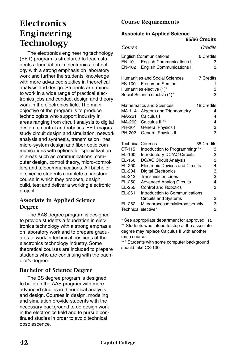## **Electronics Engineering Technology**

The electronics engineering technology (EET) program is structured to teach students a foundation in electronics technology with a strong emphasis on laboratory work and further the students' knowledge with more advanced studies in theoretical analysis and design. Students are trained to work in a wide range of practical electronics jobs and conduct design and theory work in the electronics field. The main objective of the program is to produce technologists who support industry in areas ranging from circuit analysis to digital design to control and robotics. EET majors study circuit design and simulation, network analysis and synthesis, transmission lines, micro-system design and fiber-optic communications with options for specialization in areas such as communications, computer design, control theory, micro-controllers and telecommunications. All bachelor of science students complete a capstone course in which they propose, design, build, test and deliver a working electronic project.

#### **Associate in Applied Science Degree**

The AAS degree program is designed to provide students a foundation in electronics technology with a strong emphasis on laboratory work and to prepare graduates to work in technical positions of the electronics technology industry. Some theoretical courses are included to prepare students who are continuing with the bachelor's degree.

#### **Bachelor of Science Degree**

The BS degree program is designed to build on the AAS program with more advanced studies in theoretical analysis and design. Courses in design, modeling and simulation provide students with the necessary background to do design work in the electronics field and to pursue continued studies in order to avoid technical obsolescence.

#### **Course Requirements**

#### **Associate in Applied Science**

|                  |                                                                                                                | 65/66 Credits                   |
|------------------|----------------------------------------------------------------------------------------------------------------|---------------------------------|
| <i>Course</i>    |                                                                                                                | Credits                         |
| EN-101<br>EN-102 | <b>English Communications</b><br><b>English Communications I</b><br><b>English Communications II</b>           | 6 Credits<br>3<br>3             |
| FS-100           | Humanities and Social Sciences<br>Freshman Seminar<br>Humanities elective (1)*<br>Social Science elective (1)* | <b>7 Credits</b><br>1<br>3<br>3 |
|                  | <b>Mathematics and Sciences</b>                                                                                | 18 Credits                      |
| MA-114           | Algebra and Trigonometry                                                                                       | 4                               |
| MA-261           | Calculus I                                                                                                     | 4                               |
| MA-262           | Calculus II <sup>**</sup>                                                                                      | 4                               |
| PH-201           | <b>General Physics I</b>                                                                                       | 3                               |
| PH-202           | <b>General Physics II</b>                                                                                      | 3                               |
|                  | <b>Technical Courses</b>                                                                                       | 35 Credits                      |
| CT-115           | Introduction to Programming***                                                                                 | 3                               |
| EL-100           | Introductory DC/AC Circuits                                                                                    | 3                               |
| EL-150           | <b>DC/AC Circuit Analysis</b>                                                                                  | 3                               |
| EL-200           | <b>Electronic Devices and Circuits</b>                                                                         | 4                               |
| EL-204           | <b>Digital Electronics</b>                                                                                     | 3                               |
| EL-212           | <b>Transmission Lines</b>                                                                                      | 3                               |
| EL-250           | <b>Advanced Analog Circuits</b>                                                                                | 4                               |
| EL-255           | <b>Control and Robotics</b>                                                                                    | 3                               |
| EL-261           | Introduction to Communications                                                                                 |                                 |
|                  | <b>Circuits and Systems</b>                                                                                    | 3                               |
| EL-262           | Microprocessors/Microassembly                                                                                  | 3                               |
|                  | Technical elective*                                                                                            | 3                               |

\* See appropriate department for approved list. \*\* Students who intend to stop at the associate degree may replace Calculus II with another math course.

\*\*\* Students with some computer background should take CS-130.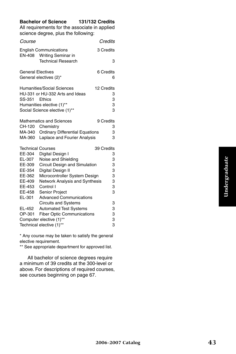#### **Bachelor of Science 131/132 Credits**

All requirements for the associate in applied science degree, plus the following:

| Course                   |                                                            |            | Credits   |
|--------------------------|------------------------------------------------------------|------------|-----------|
| EN-408                   | <b>English Communications</b><br><b>Writing Seminar in</b> |            | 3 Credits |
|                          | <b>Technical Research</b>                                  |            | 3         |
| <b>General Electives</b> |                                                            |            | 6 Credits |
|                          | General electives (2)*                                     |            | 6         |
|                          | Humanities/Social Sciences                                 | 12 Credits |           |
|                          | HU-331 or HU-332 Arts and Ideas                            |            | 3         |
| SS-351                   | Ethics                                                     |            | 3         |
|                          | Humanities elective (1)**                                  |            | 3         |
|                          | Social Science elective (1)**                              |            | 3         |
|                          | <b>Mathematics and Sciences</b>                            |            | 9 Credits |
|                          | CH-120 Chemistry                                           |            | 3         |
| MA-340                   | <b>Ordinary Differential Equations</b>                     |            | 3         |
| MA-360                   | Laplace and Fourier Analysis                               |            | 3         |
| <b>Technical Courses</b> |                                                            | 39 Credits |           |
| EE-304                   | Digital Design I                                           |            | 3         |
| EL-307                   | Noise and Shielding                                        |            | 3         |
| EE-309                   | Circuit Design and Simulation                              |            | 3         |
| EE-354                   | Digital Design II                                          |            | 3         |
| EE-362                   | Microcontroller System Design                              |            | 3         |
| EE-409                   | Network Analysis and Synthesis                             |            | 3         |
| EE-453                   | Control I                                                  |            | 3         |
| EE-458                   | Senior Project                                             |            | 3         |
| EL-301                   | <b>Advanced Communications</b>                             |            |           |
|                          | <b>Circuits and Systems</b>                                |            | 3         |
| EL-452                   | <b>Automated Test Systems</b>                              |            | 3         |
| OP-301                   | <b>Fiber Optic Communications</b>                          |            | 3         |
|                          | Computer elective (1)**                                    |            | 3         |
| Technical elective (1)** |                                                            |            | 3         |

\* Any course may be taken to satisfy the general elective requirement.

\*\* See appropriate department for approved list.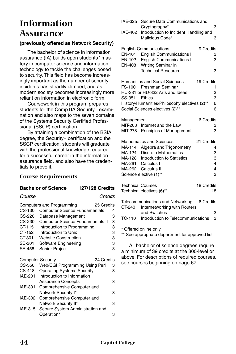## **Information Assurance**

#### **(previously offered as Network Security)**

The bachelor of science in information assurance (IA) builds upon students ' mastery in computer science and information technology to tackle the challenges posed to security. This field has become increasingly important as the number of security incidents has steadily climbed, and as modern society becomes increasingly more reliant on information in electronic form.

Coursework in this program prepares students for the CompTIA Security+ examination and also maps to the seven domains of the Systems Security Certified Professional (SSCP) certification.

By attaining a combination of the BSIA degree, the Security+ certification and the SSCP certification, students will graduate with the professional knowledge required for a successful career in the information assurance field, and also have the credentials to prove it.

#### **Course Requirements**

#### **Bachelor of Science 127/128 Credits**

#### *Course Credits*

|                | Computers and Programming<br>25 Credits |   |
|----------------|-----------------------------------------|---|
| CS-130         | <b>Computer Science Fundamentals I</b>  | 4 |
| CS-220         | Database Management                     | 3 |
| CS-230         | <b>Computer Science Fundamentals II</b> | 3 |
| CT-115         | Introduction to Programming             | 3 |
| CT-152         | Introduction to Unix                    | 3 |
| CT-301         | <b>Website Construction</b>             | 3 |
| SE-301         | Software Engineering                    | 3 |
| <b>SE-458</b>  | Senior Project                          | 3 |
|                | <b>Computer Security</b><br>24 Credits  |   |
| CS-356         | Web/CGI Programming Using Perl          | 3 |
| CS-418         | <b>Operating Systems Security</b>       | 3 |
| IAE-201        | Introduction to Information             |   |
|                | <b>Assurance Concepts</b>               | З |
| <b>IAE-301</b> | Comprehensive Computer and              |   |
|                | Network Security I*                     | З |
| <b>IAE-302</b> | Comprehensive Computer and              |   |
|                | Network Security II*                    | 3 |
| IAE-315        | Secure System Administration and        |   |
|                | Operation*                              | 3 |

| IAE-325                  | Secure Data Communications and<br>Cryptography*          |            | 3      |
|--------------------------|----------------------------------------------------------|------------|--------|
| <b>IAE-402</b>           | Introduction to Incident Handling and<br>Malicious Code* |            | 3      |
|                          | <b>English Communications</b>                            | 9 Credits  |        |
| EN-101                   | <b>English Communications I</b>                          |            | З      |
| EN-102                   | <b>English Communications II</b>                         |            | 3      |
| EN-408                   | Writing Seminar in                                       |            |        |
|                          | <b>Technical Research</b>                                |            | 3      |
|                          | <b>Humanities and Social Sciences</b>                    | 19 Credits |        |
|                          | FS-100 Freshman Seminar                                  |            | 1      |
|                          | HU-331 or HU-332 Arts and Ideas                          |            | 3      |
| SS-351                   | Ethics                                                   |            | 3      |
|                          | History/Humanities/Philosophy electives (2)**            |            | 6      |
|                          | Social Sciences electives (2)**                          |            | 6      |
| Management               |                                                          | 6 Credits  |        |
| MIT-208                  | Internet and the Law                                     |            | 3      |
| MIT-278                  | Principles of Management                                 |            | 3      |
|                          | <b>Mathematics and Sciences</b>                          | 21 Credits |        |
| MA-114                   | Algebra and Trigonometry                                 |            | 4      |
| MA-124                   | <b>Discrete Mathematics</b>                              |            | 3      |
|                          | MA-128 Introduction to Statistics                        |            | 3      |
| MA-261                   | Calculus I                                               |            | 4      |
|                          | MA-262 Calculus II                                       |            | 4      |
|                          | Science elective (1)**                                   |            | 3      |
| <b>Technical Courses</b> |                                                          | 18 Credits |        |
|                          | Technical electives (6)**                                |            | 18     |
|                          | Telecommunications and Networking                        | 6 Credits  |        |
| CT-240                   | Internetworking with Routers                             |            |        |
|                          | and Switches                                             |            | 3<br>3 |
| TC-110                   | Introduction to Telecommunications                       |            |        |
|                          | * Offered online only.                                   |            |        |

\*\* See appropriate department for approved list.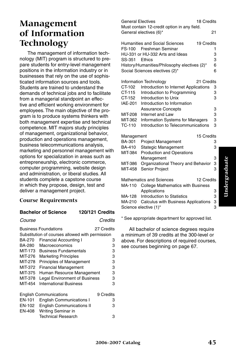## **Management of Information Technology**

The management of information technology (MIT) program is structured to prepare students for entry-level management positions in the information industry or in businesses that rely on the use of sophisticated information sources and tools. Students are trained to understand the demands of technical jobs and to facilitate from a managerial standpoint an effective and efficient working environment for employees. The main objective of the program is to produce systems thinkers with both management expertise and technical competence. MIT majors study principles of management, organizational behavior, production and operations management, business telecommunications analysis, marketing and personnel management with options for specialization in areas such as entrepreneurship, electronic commerce, computer programming, website design and administration, or liberal studies. All students complete a capstone course in which they propose, design, test and deliver a management project.

#### **Course Requirements**

#### **Bachelor of Science 120/121 Credits**

#### *Course Credits*

| <b>Business Foundations</b><br>27 Credits |                                                 |           |  |
|-------------------------------------------|-------------------------------------------------|-----------|--|
|                                           | Substitution of courses allowed with permission |           |  |
| BA-270                                    | <b>Financial Accounting I</b>                   | 3         |  |
| BA-280                                    | Macroeconomics                                  | 3         |  |
| MIT-173                                   | <b>Business Fundamentals</b>                    | 3         |  |
| MIT-276                                   | <b>Marketing Principles</b>                     | 3         |  |
| MIT-278                                   | <b>Principles of Management</b>                 | 3         |  |
| MIT-372                                   | <b>Financial Management</b>                     | 3         |  |
| MIT-375                                   | Human Resource Management                       | 3         |  |
| MIT-378                                   | <b>Legal Environment of Business</b>            | 3         |  |
| MIT-454                                   | <b>International Business</b>                   | 3         |  |
|                                           |                                                 |           |  |
|                                           | <b>English Communications</b>                   | 9 Credits |  |
| <b>EN-101</b>                             | <b>English Communications I</b>                 | 3         |  |
| EN-102                                    | <b>English Communications II</b>                | З         |  |
| EN-408                                    | Writing Seminar in                              |           |  |
|                                           | <b>Technical Research</b>                       | 3         |  |

| <b>General Electives</b> | 18 Credits                                          |    |  |  |  |
|--------------------------|-----------------------------------------------------|----|--|--|--|
|                          | Must contain 12-credit option in any field.         |    |  |  |  |
|                          | General electives (6)*                              | 21 |  |  |  |
|                          |                                                     |    |  |  |  |
|                          | <b>Humanities and Social Sciences</b><br>19 Credits |    |  |  |  |
|                          | FS-100 Freshman Seminar                             | 1  |  |  |  |
|                          | HU-331 or HU-332 Arts and Ideas                     | 3  |  |  |  |
| SS-351                   | Ethics                                              | 3  |  |  |  |
|                          | History/Humanities/Philosophy electives (2)*        | 6  |  |  |  |
|                          | Social Sciences electives (2)*                      | 6  |  |  |  |
|                          | Information Technology<br>21 Credits                |    |  |  |  |
| CT-102                   | Introduction to Internet Applications               | 3  |  |  |  |
| CT-115                   | Introduction to Programming                         | 3  |  |  |  |
| CT-152                   | Introduction to Unix                                | 3  |  |  |  |
| <b>IAE-201</b>           | Introduction to Information                         |    |  |  |  |
|                          | <b>Assurance Concepts</b>                           | 3  |  |  |  |
| MIT-208                  | Internet and Law                                    | 3  |  |  |  |
| MIT-362                  | Information Systems for Managers                    | 3  |  |  |  |
| <b>TC-110</b>            | Introduction to Telecommunications                  | 3  |  |  |  |
|                          |                                                     |    |  |  |  |
| Management               | 15 Credits                                          |    |  |  |  |
| BA-301                   | <b>Project Management</b>                           | 3  |  |  |  |
| BA-410                   | Stategic Management                                 | 3  |  |  |  |
| MIT-384                  | <b>Production and Operations</b>                    |    |  |  |  |
|                          | Management                                          | 3  |  |  |  |
| MIT-386                  | Organizational Theory and Behavior                  | 3  |  |  |  |
| MIT-458                  | Senior Project                                      | 3  |  |  |  |
|                          | <b>Mathematics and Sciences</b><br>12 Credits       |    |  |  |  |
| MA-110                   | <b>College Mathematics with Business</b>            |    |  |  |  |
|                          | Applications                                        | 3  |  |  |  |
| MA-128                   | Introduction to Statistics                          | 3  |  |  |  |
| MA-210                   | <b>Calculus with Business Applications</b>          | 3  |  |  |  |
|                          | Science elective (1)*                               | 3  |  |  |  |

\* See appropriate department for approved list.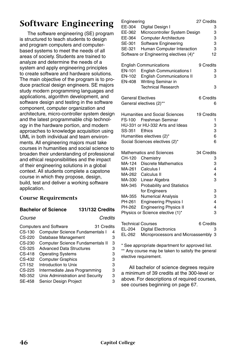## **Software Engineering**

The software engineering (SE) program is structured to teach students to design and program computers and computerbased systems to meet the needs of all areas of society. Students are trained to analyze and determine the needs of a system and apply engineering principles to create software and hardware solutions. The main objective of the program is to produce practical design engineers. SE majors study modern programming languages and applications, algorithm development, and software design and testing in the software component, computer organization and architecture, micro-controller system design and the latest programmable chip technology in the hardware portion, and modern approaches to knowledge acquisition using UML in both individual and team environments. All engineering majors must take courses in humanities and social science to broaden their understanding of professional and ethical responsibilities and the impact of their engineering solutions in a global context. All students complete a capstone course in which they propose, design, build, test and deliver a working software application.

#### **Course Requirements**

#### **Bachelor of Science 131/132 Credits**

*Course Credits*

|               | <b>Computers and Software</b><br>31 Credits |   |
|---------------|---------------------------------------------|---|
| CS-130        | <b>Computer Science Fundamentals I</b>      | 4 |
| CS-220        | Database Management                         | 3 |
| CS-230        | Computer Science Fundamentals II            | 3 |
| CS-325        | <b>Advanced Data Structures</b>             | 3 |
| CS-418        | <b>Operating Systems</b>                    | 3 |
| CS-432        | <b>Computer Graphics</b>                    | 3 |
| CT-152        | Introduction to Unix                        | 3 |
| CS-225        | Intermediate Java Programming               | 3 |
| <b>NS-352</b> | Unix Administration and Security            | 3 |
| <b>SE-458</b> | Senior Design Project                       | 3 |
|               |                                             |   |

| Engineering              |                                        | 27 Credits |
|--------------------------|----------------------------------------|------------|
| EE-304                   | Digital Design I                       | 3          |
| EE-362                   | Microcontroller System Design          | 3          |
| EE-364                   | <b>Computer Architecture</b>           | 3          |
| SE-301                   | Software Engineering                   | 3          |
| SE-321                   | Human Computer Interaction             | 3          |
|                          | Software or Engineering electives (4)* | 12         |
|                          | <b>English Communications</b>          | 9 Credits  |
| <b>EN-101</b>            | <b>English Communications I</b>        | 3          |
| EN-102                   | <b>English Communications II</b>       | 3          |
| EN-408                   | Writing Seminar in                     |            |
|                          | <b>Technical Research</b>              | 3          |
| <b>General Electives</b> |                                        | 6 Credits  |
|                          | General electives (2)**                | 6          |
|                          | Humanities and Social Sciences         | 19 Credits |
| FS-100                   | Freshman Seminar                       | 1          |
|                          | HU-331 or HU-332 Arts and Ideas        | 3          |
| SS-351                   | Ethics                                 | 3          |
|                          | Humanities electives (2)*              | 6          |
|                          | Social Sciences electives (2)*         | 6          |
|                          | <b>Mathematics and Sciences</b>        | 34 Credits |
| CH-120                   | Chemistry                              | 3          |
| MA-124                   | <b>Discrete Mathematics</b>            | 3          |
| MA-261                   | Calculus I                             | 4          |
| MA-262                   | Calculus II                            | 4          |
| MA-330                   | Linear Algebra                         | 3          |
| MA-345                   | <b>Probability and Statistics</b>      |            |
|                          | for Engineers                          | 3          |
| MA-355                   | <b>Numerical Analysis</b>              | 3          |
| PH-261                   | <b>Engineering Physics I</b>           | 4          |
| PH-262                   | <b>Engineering Physics II</b>          | 4          |
|                          | Physics or Science elective (1)*       | 3          |
| <b>Technical Courses</b> |                                        | 6 Credits  |

| <b>Technical Courses</b> |                                     | 6 Credits |  |
|--------------------------|-------------------------------------|-----------|--|
|                          | EL-204 Digital Electronics          |           |  |
| EL-262                   | Microprocessors and Microassembly 3 |           |  |

\* See appropriate department for approved list. \*\* Any course may be taken to satisfy the general elective requirement.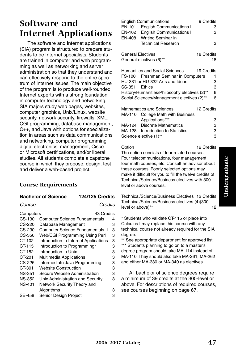## **Software and Internet Applications**

The software and Internet applications (SIA) program is structured to prepare students to be Internet specialists. Students are trained in computer and web programming as well as networking and server administration so that they understand and can effectively respond to the entire spectrum of Internet issues. The main objective of the program is to produce well-rounded Internet experts with a strong foundation in computer technology and networking. SIA majors study web pages, websites, computer graphics, Unix/Linux, website security, network security, firewalls, XML, CGI programming, database management, C++, and Java with options for specialization in areas such as data communications and networking, computer programming, digital electronics, management, Cisco or Microsoft certifications, and/or liberal studies. All students complete a capstone course in which they propose, design, test and deliver a web-based project.

#### **Course Requirements**

#### **Bachelor of Science 124/125 Credits**

*Course Credits*

| Computers     | 43 Credits                             |   |
|---------------|----------------------------------------|---|
| $CS-130$      | <b>Computer Science Fundamentals I</b> | 4 |
|               |                                        |   |
| CS-220        | Database Management                    | 3 |
| CS-230        | Computer Science Fundamentals II       | 3 |
| CS-356        | Web/CGI Programming Using Perl         | 3 |
| CT-102        | Introduction to Internet Applications  | 3 |
| CT-115        | Introduction to Programming*           | 3 |
| CT-152        | Introduction to Unix                   | 3 |
| CT-201        | <b>Multimedia Applications</b>         | 3 |
| CS-225        | Intermediate Java Programming          | 3 |
| CT-301        | <b>Website Construction</b>            | 3 |
| <b>NS-351</b> | Secure Website Administration          | 3 |
| <b>NS-352</b> | Unix Administration and Security       | 3 |
| <b>NS-401</b> | Network Security Theory and            |   |
|               | Algorithms                             | 3 |
| <b>SE-458</b> | Senior Design Project                  | 3 |
|               |                                        |   |

|                          | <b>English Communications</b>                 | 9 Credits  |    |
|--------------------------|-----------------------------------------------|------------|----|
| EN-101                   | <b>English Communications I</b>               |            | з  |
| EN-102                   | <b>English Communications II</b>              |            | з  |
| EN-408                   | Writing Seminar in                            |            |    |
|                          | <b>Technical Research</b>                     |            | 3  |
|                          |                                               |            |    |
| <b>General Electives</b> |                                               | 18 Credits |    |
|                          | General electives (6)**                       |            | 18 |
|                          |                                               |            |    |
|                          | Humanities and Social Sciences                | 19 Credits |    |
|                          | FS-100 Freshman Seminar in Computers          |            | 1  |
|                          | HU-331 or HU-332 Arts and Ideas               |            | 3  |
| SS-351                   | <b>Fthics</b>                                 |            | 3  |
|                          | History/Humanities/Philosophy electives (2)** |            | 6  |
|                          | Social Sciences/Management electives (2)**    |            | 6  |
|                          |                                               |            |    |
|                          | <b>Mathematics and Sciences</b>               | 12 Credits |    |
| MA-110                   | <b>College Math with Business</b>             |            |    |
|                          | Applications***                               |            | 3  |
|                          | MA-124 Discrete Mathematics                   |            | 3  |
|                          | MA-128 Introduction to Statistics             |            | 3  |
|                          | Science elective (1)**                        |            | 3  |
|                          |                                               |            |    |
|                          |                                               |            |    |

Option 12 Credits The option consists of four related courses: Four telecommunications, four management, four math courses, etc. Consult an advisor about these courses. Poorly selected options may make it difficult for you to fill the twelve credits of Technical/Science/Business electives with 300 level or above courses.

Technical/Science/Business Electives 12 Credits Technical/Science/Business electives (4)(300 level or above)\*\* 12

\* Students who validate CT-115 or place into Calculus I may replace this course with any technical course not already required for the SIA degree.

\*\* See appropriate department for approved list. \*\*\* Students planning to go on to a master's degree program should take MA-114 instead of MA-110. They should also take MA-261, MA-262 and either MA-330 or MA-340 as electives.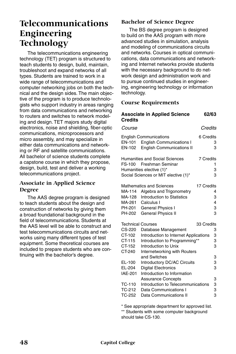## **Telecommunications Engineering Technology**

The telecommunications engineering technology (TET) program is structured to teach students to design, build, maintain, troubleshoot and expand networks of all types. Students are trained to work in a wide range of telecommunications and computer networking jobs on both the technical and the design sides. The main objective of the program is to produce technologists who support industry in areas ranging from data communications and networking to routers and switches to network modeling and design. TET majors study digital electronics, noise and shielding, fiber-optic communications, microprocessors and micro assembly, and may specialize in either data communications and networking or RF and satellite communications. All bachelor of science students complete a capstone course in which they propose, design, build, test and deliver a working telecommunications project.

#### **Associate in Applied Science Degree**

The AAS degree program is designed to teach students about the design and construction of networks by giving them a broad foundational background in the field of telecommunications. Students at the AAS level will be able to construct and test telecommunications circuits and networks using many different types of test equipment. Some theoretical courses are included to prepare students who are continuing with the bachelor's degree.

#### **Bachelor of Science Degree**

The BS degree program is designed to build on the AAS program with more advanced studies in simulation, analysis and modeling of communications circuits and networks. Courses in optical communications, data communications and networking and Internet networks provide students with the necessary background to do network design and administration work and to pursue continued studies in engineering, engineering technology or information technology.

#### **Course Requirements**

| <b>Credits</b>                                 | <b>Associate in Applied Science</b>                                                                                                                       | 62/63                     |        |
|------------------------------------------------|-----------------------------------------------------------------------------------------------------------------------------------------------------------|---------------------------|--------|
| Course                                         |                                                                                                                                                           | Credits                   |        |
| EN-101<br>EN-102                               | <b>English Communications</b><br><b>English Communications I</b><br><b>English Communications II</b>                                                      | 6 Credits<br>3<br>3       |        |
|                                                | Humanities and Social Sciences<br>FS-100 Freshman Seminar<br>Humanities elective (1)*<br>Social Sciences or MIT elective (1)*                             | 7 Credits<br>1<br>3<br>3  |        |
| MA-114<br>MA-128<br>MA-261<br>PH-201<br>PH-202 | Mathematics and Sciences<br>Algebra and Trigonometry<br><b>Introduction to Statistics</b><br>Calculus I<br>General Physics I<br><b>General Physics II</b> | 17 Credits<br>4<br>4<br>3 | 3<br>3 |
| <b>Technical Courses</b>                       |                                                                                                                                                           | 33 Credits                |        |
| CS-220                                         | Database Management                                                                                                                                       | 3                         |        |
| CT-102                                         | Introduction to Internet Applications                                                                                                                     | 3                         |        |
| CT-115                                         | Introduction to Programming**                                                                                                                             | 3                         |        |
| CT-152                                         | Introduction to Unix                                                                                                                                      | 3                         |        |
| CT-240                                         | Internetworking with Routers                                                                                                                              |                           |        |
|                                                | and Switches                                                                                                                                              | 3                         |        |
| EL-100                                         | Introductory DC/AC Circuits                                                                                                                               |                           | 3      |
| EL-204                                         | <b>Digital Electronics</b>                                                                                                                                |                           | 3      |
| <b>IAE-201</b>                                 | Introduction to Information                                                                                                                               |                           |        |
|                                                | <b>Assurance Concepts</b>                                                                                                                                 | 3                         |        |
| <b>TC-110</b>                                  | Introduction to Telecommunications                                                                                                                        |                           | 3      |
| TC-212                                         | Data Communications I                                                                                                                                     | 3                         | 3      |
| TC-252                                         | Data Communications II                                                                                                                                    |                           |        |

\* See appropriate department for approved list. \*\* Students with some computer background should take CS-130.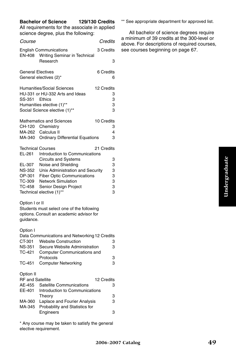#### **Bachelor of Science 129/130 Credits**

All requirements for the associate in applied science degree, plus the following:

| <i>Course</i>                                            |                                                                                                                                              | Credits                        |
|----------------------------------------------------------|----------------------------------------------------------------------------------------------------------------------------------------------|--------------------------------|
| <b>EN-408</b>                                            | <b>English Communications</b><br>Writing Seminar in Technical                                                                                | 3 Credits                      |
|                                                          | Research                                                                                                                                     | 3                              |
| <b>General Electives</b>                                 | General electives (2)*                                                                                                                       | 6 Credits<br>6                 |
| SS-351                                                   | <b>Humanities/Social Sciences</b><br>HU-331 or HU-332 Arts and Ideas<br>Ethics<br>Humanities elective (1)**<br>Social Science elective (1)** | 12 Credits<br>3<br>3<br>3<br>3 |
| CH-120                                                   | <b>Mathematics and Sciences</b><br>Chemistry                                                                                                 | 10 Credits<br>3                |
| MA-262                                                   | Calculus II                                                                                                                                  | 4                              |
| MA-340                                                   | <b>Ordinary Differential Equations</b>                                                                                                       | 3                              |
| <b>Technical Courses</b><br>EL-261                       | Introduction to Communications                                                                                                               | 21 Credits                     |
|                                                          | <b>Circuits and Systems</b>                                                                                                                  | 3                              |
| EL-307                                                   | Noise and Shielding                                                                                                                          | 3                              |
| <b>NS-352</b>                                            | Unix Administration and Security                                                                                                             | 3                              |
| OP-301                                                   | <b>Fiber Optic Communications</b>                                                                                                            | 3                              |
| TC-309                                                   | <b>Network Simulation</b>                                                                                                                    | 3                              |
| TC-458                                                   | Senior Design Project<br>Technical elective (1)**                                                                                            | 3<br>3                         |
| Option I or II<br>guidance.                              | Students must select one of the following<br>options. Consult an academic advisor for                                                        |                                |
| Option I                                                 |                                                                                                                                              |                                |
|                                                          | Data Communications and Networking 12 Credits                                                                                                |                                |
| CT-301                                                   | <b>Website Construction</b>                                                                                                                  | 3                              |
| <b>NS-351</b>                                            | Secure Website Administration                                                                                                                | 3                              |
| TC-421                                                   | Computer Communications and                                                                                                                  |                                |
| TC-451                                                   | Protocols<br><b>Computer Networking</b>                                                                                                      | 3<br>3                         |
| Option II<br><b>RF</b> and Satellite<br>AE-455<br>EE-401 | Satellite Communications<br>Introduction to Communications<br>Theory                                                                         | 12 Credits<br>3<br>3           |
| MA-360                                                   | Laplace and Fourier Analysis                                                                                                                 | 3                              |
| MA-345                                                   | Probability and Statistics for<br>Engineers                                                                                                  | 3                              |
|                                                          |                                                                                                                                              |                                |

\* Any course may be taken to satisfy the general elective requirement.

\*\* See appropriate department for approved list.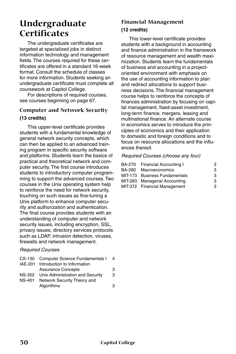## **Undergraduate Certificates**

The undergraduate certificates are targeted at specialized jobs in distinct information technology and management fields. The courses required for these certificates are offered in a standard 16-week format. Consult the schedule of classes for more information. Students seeking an undergraduate certificate must complete all coursework at Capitol College.

For descriptions of required courses, see courses beginning on page 67.

#### **Computer and Network Security (13 credits)**

This upper-level certificate provides students with a fundamental knowledge of general network security concepts, which can then be applied to an advanced training program in specific security software and platforms. Students learn the basics of practical and theoretical network and computer security. The first course introduces students to introductory computer programming to support the advanced courses. Two courses in the Unix operating system help to reinforce the need for network security, touching on such issues as fine-tuning a Unix platform to enhance computer security and authorization and authentication. The final course provides students with an understanding of computer and network security issues, including encryption, SSL, privacy issues, directory services protocols such as LDAP, intrusion detection, viruses, firewalls and network management.

#### *Required Courses*

|        | CS-130 Computer Science Fundamentals I | 4 |
|--------|----------------------------------------|---|
|        | IAE-201 Introduction to Information    |   |
|        | <b>Assurance Concepts</b>              | 3 |
| NS-352 | Unix Administration and Security       | 3 |
| NS-401 | Network Security Theory and            |   |
|        | Algorithms                             | з |

#### **Financial Management (12 credits)**

This lower-level certificate provides students with a background in accounting and finance administration in the framework of resource management and wealth maximization. Students learn the fundamentals of business and accounting in a projectoriented environment with emphasis on the use of accounting information to plan and redirect allocations to support business decisions. The financial management course helps to reinforce the concepts of finances administration by focusing on capital management, fixed-asset investment, long-term finance, mergers, leasing and multinational finance. An alternate course in economics serves to introduce the principles of economics and their application to domestic and foreign conditions and to focus on resource allocations and the influences thereof.

#### *Required Courses (choose any four)*

|        | BA-270 Financial Accounting I | з |
|--------|-------------------------------|---|
| BA-280 | Macroeconomics                | з |
|        | MIT-173 Business Fundamentals | з |
|        | MIT-283 Managerial Accounting | з |
|        | MIT-372 Financial Management  | з |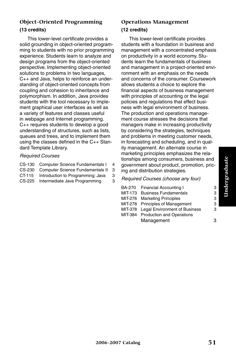#### **Object-Oriented Programming (13 credits)**

This lower-level certificate provides a solid grounding in object-oriented programming to students with no prior programming experience. Students learn to analyze and design programs from the object-oriented perspective. Implementing object-oriented solutions to problems in two languages, C++ and Java, helps to reinforce an understanding of object-oriented concepts from coupling and cohesion to inheritance and polymorphism. In addition, Java provides students with the tool necessary to implement graphical user interfaces as well as a variety of features and classes useful in webpage and Internet programming. C++ requires students to develop a good understanding of structures, such as lists, queues and trees, and to implement them using the classes defined in the C++ Standard Template Library.

#### *Required Courses*

- CS-130 Computer Science Fundamentals I 4
- CS-230 Computer Science Fundamentals II 3
- CT-115 Introduction to Programming: Java 3
- CS-225 Intermediate Java Programming 3

#### **Operations Management (12 credits)**

This lower-level certificate provides students with a foundation in business and management with a concentrated emphasis on productivity in a world economy. Students learn the fundamentals of business and management in a project-oriented environment with an emphasis on the needs and concerns of the consumer. Coursework allows students a choice to explore the financial aspects of business management with principles of accounting or the legal policies and regulations that effect business with legal environment of business. The production and operations management course stresses the decisions that managers make in increasing productivity by considering the strategies, techniques and problems in meeting customer needs, in forecasting and scheduling, and in quality management. An alternate course in marketing principles emphasizes the relationships among consumers, business and government about product, promotion, pricing and distribution strategies.

#### *Required Courses (choose any four)*

| BA-270 Financial Accounting I         | 3 |
|---------------------------------------|---|
| MIT 173 Business Fundamentals         | 3 |
| MIT-276 Marketing Principles          | 3 |
| MIT-278 Principles of Management      | 3 |
| MIT-378 Legal Environment of Business | 3 |
| MIT-384 Production and Operations     |   |
| Management                            | з |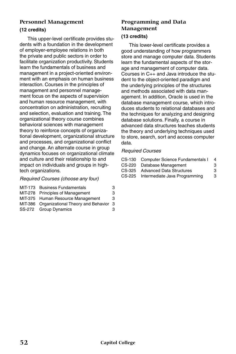#### **Personnel Management**

#### **(12 credits)**

This upper-level certificate provides students with a foundation in the development of employer-employee relations in both the private and public sectors in order to facilitate organization productivity. Students learn the fundamentals of business and management in a project-oriented environment with an emphasis on human business interaction. Courses in the principles of management and personnel management focus on the aspects of supervision and human resource management, with concentration on administration, recruiting and selection, evaluation and training. The organizational theory course combines behavioral sciences with management theory to reinforce concepts of organizational development, organizational structure and processes, and organizational conflict and change. An alternate course in group dynamics focuses on organizational climate and culture and their relationship to and impact on individuals and groups in hightech organizations.

#### *Required Courses (choose any four)*

| MIT-173 Business Fundamentals                | З |
|----------------------------------------------|---|
| MIT-278 Principles of Management             | З |
| MIT-375 Human Resource Management            | З |
| MIT-386 Organizational Theory and Behavior 3 |   |
| SS-272 Group Dynamics                        | З |
|                                              |   |

## **Programming and Data Management**

#### **(13 credits)**

This lower-level certificate provides a good understanding of how programmers store and manage computer data. Students learn the fundamental aspects of the storage and management of computer data. Courses in C++ and Java introduce the student to the object-oriented paradigm and the underlying principles of the structures and methods associated with data management. In addition, Oracle is used in the database management course, which introduces students to relational databases and the techniques for analyzing and designing database solutions. Finally, a course in advanced data structures teaches students the theory and underlying techniques used to store, search, sort and access computer data.

| CS-130 Computer Science Fundamentals I | 4 |
|----------------------------------------|---|
| CS-220 Database Management             | з |
| CS-325 Advanced Data Structures        | 3 |
| CS-225 Intermediate Java Programming   | 3 |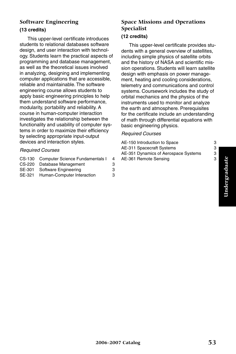# Undergraduate **Undergraduate**

#### **Software Engineering (13 credits)**

#### This upper-level certificate introduces students to relational databases software design, and user interaction with technology. Students learn the practical aspects of programming and database management, as well as the theoretical issues involved in analyzing, designing and implementing computer applications that are accessible, reliable and maintainable. The software engineering course allows students to apply basic engineering principles to help them understand software performance, modularity, portability and reliability. A course in human-computer interaction investigates the relationship between the functionality and usability of computer systems in order to maximize their efficiency by selecting appropriate input-output devices and interaction styles.

#### *Required Courses*

|        | CS-130 Computer Science Fundamentals I | 4 |
|--------|----------------------------------------|---|
|        | CS-220 Database Management             | з |
|        | SE-301 Software Engineering            | З |
| SE-321 | Human-Computer Interaction             | З |

#### **Space Missions and Operations Specialist (12 credits)**

This upper-level certificate provides students with a general overview of satellites, including simple physics of satellite orbits and the history of NASA and scientific mission operations. Students will learn satellite design with emphasis on power management, heating and cooling considerations, telemetry and communications and control systems. Coursework includes the study of orbital mechanics and the physics of the instruments used to monitor and analyze the earth and atmosphere. Prerequisites for the certificate include an understanding of math through differential equations with basic engineering physics.

| AE-150 Introduction to Space         | З |
|--------------------------------------|---|
| AE-311 Spacecraft Systems            | З |
| AE-351 Dynamics of Aerospace Systems | з |
| AE-361 Remote Sensing                | З |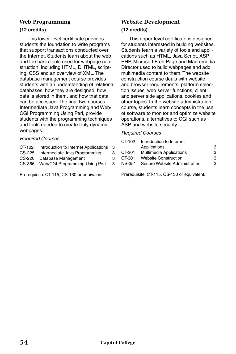#### **Web Programming (12 credits)**

This lower-level certificate provides students the foundation to write programs that support transactions conducted over the Internet. Students learn about the web and the basic tools used for webpage construction, including HTML, DHTML, scripting, CSS and an overview of XML. The database management course provides students with an understanding of relational databases, how they are designed, how data is stored in them, and how that data can be accessed. The final two courses, Intermediate Java Programming and Web/ CGI Programming Using Perl, provide students with the programming techniques and tools needed to create truly dynamic webpages.

#### *Required Courses*

| CT-102 | Introduction to Internet Applications | 3 |
|--------|---------------------------------------|---|
|        | CS-225 Intermediate Java Programming  | 3 |
|        |                                       |   |

- CS-220 Database Management 3<br>CS-356 Web/CGL Programming Using Perl 3
- CS-356 Web/CGI Programming Using Perl

Prerequisite: CT-115, CS-130 or equivalent.

#### **Website Development (12 credits)**

This upper-level certificate is designed for students interested in building websites. Students learn a variety of tools and applications such as HTML, Java Script, ASP, PHP, Microsoft FrontPage and Macromedia Director used to build webpages and add multimedia content to them. The website construction course deals with website and browser requirements, platform selection issues, web server functions, client and server side applications, cookies and other topics. In the website administration course, students learn concepts in the use of software to monitor and optimize website operations, alternatives to CGI such as ASP and website security.

#### *Required Courses*

| CT-102 | Introduction to Internet       |   |
|--------|--------------------------------|---|
|        | Applications                   | з |
| CT-201 | <b>Multimedia Applications</b> | з |
| CT-301 | <b>Website Construction</b>    | з |
| NS-351 | Secure Website Administration  | з |
|        |                                |   |

Prerequisite: CT-115, CS-130 or equivalent.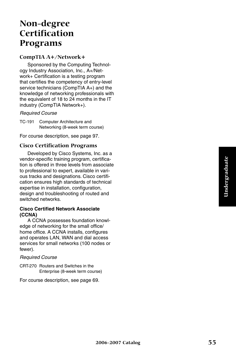## **Non-degree Certification Programs**

#### **CompTIA A+/Network+**

Sponsored by the Computing Technology Industry Association, Inc., A+/Network+ Certification is a testing program that certifies the competency of entry-level service technicians (CompTIA A+) and the knowledge of networking professionals with the equivalent of 18 to 24 months in the IT industry (CompTIA Network+).

#### *Required Course*

TC-191 Computer Architecture and Networking (8-week term course)

For course description, see page 97.

#### **Cisco Certification Programs**

Developed by Cisco Systems, Inc. as a vendor-specific training program, certification is offered in three levels from associate to professional to expert, available in various tracks and designations. Cisco certification ensures high standards of technical expertise in installation, configuration, design and troubleshooting of routed and switched networks.

#### **Cisco Certified Network Associate (CCNA)**

A CCNA possesses foundation knowledge of networking for the small office/ home office. A CCNA installs, configures and operates LAN, WAN and dial access services for small networks (100 nodes or fewer).

#### *Required Course*

CRT-270 Routers and Switches in the Enterprise (8-week term course)

For course description, see page 69.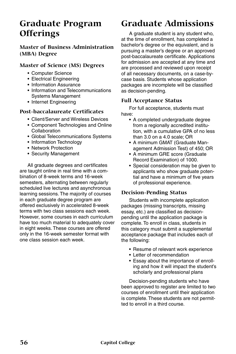## **Graduate Program Offerings**

#### **Master of Business Administration (MBA) Degree**

#### **Master of Science (MS) Degrees**

- Computer Science
- Electrical Engineering
- Information Assurance
- Information and Telecommunications Systems Management
- Internet Engineering

#### **Post-baccalaureate Certificates**

- Client/Server and Wireless Devices
- Component Technologies and Online Collaboration
- Global Telecommunications Systems
- Information Technology
- Network Protection
- Security Management

All graduate degrees and certificates are taught online in real time with a combination of 8-week terms and 16-week semesters, alternating between regularly scheduled live lectures and asynchronous learning sessions. The majority of courses in each graduate degree program are offered exclusively in accelerated 8-week terms with two class sessions each week. However, some courses in each curriculum have too much material to adequately cover in eight weeks. These courses are offered only in the 16-week semester format with one class session each week.

## **Graduate Admissions**

A graduate student is any student who, at the time of enrollment, has completed a bachelor's degree or the equivalent, and is pursuing a master's degree or an approved post-baccalaureate certificate. Applications for admission are accepted at any time and are processed and reviewed upon receipt of all necessary documents, on a case-bycase basis. Students whose application packages are incomplete will be classified as decision-pending.

#### **Full Acceptance Status**

For full acceptance, students must have:

- A completed undergraduate degree from a regionally accredited institution, with a cumulative GPA of no less than 3.0 on a 4.0 scale; OR
- A minimum GMAT (Graduate Management Admission Test) of 450; OR
- A minimum GRE score (Graduate Record Examination) of 1000.
- Special consideration may be given to applicants who show graduate potential and have a minimum of five years of professional experience.

#### **Decision-Pending Status**

Students with incomplete application packages (missing transcripts, missing essay, etc.) are classified as decisionpending until the application package is complete. To enroll in class, students in this category must submit a supplemental acceptance package that includes each of the following:

- Resume of relevant work experience
- Letter of recommendation
- Essay about the importance of enrolling and how it will impact the student's scholarly and professional plans

Decision-pending students who have been approved to register are limited to two courses of enrollment until their application is complete. These students are not permitted to enroll in a third course.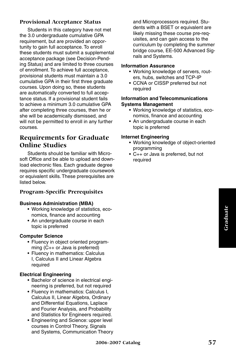#### **Provisional Acceptance Status**

Students in this category have not met the 3.0 undergraduate cumulative GPA requirement, but are provided an opportunity to gain full acceptance. To enroll these students must submit a supplemental acceptance package (see Decision-Pending Status) and are limited to three courses of enrollment. To achieve full acceptance, provisional students must maintain a 3.0 cumulative GPA in their first three graduate courses. Upon doing so, these students are automatically converted to full acceptance status. If a provisional student fails to achieve a minimum 3.0 cumulative GPA after completing three courses, then he or she will be academically dismissed, and will not be permitted to enroll in any further courses.

#### **Requirements for Graduate Online Studies**

Students should be familiar with Microsoft Office and be able to upload and download electronic files. Each graduate degree requires specific undergraduate coursework or equivalent skills. These prerequisites are listed below.

#### **Program-Specific Prerequisites**

#### **Business Administration (MBA)**

- Working knowledge of statistics, economics, finance and accounting
- An undergraduate course in each topic is preferred

#### **Computer Science**

- Fluency in object oriented programming (C++ or Java is preferred)
- Fluency in mathematics: Calculus I, Calculus II and Linear Algebra required

#### **Electrical Engineering**

- Bachelor of science in electrical engineering is preferred, but not required
- Fluency in mathematics: Calculus I, Calculus II, Linear Algebra, Ordinary and Differential Equations, Laplace and Fourier Analysis, and Probability and Statistics for Engineers required.
- Engineering and Science: upper level courses in Control Theory, Signals and Systems, Communication Theory

and Microprocessors required. Students with a BSET or equivalent are likely missing these course pre-requisites, and can gain access to the curriculum by completing the summer bridge course, EE-500 Advanced Signals and Systems.

#### **Information Assurance**

- Working knowledge of servers, routers, hubs, switches and TCP-IP
- CCNA or CISSP preferred but not required

#### **Information and Telecommunications Systems Management**

- Working knowledge of statistics, economics, finance and accounting
- An undergraduate course in each topic is preferred

#### **Internet Engineering**

- Working knowledge of object-oriented programming
- C++ or Java is preferred, but not required

**2006-2007 Catalog 57**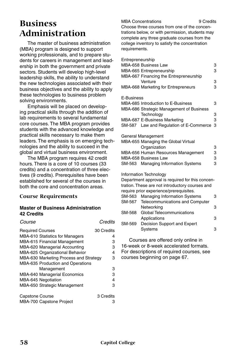## **Business Administration**

The master of business administration (MBA) program is designed to support working professionals, and to prepare students for careers in management and leadership in both the government and private sectors. Students will develop high-level leadership skills, the ability to understand the new technologies associated with their business objectives and the ability to apply these technologies to business problem solving environments.

Emphasis will be placed on developing practical skills through the addition of lab requirements to several fundamental core courses. The MBA program provides students with the advanced knowledge and practical skills necessary to make them leaders. The emphasis is on emerging technologies and the ability to succeed in the global and virtual business environment.

The MBA program requires 42 credit hours. There is a core of 10 courses (33 credits) and a concentration of three electives (9 credits). Prerequisites have been established for several of the courses in both the core and concentration areas.

#### **Course Requirements**

#### **Master of Business Administration 42 Credits**

| Course                                   | Credits    |
|------------------------------------------|------------|
| <b>Required Courses</b>                  | 30 Credits |
| <b>MBA-610 Statistics for Managers</b>   | 4          |
| MBA-615 Financial Management             | 3          |
| MBA-620 Managerial Accounting            | 3          |
| MBA-625 Organizational Behavior          | 4          |
| MBA-630 Marketing Process and Strategy   | 3          |
| <b>MBA-635 Production and Operations</b> |            |
| Management                               | 3          |
| MBA-640 Managerial Economics             | 3          |
| MBA-645 Negotiation                      | 4          |
| MBA-650 Strategic Management             | 3          |
| <b>Capstone Course</b>                   | 3 Credits  |
| MBA-700 Capstone Project                 | 3          |

#### MBA Concentrations 9 Credits

Choose three courses from one of the concentrations below, or with permission, students may complete any three graduate courses from the college inventory to satisfy the concentration requirements.

| Entrepreneurship | MBA-658 Business Law                             | 3 |
|------------------|--------------------------------------------------|---|
|                  | MBA-665 Entrepreneurship                         | 3 |
|                  | MBA-667 Financing the Entrepreneurship           |   |
|                  | Venture                                          | 3 |
|                  | MBA-668 Marketing for Entrepreneurs              | 3 |
|                  |                                                  |   |
| E-Business       |                                                  |   |
|                  | MBA-685 Introduction to E-Business               | 3 |
|                  | MBA-686 Strategic Management of Business         |   |
|                  | Technology                                       | 3 |
|                  |                                                  | 3 |
|                  | MBA-687 E-Business Marketing                     |   |
|                  | SM-587 Law and Regulation of E-Commerce          | 3 |
|                  | General Management                               |   |
|                  | MBA-655 Managing the Global Virtual              |   |
|                  | Organization                                     | 3 |
|                  |                                                  |   |
|                  | MBA-656 Human Resources Management               | 3 |
|                  | MBA-658 Business Law                             | 3 |
|                  | SM-563 Managing Information Systems              | 3 |
|                  | Information Technology                           |   |
|                  | Department approval is required for this concen- |   |
|                  | tration. These are not introductory courses and  |   |
|                  | require prior experience/prerequisites.          |   |
|                  |                                                  |   |
| SM-563           | <b>Managing Information Systems</b>              | 3 |
| SM-567           | Telecommunications and Computer                  |   |
|                  | Networking                                       | 3 |
| SM-568           | Global Telecommunications                        |   |
|                  | Applications                                     | 3 |
| SM-569           | Decision Support and Expert                      |   |
|                  | Systems                                          | 3 |
|                  |                                                  |   |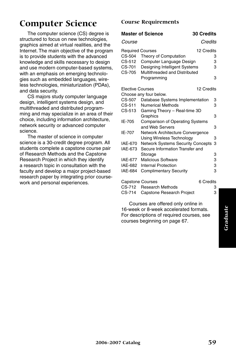## **Computer Science**

The computer science (CS) degree is structured to focus on new technologies, graphics aimed at virtual realities, and the Internet. The main objective of the program is to provide students with the advanced knowledge and skills necessary to design and use modern computer-based systems, with an emphasis on emerging technologies such as embedded languages, wireless technologies, miniaturization (PDAs), and data security.

CS majors study computer language design, intelligent systems design, and multithreaded and distributed programming and may specialize in an area of their choice, including information architecture, network security or advanced computer science.

The master of science in computer science is a 30-credit degree program. All students complete a capstone course pair of Research Methods and the Capstone Research Project in which they identify a research topic in consultation with the faculty and develop a major project-based research paper by integrating prior coursework and personal experiences.

#### **Course Requirements**

|                         | <b>Master of Science</b>                 | <b>30 Credits</b> |
|-------------------------|------------------------------------------|-------------------|
| <i>Course</i>           |                                          | Credits           |
| <b>Required Courses</b> |                                          | 12 Credits        |
| CS-504                  | Theory of Computation                    | 3                 |
| CS-512                  | Computer Language Design                 | 3                 |
| CS-701                  | Designing Intelligent Systems            | 3                 |
| CS-705                  | Multithreaded and Distributed            |                   |
|                         | Programming                              | 3                 |
| <b>Elective Courses</b> |                                          | 12 Credits        |
|                         | Choose any four below.                   |                   |
| CS-507                  | Database Systems Implementation          | 3                 |
| CS-511                  | <b>Numerical Methods</b>                 | 3                 |
| CS-513                  | Gaming Theory - Real-time 3D             |                   |
|                         | Graphics                                 | 3                 |
| IE-705                  | <b>Comparison of Operating Systems</b>   |                   |
|                         | and Web Servers                          | 3                 |
| IE-707                  | Network Architecture Convergence         |                   |
|                         | <b>Using Wireless Technology</b>         | 3                 |
| IAE-670                 | <b>Network Systems Security Concepts</b> | 3                 |
| IAE-673                 | Secure Information Transfer and          |                   |
|                         | Storage                                  | 3                 |
| IAE-677                 | <b>Malicious Software</b>                | 3                 |
| IAE-682                 | Internal Protection                      | 3                 |
| IAE-684                 | <b>Complimentary Security</b>            | 3                 |
| <b>Capstone Courses</b> |                                          | 6 Credits         |
| CS-712                  | <b>Research Methods</b>                  | 3                 |

| $S0 = 0.001$ |                                  | ------- |
|--------------|----------------------------------|---------|
|              | CS-712 Research Methods          | 3       |
|              | CS-714 Capstone Research Project | 3       |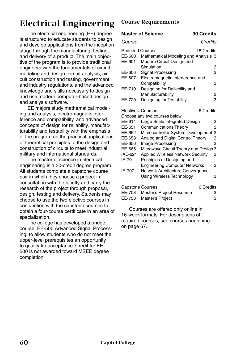## **Electrical Engineering**

The electrical engineering (EE) degree is structured to educate students to design and develop applications from the inception stage through the manufacturing, testing, and delivery of a product. The main objective of the program is to provide traditional engineers with the fundamentals of circuit modeling and design, circuit analysis, circuit construction and testing, government and industry regulations, and the advanced knowledge and skills necessary to design and use modern computer-based design and analysis software.

EE majors study mathematical modeling and analysis, electromagnetic interference and compatibility, and advanced concepts of design for reliability, manufacturability and testability with the emphasis of the program on the practical applications of theoretical principles to the design and construction of circuits to meet industrial, military and international standards.

The master of science in electrical engineering is a 30-credit degree program. All students complete a capstone course pair in which they choose a project in consultation with the faculty and carry the research of the project through proposal, design, testing and delivery. Students may choose to use the two elective courses in conjunction with the capstone courses to obtain a four-course certificate in an area of specialization.

The college has developed a bridge course, EE-500 Advanced Signal Processing, to allow students who do not meet the upper-level prerequisites an opportunity to qualify for acceptance. Credit for EE-500 is not awarded toward MSEE degree completion.

#### **Course Requirements**

#### **Master of Science 30 Credits**

| Course                                      | Credits                                                                         |   |
|---------------------------------------------|---------------------------------------------------------------------------------|---|
| <b>Required Courses</b><br>EE-600<br>EE-601 | 18 Credits<br>Mathematical Modeling and Analysis 3<br>Modern Circuit Design and |   |
|                                             | Simulation                                                                      | 3 |
| EE-606                                      | <b>Signal Processing</b>                                                        | 3 |
| EE-607                                      | Electromagnetic Interference and                                                |   |
|                                             | Compatibility                                                                   | 3 |
| EE-710                                      | Designing for Reliability and                                                   |   |
|                                             | Manufacturability                                                               | 3 |
| EE-720                                      | Designing for Testability                                                       | 3 |
| Electives Courses                           | 6 Credits                                                                       |   |
|                                             | Choose any two courses below.                                                   |   |
| EE-614                                      | Large Scale Integrated Design                                                   | 3 |
| EE-651                                      | <b>Communications Theory</b>                                                    | 3 |
| EE-652                                      | Microcontroller System Development                                              | 3 |
| EE-653                                      | Analog and Digital Control Theory                                               | 3 |
| EE-656                                      | Image Processing                                                                | 3 |
| EE-665                                      | Microwave Circuit Theory and Design 3                                           |   |
| IAE-621                                     | <b>Applied Wireless Network Security</b>                                        | 3 |
| IE-701                                      | Principles of Designing and                                                     |   |
|                                             | <b>Engineering Computer Networks</b>                                            | 3 |
| IE-707                                      | Network Architecture Convergence                                                |   |
|                                             | Using Wireless Technology                                                       | 3 |
| <b>Capstone Courses</b>                     | 6 Credits                                                                       |   |
| EE-708                                      | Master's Project Research                                                       | 3 |

| EE-708 | Master's Project Research | 3 |
|--------|---------------------------|---|
| EE-758 | Master's Project          |   |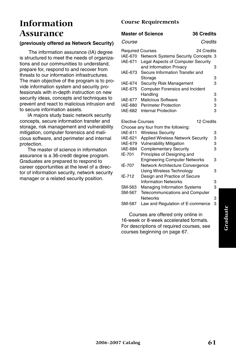## **Information Assurance**

#### **(previously offered as Network Security)**

 The information assurance (IA) degree is structured to meet the needs of organizations and our communities to understand, prepare for, respond to and recover from threats to our information infrastructures. The main objective of the program is to provide information system and security professionals with in-depth instruction on new security ideas, concepts and techniques to prevent and react to malicious intrusion and to secure information assets.

IA majors study basic network security concepts, secure information transfer and storage, risk management and vulnerability mitigation, computer forensics and malicious software, and perimeter and internal protection.

The master of science in information assurance is a 36-credit degree program. Graduates are prepared to respond to career opportunities at the level of a director of information security, network security manager or a related security position.

#### **Course Requirements**

#### **Master of Science 36 Credits**

*Course Credits*

| <b>Required Courses</b> | 24 Credits                                 |   |
|-------------------------|--------------------------------------------|---|
| <b>IAE-670</b>          | <b>Network Systems Security Concepts 3</b> |   |
| IAE-671                 | Legal Aspects of Computer Security         |   |
|                         | and Information Privacy                    | з |
| IAE-673                 | Secure Information Transfer and            |   |
|                         | Storage                                    | з |
| <b>IAE-674</b>          | Security Risk Management                   | з |
| IAE-675                 | <b>Computer Forensics and Incident</b>     |   |
|                         | Handling                                   | з |
| <b>IAE-677</b>          | <b>Malicious Software</b>                  | 3 |
|                         | IAE-680 Perimeter Protection               | з |
| IAE-682                 | Internal Protection                        | З |

| <b>Elective Courses</b> | 12 Credits                               |   |
|-------------------------|------------------------------------------|---|
|                         | Choose any four from the following:      |   |
| IAE-611                 | <b>Wireless Security</b>                 | 3 |
| IAE-621                 | <b>Applied Wireless Network Security</b> | з |
| <b>IAE-679</b>          | <b>Vulnerability Mitigation</b>          | 3 |
| <b>IAE-684</b>          | <b>Complementary Security</b>            | з |
| IE-701                  | Principles of Designing and              |   |
|                         | <b>Engineering Computer Networks</b>     | 3 |
| IE-707                  | Network Architecture Convergence         |   |
|                         | Using Wireless Technology                | 3 |
| IE-712                  | Design and Practice of Secure            |   |
|                         | <b>Information Networks</b>              | 3 |
| SM-563                  | <b>Managing Information Systems</b>      | з |
| SM-567                  | Telecommunications and Computer          |   |
|                         | <b>Networks</b>                          | 3 |
| SM-587                  | Law and Regulation of E-commerce         | 3 |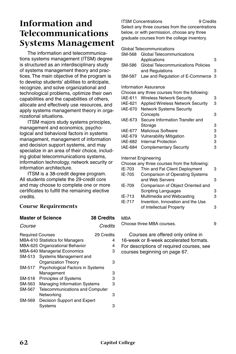## **Information and Telecommunications Systems Management**

The information and telecommunications systems management (ITSM) degree is structured as an interdisciplinary study of systems management theory and practices. The main objective of the program is to develop students' abilities to anticipate, recognize, and solve organizational and technological problems, optimize their own capabilities and the capabilities of others, allocate and effectively use resources, and apply systems management theory in organizational situations.

ITSM majors study systems principles, management and economics, psychological and behavioral factors in systems management, management of information and decision support systems, and may specialize in an area of their choice, including global telecommunications systems, information technology, network security or information architecture.

ITSM is a 38-credit degree program. All students complete the 29-credit core and may choose to complete one or more certificates to fulfill the remaining elective credits.

#### **Course Requirements**

|                         | <b>Master of Science</b>               | <b>38 Credits</b> |
|-------------------------|----------------------------------------|-------------------|
| Course                  |                                        | Credits           |
| <b>Required Courses</b> |                                        | 29 Credits        |
|                         | <b>MBA-610 Statistics for Managers</b> | 4                 |
|                         | MBA-625 Organizational Behavior        | 4                 |
|                         | <b>MBA-640 Managerial Economics</b>    | з                 |
| SM-513                  | Systems Management and                 |                   |
|                         | <b>Organization Theory</b>             | з                 |
| SM-517                  | Psychological Factors in Systems       |                   |
|                         | Management                             | 3                 |
| SM-518                  | <b>Principles of Systems</b>           | 3                 |
| SM-563                  | <b>Managing Information Systems</b>    | 3                 |
| SM-567                  | Telecommunications and Computer        |                   |
|                         | Networking                             | з                 |
| SM-569                  | Decision Support and Expert            |                   |
|                         | Systems                                | з                 |
|                         |                                        |                   |

#### **ITSM Concentrations** 9 Credits

Select any three courses from the concentrations below, or with permission, choose any three graduate courses from the college inventory.

Global Telecommunications

|         | Gioval Telecontinumications                  |   |
|---------|----------------------------------------------|---|
| SM-568  | Global Telecommunications                    |   |
|         | Applications                                 | 3 |
| SM-586  | Global Telecommunications Policies           |   |
|         | and Regulations                              | 3 |
| SM-587  | Law and Regulation of E-Commerce             | 3 |
|         | Information Assurance                        |   |
|         | Choose any three courses from the following: |   |
| IAE-611 | <b>Wireless Network Security</b>             | 3 |
| IAE-621 | <b>Applied Wireless Network Security</b>     | 3 |
| IAE-670 | <b>Network Systems Security</b>              |   |
|         | Concepts                                     | 3 |
| IAE-673 | Secure Information Transfer and              |   |
|         | Storage                                      | 3 |
| IAE-677 | <b>Malicious Software</b>                    | 3 |
| IAE-679 | <b>Vulnerability Mitigation</b>              | 3 |
| IAE-682 | <b>Internal Protection</b>                   | 3 |
| IAE-684 | <b>Complementary Security</b>                | 3 |
|         |                                              |   |

#### Internet Engineering

|        | Choose any three courses from the following: |   |
|--------|----------------------------------------------|---|
| IE-703 | Thin and Fat Client Deployment               | з |
| IE-705 | <b>Comparison of Operating Systems</b>       |   |
|        | and Web Servers                              | з |
| IE-709 | Comparison of Object Oriented and            |   |
|        | Scripting Languages                          | з |
| IE-713 | Multimedia and Webcasting                    | з |
| IE-717 | Invention, Innovation and the Use            |   |
|        | of Intellectual Property                     | з |
|        |                                              |   |

#### MBA

Choose three MBA courses. 9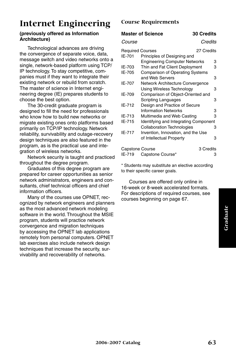## **Internet Engineering**

#### **(previously offered as Information Architecture)**

Technological advances are driving the convergence of separate voice, data, message switch and video networks onto a single, network-based platform using TCP/ IP technology. To stay competitive, companies must if they want to integrate their existing network or rebuild from scratch. The master of science in Internet engineering degree (IE) prepares students to choose the best option.

The 30-credit graduate program is designed to fill the need for professionals who know how to build new networks or migrate existing ones onto platforms based primarily on TCP/IP technology. Network reliability, survivability and outage-recovery design techniques are also featured in the program, as is the practical use and integration of wireless networks.

Network security is taught and practiced throughout the degree program.

Graduates of this degree program are prepared for career opportunities as senior network administrators, engineers and consultants, chief technical officers and chief information officers.

Many of the courses use OPNET, recognized by network engineers and planners as the most advanced network modeling software in the world. Throughout the MSIE program, students will practice network convergence and migration techniques by accessing the OPNET lab applications remotely from personal computers. OPNET lab exercises also include network design techniques that increase the security, survivability and recoverability of networks.

#### **Course Requirements**

#### **Master of Science 30 Credits**

*Course Credits*

| <b>Required Courses</b>           |           |                                                                                                                                                                                                                                                                                                                                                       |
|-----------------------------------|-----------|-------------------------------------------------------------------------------------------------------------------------------------------------------------------------------------------------------------------------------------------------------------------------------------------------------------------------------------------------------|
| Principles of Designing and       |           |                                                                                                                                                                                                                                                                                                                                                       |
|                                   |           | 3                                                                                                                                                                                                                                                                                                                                                     |
|                                   |           | 3                                                                                                                                                                                                                                                                                                                                                     |
|                                   |           |                                                                                                                                                                                                                                                                                                                                                       |
| and Web Servers                   |           | 3                                                                                                                                                                                                                                                                                                                                                     |
|                                   |           |                                                                                                                                                                                                                                                                                                                                                       |
| Using Wireless Technology         |           | 3                                                                                                                                                                                                                                                                                                                                                     |
|                                   |           |                                                                                                                                                                                                                                                                                                                                                       |
| <b>Scripting Languages</b>        |           | 3                                                                                                                                                                                                                                                                                                                                                     |
|                                   |           |                                                                                                                                                                                                                                                                                                                                                       |
| <b>Information Networks</b>       |           | 3                                                                                                                                                                                                                                                                                                                                                     |
|                                   |           | 3                                                                                                                                                                                                                                                                                                                                                     |
|                                   |           |                                                                                                                                                                                                                                                                                                                                                       |
| <b>Collaboration Technologies</b> |           | 3                                                                                                                                                                                                                                                                                                                                                     |
|                                   |           |                                                                                                                                                                                                                                                                                                                                                       |
| of Intellectual Property          |           | 3                                                                                                                                                                                                                                                                                                                                                     |
| Capstone Course                   | 3 Credits |                                                                                                                                                                                                                                                                                                                                                       |
| Capstone Course*                  |           | з                                                                                                                                                                                                                                                                                                                                                     |
|                                   |           | 27 Credits<br><b>Engineering Computer Networks</b><br>Thin and Fat Client Deployment<br><b>Comparison of Operating Systems</b><br>Network Architecture Convergence<br>Comparison of Object-Oriented and<br>Design and Practice of Secure<br>Multimedia and Web Casting<br>Identifying and Integrating Component<br>Invention, Innovation, and the Use |

\* Students may substitute an elective according to their specific career goals.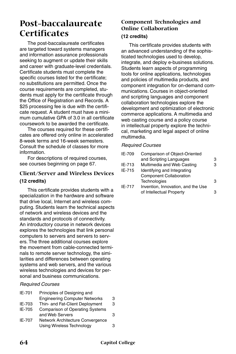## **Post-baccalaureate Certificates**

The post-baccalaureate certificates are targeted toward systems managers and information assurance professionals seeking to augment or update their skills and career with graduate-level credentials. Certificate students must complete the specific courses listed for the certificate; no substitutions are permitted. Once the course requirements are completed, students must apply for the certificate through the Office of Registration and Records. A \$25 processing fee is due with the certificate request. A student must have a minimum cumulative GPA of 3.0 in all certificate coursework to be awarded the certificate.

The courses required for these certificates are offered only online in accelerated 8-week terms and 16-week semesters. Consult the schedule of classes for more information.

For descriptions of required courses, see courses beginning on page 67.

#### **Client/Server and Wireless Devices (12 credits)**

This certificate provides students with a specialization in the hardware and software that drive local, Internet and wireless computing. Students learn the technical aspects of network and wireless devices and the standards and protocols of connectivity. An introductory course in network devices explores the technologies that link personal computers to servers and servers to servers. The three additional courses explore the movement from cable-connected terminals to remote server technology, the similarities and differences between operating systems and web servers, and the various wireless technologies and devices for personal and business communications.

#### *Required Courses*

| IE-701 | Principles of Designing and            |   |
|--------|----------------------------------------|---|
|        | <b>Engineering Computer Networks</b>   | 3 |
| IE-703 | Thin- and Fat-Client Deployment        | 3 |
| IE-705 | <b>Comparison of Operating Systems</b> |   |
|        | and Web Servers                        | 3 |
| IE-707 | Network Architecture Convergence       |   |
|        | <b>Using Wireless Technology</b>       | з |

#### **Component Technologies and Online Collaboration (12 credits)**

This certificate provides students with an advanced understanding of the sophisticated technologies used to develop, integrate, and deploy e-business solutions. Students learn aspects of programming tools for online applications, technologies and policies of multimedia products, and component integration for on-demand communications. Courses in object-oriented and scripting languages and component collaboration technologies explore the development and optimization of electronic commerce applications. A multimedia and web casting course and a policy course in intellectual property explore the technical, marketing and legal aspect of online multimedia.

| IE-709 | Comparison of Object-Oriented      |   |
|--------|------------------------------------|---|
|        | and Scripting Languages            | з |
| IE-713 | Multimedia and Web Casting         | з |
| IE-715 | Identifying and Integrating        |   |
|        | <b>Component Collaboration</b>     |   |
|        | Technologies                       | з |
| IE-717 | Invention, Innovation, and the Use |   |
|        | of Intellectual Property           |   |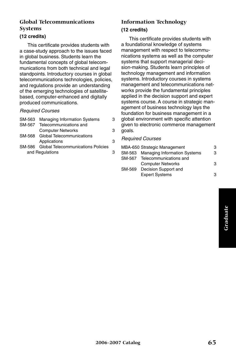#### **Global Telecommunications Systems**

#### **(12 credits)**

This certificate provides students with a case-study approach to the issues faced in global business. Students learn the fundamental concepts of global telecommunications from both technical and legal standpoints. Introductory courses in global telecommunications technologies, policies, and regulations provide an understanding of the emerging technologies of satellitebased, computer-enhanced and digitally produced communications.

#### *Required Courses*

| SM-563          | <b>Managing Information Systems</b>       | з |
|-----------------|-------------------------------------------|---|
| SM-567          | Telecommunications and                    |   |
|                 | <b>Computer Networks</b>                  | з |
| SM-568          | Global Telecommunications                 |   |
|                 | Applications                              | З |
|                 | SM-586 Global Telecommunications Policies |   |
| and Regulations |                                           | з |
|                 |                                           |   |

#### **Information Technology (12 credits)**

This certificate provides students with a foundational knowledge of systems management with respect to telecommunications systems as well as the computer systems that support managerial decision-making. Students learn principles of technology management and information systems. Introductory courses in systems management and telecommunications networks provide the fundamental principles applied in the decision support and expert systems course. A course in strategic management of business technology lays the foundation for business management in a global environment with specific attention given to electronic commerce management goals.

|        | MBA-650 Strategic Management        | з |
|--------|-------------------------------------|---|
|        | SM-563 Managing Information Systems | З |
|        | SM-567 Telecommunications and       |   |
|        | <b>Computer Networks</b>            | З |
| SM-569 | Decision Support and                |   |
|        | <b>Expert Systems</b>               | з |
|        |                                     |   |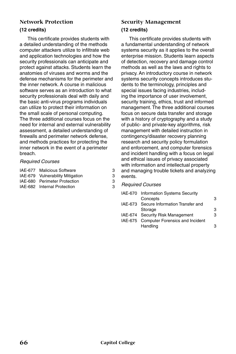## **Network Protection**

#### **(12 credits)**

This certificate provides students with a detailed understanding of the methods computer attackers utilize to infiltrate web and application technologies and how the security professionals can anticipate and protect against attacks. Students learn the anatomies of viruses and worms and the defense mechanisms for the perimeter and the inner network. A course in malicious software serves as an introduction to what security professionals deal with daily and the basic anti-virus programs individuals can utilize to protect their information on the small scale of personal computing. The three additional courses focus on the need for internal and external vulnerability assessment, a detailed understanding of firewalls and perimeter network defense, and methods practices for protecting the inner network in the event of a perimeter breach.

#### *Required Courses*

|  | IAE-677 Malicious Software |  |
|--|----------------------------|--|
|--|----------------------------|--|

- IAE-679 Vulnerability Mitigation 3
- IAE-680 Perimeter Protection 3
- IAE-682 Internal Protection 3

#### **Security Management (12 credits)**

This certificate provides students with a fundamental understanding of network systems security as it applies to the overall enterprise mission. Students learn aspects of detection, recovery and damage control methods as well as the laws and rights to privacy. An introductory course in network systems security concepts introduces students to the terminology, principles and special issues facing industries, including the importance of user involvement, security training, ethics, trust and informed management. The three additional courses focus on secure data transfer and storage with a history of cryptography and a study of public- and private-key algorithms, risk management with detailed instruction in contingency/disaster recovery planning research and security policy formulation and enforcement, and computer forensics and incident handling with a focus on legal and ethical issues of privacy associated with information and intellectual property and managing trouble tickets and analyzing events.

| IAE-670 Information Systems Security    |   |
|-----------------------------------------|---|
| Concepts                                | 3 |
| IAE-673 Secure Information Transfer and |   |
| Storage                                 | 3 |
| IAE-674 Security Risk Management        | з |
| IAE-675 Computer Forensics and Incident |   |
| Handling                                |   |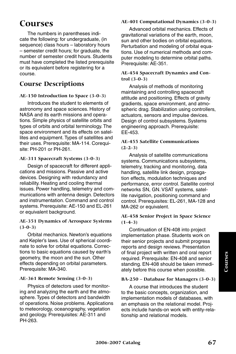## **Courses**

The numbers in parentheses indicate the following: for undergraduate, (in sequence) class hours – laboratory hours – semester credit hours; for graduate, the number of semester credit hours. Students must have completed the listed prerequisite or its equivalent before registering for a course.

### **Course Descriptions**

#### **AE-150 Introduction to Space (3-0-3)**

Introduces the student to elements of astronomy and space sciences. History of NASA and its earth missions and operations. Simple physics of satellite orbits and types of orbits and orbital terminology. The space environment and its effects on satellites and equipment. Types of satellites and their uses. Prerequisite: MA-114. Corequisite: PH-201 or PH-261.

#### **AE-311 Spacecraft Systems (3-0-3)**

Design of spacecraft for different applications and missions. Passive and active devices. Designing with redundancy and reliability. Heating and cooling thermal issues. Power handling, telemetry and communications with antenna design. Detectors and instrumentation. Command and control systems. Prerequisite: AE-150 and EL-261 or equivalent background.

#### **AE-351 Dynamics of Aerospace Systems (3-0-3)**

Orbital mechanics. Newton's equations and Kepler's laws. Use of spherical coordinate to solve for orbital equations. Corrections to basic equations caused by earth's geometry, the moon and the sun. Other effects depending on orbital parameters. Prerequisite: MA-340.

#### **AE-361 Remote Sensing (3-0-3)**

Physics of detectors used for monitoring and analyzing the earth and the atmosphere. Types of detectors and bandwidth of operations. Noise problems. Applications to meteorology, oceanography, vegetation and geology. Prerequisites: AE-311 and PH-263.

#### **AE-401 Computational Dynamics (3-0-3)**

Advanced orbital mechanics. Effects of gravitational variations of the earth, moon, sun and other bodies on orbital equations. Perturbation and modeling of orbital equations. Use of numerical methods and computer modeling to determine orbital paths. Prerequisite: AE-351.

#### **AE-454 Spacecraft Dynamics and Control (3-0-3)**

Analysis of methods of monitoring maintaining and controlling spacecraft attitude and positioning. Effects of gravity gradients, space environment, and atmospheric drag. Stabilization using controllers, actuators, sensors and impulse devices. Design of control subsystems. Systems engineering approach. Prerequisite: EE-453.

#### **AE-455 Satellite Communications (2-2-3)**

Analysis of satellite communications systems. Communications subsystems, telemetry, tracking and monitoring, data handling, satellite link design, propagation effects, modulation techniques and performance, error control. Satellite control networks SN, GN. VSAT systems, satellite navigation, positioning command and control. Prerequisites: EL-261, MA-128 and MA-262 or equivalent.

#### **AE-458 Senior Project in Space Science (1-4-3)**

Continuation of EN-408 into project implementation phase. Students work on their senior projects and submit progress reports and design reviews. Presentation of final project with written and oral report required. Prerequisite: EN-408 and senior standing. EN-408 should be taken immediately before this course when possible.

#### **BA-250 – Database for Managers (3-0-3)**

A course that introduces the student to the basic concepts, organization, and implementation models of databases, with an emphasis on the relational model. Projects include hands-on work with entity-relationship and relational models.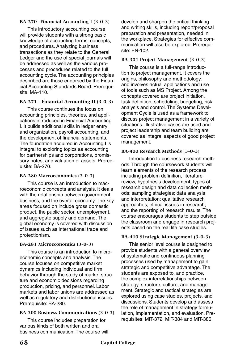#### **BA-270 -Financial Accounting I (3-0-3)**

This introductory accounting course will provide students with a strong basic knowledge of accounting terms, concepts, and procedures. Analyzing business transactions as they relate to the General Ledger and the use of special journals will be addressed as well as the various processes and procedures related to the full accounting cycle. The accounting principles described are those endorsed by the Financial Accounting Standards Board. Prerequisite: MA-110.

#### **BA-271 - Financial Accounting II (3-0-3)**

This course continues the focus on accounting principles, theories, and applications introduced in Financial Accounting I. It builds additional skills in ledger entry and organization, payroll accounting, and the development of financial statements. The foundation acquired in Accounting I is integral to exploring topics as accounting for partnerships and corporations, promissory notes, and valuation of assets. Prerequisite: BA-270.

#### **BA-280 Macroeconomics (3-0-3)**

This course is an introduction to macroeconomic concepts and analysis. It deals with the relationship between government, business, and the overall economy. The key areas focused on include gross domestic product, the public sector, unemployment, and aggregate supply and demand. The global economy is covered with discussion of issues such as international trade and protectionism.

#### **BA-281 Microeconomics (3-0-3)**

This course is an introduction to microeconomic concepts and analysis. The course focuses on competitive market dynamics including individual and firm behavior through the study of market structure and economic decisions regarding production, pricing, and personnel. Labor markets and labor unions are addressed as well as regulatory and distributional issues. Prerequisite: BA-280.

#### **BA-300 Business Communications (3-0-3)**

This course includes preparation for various kinds of both written and oral business communication. The course will develop and sharpen the critical thinking and writing skills, including report/proposal preparation and presentation, needed in the workplace. Strategies for effective communication will also be explored. Prerequisite: EN-102.

#### **BA-301 Project Management (3-0-3)**

This course is a full-range introduction to project management. It covers the origins, philosophy and methodology, and involves actual applications and use of tools such as MS Project. Among the concepts covered are project initiation, task definition, scheduling, budgeting, risk analysis and control. The Systems Development Cycle is used as a framework to discuss project management in a variety of situations. Illustrative cases are used and project leadership and team building are covered as integral aspects of good project management.

#### **BA-400 Research Methods (3-0-3)**

Introduction to business research methods. Through the coursework students will learn elements of the research process including problem definition, literature review, hypothesis development, types of research design and data collection methods; sampling strategies; data analysis and interpretation; qualitative research approaches; ethical issues in research; and the reporting of research results. The course encourages students to step outside the classroom and engage in research projects based on the real life case studies.

#### **BA-410 Strategic Management (3-0-3)**

This senior level course is designed to provide students with a general overview of systematic and continuous planning processes used by management to gain strategic and competitive advantage. The students are exposed to, and practice, the complex interrelationships between strategy, structure, culture, and management. Strategic and tactical strategies are explored using case studies, projects, and discussions. Students develop and assess the role of management in strategy formulation, implementation, and evaluation. Prerequisites: MIT-372, MIT-384 and MIT-386.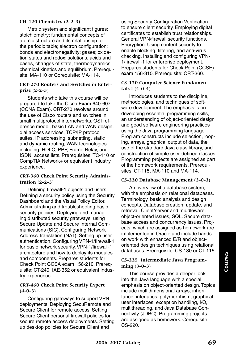#### **CH-120 Chemistry (2-2-3)**

Metric system and significant figures; stoichiometry; fundamental concepts of atomic structure and its relationship to the periodic table; electron configuration; bonds and electronegativity; gases; oxidation states and redox; solutions, acids and bases, changes of state, thermodynamics, chemical kinetics and equilibrium. Prerequisite: MA-110 or Corequisite: MA-114.

#### **CRT-270 Routers and Switches in Enterprise (2-2-3)**

Students who take this course will be prepared to take the Cisco Exam 640-607 (CCNA Exam). CRT-270 revolves around the use of Cisco routers and switches in small multiprotocol internetworks. OSI reference model, basic LAN and WAN design, dial access services, TCP/IP protocol suites, IP addressing, subnetting, static and dynamic routing, WAN technologies including, HDLC, PPP, Frame Relay, and ISDN, access lists. Prerequisites: TC-110 or CompTIA Network+ or equivalent industry experience.

#### **CRT-360 Check Point Security Administration (2-2-3)**

Defining firewall-1 objects and users. Defining a security policy using the Security Dashboard and the Visual Policy Editor. Administrating and troubleshooting basic security policies. Deploying and managing distributed security gateways, using Secure Update and Secure Internal Communications (SIC). Configuring Network Address Translation (NAT). Setting up user authentication. Configuring VPN-1/firewall-1 for basic network security. VPN-1/firewall-1 architecture and how to deploy its modules and components. Prepares students for Check Point CCSA exam 156-210. Prerequisite: CT-240, IAE-352 or equivalent industry experience.

## **CRT-460 Check Point Security Expert (4-0-3)**

Configuring gateways to support VPN deployments. Deploying SecuRemote and Secure Client for remote access. Setting Secure Client personal firewall policies for secure remote access deployments. Setting up desktop policies for Secure Client and

using Security Configuration Verification to ensure client security. Employing digital certificates to establish trust relationships. General VPN/firewall security functions. Encryption. Using content security to enable blocking, filtering, and anti-virus checking. Installing and configuring VPN-1/firewall-1 for enterprise deployment. Prepares students for Check Point (CCSE) exam 156-310. Prerequisite: CRT-360.

#### **CS-130 Computer Science Fundamentals I (4-0-4)**

Introduces students to the discipline, methodologies, and techniques of software development. The emphasis is on developing essential programming skills, an understanding of object-oriented design and good software engineering practices using the Java programming language. Program constructs include selection, looping, arrays, graphical output of data, the use of the standard Java class library, and construction of simple user-defined classes. Programming projects are assigned as part of the homework requirements. Prerequisites: CT-115, MA-110 and MA-114.

#### **CS-220 Database Management (3-0-3)**

An overview of a database system, with the emphasis on relational databases. Terminology, basic analysis and design concepts. Database creation, update, and retrieval. Client/server and middleware, object-oriented issues, SQL. Secure database access and concurrency issues. Projects, which are assigned as homework are implemented in Oracle and include handson work with enhanced E/R and objectoriented design techniques using relational databases. Prerequisite: CS-130 or CT-115.

#### **CS-225 Intermediate Java Programming (3-0-3)**

This course provides a deeper look into the Java language with a special emphasis on object-oriented design. Topics include multidimensional arrays, inheritance, interfaces, polymorphism, graphical user interfaces, exception handling, I/O, multithreading, and Java Database Connectivity (JDBC). Programming projects are assigned as homework. Corequisite: CS-220.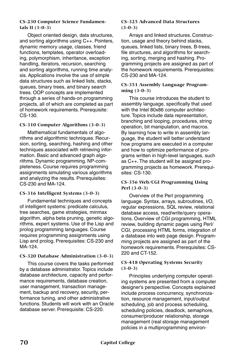#### **CS-230 Computer Science Fundamentals II (3-0-3)**

Object oriented design, data structures, and sorting algorithms using C++. Pointers, dynamic memory usage, classes, friend functions, templates, operator overloading, polymorphism, inheritance, exception handling, iterators, recursion, searching and sorting algorithms, running time analysis. Applications involve the use of simple data structures such as linked lists, stacks, queues, binary trees, and binary search trees. OOP concepts are implemented through a series of hands-on programming projects, all of which are completed as part of homework requirements. Prerequisite: CS-130.

## **CS-310 Computer Algorithms (3-0-3)**

Mathematical fundamentals of algorithms and algorithmic techniques. Recursion, sorting, searching, hashing and other techniques associated with retrieving information. Basic and advanced graph algorithms. Dynamic programming. NP-completeness. Course requires programming assignments simulating various algorithms and analyzing the results. Prerequisites: CS-230 and MA-124.

## **CS-316 Intelligent Systems (3-0-3)**

Fundamental techniques and concepts of intelligent systems: predicate calculus, tree searches, game strategies, minmax algorithm, alpha beta pruning, genetic algorithms, expert systems. Use of the Lisp and prolog programming languages. Course requires programming assignments using Lisp and prolog. Prerequisites: CS-230 and MA-124.

## **CS-320 Database Administration (3-0-3)**

This course covers the tasks performed by a database administrator. Topics include database architecture, capacity and performance requirements, database creation, user management, transaction management, backup and recovery, security, performance tuning, and other administrative functions. Students will work with an Oracle database server. Prerequisite: CS-220.

#### **CS-325 Advanced Data Structures (3-0-3)**

Arrays and linked structures. Construction, usage and theory behind stacks, queues, linked lists, binary trees, B-trees, file structures, and algorithms for searching, sorting, merging and hashing. Programming projects are assigned as part of the homework requirements. Prerequisites: CS-230 and MA-124.

## **CS-351 Assembly Language Programming (3-0-3)**

This course introduces the student to assembly language, specifically that used with the Intel 80x86 computer architecture. Topics include data representation, branching and looping, procedures, string operation, bit manipulation, and macros. By learning how to write in assembly language, the student will better understand how programs are executed in a computer and how to optimize performance of programs written in high-level languages, such as C++. The student will be assigned programming projects as homework. Prerequisites: CS-130.

## **CS-356 Web/CGI Programming Using Perl (3-0-3)**

Overview of the Perl programming language. Syntax, arrays, subroutines, I/O, regular expressions, SQL review, relational database access, read/write/query operations. Overview of CGI programming, HTML review, building dynamic pages using Perl/ CGI, processing HTML forms, integration of a database into web page design. Programming projects are assigned as part of the homework requirements. Prerequisites: CS-220 and CT-152.

## **CS-418 Operating Systems Security (3-0-3)**

Principles underlying computer operating systems are presented from a computer designer's perspective. Concepts explained include process concurrency, synchronization, resource management, input/output scheduling, job and process scheduling, scheduling policies, deadlock, semaphore, consumer/producer relationship, storage management (real storage management policies in a multiprogramming environ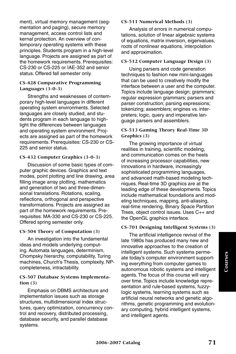ment), virtual memory management (segmentation and paging), secure memory management, access control lists and kernal protection. An overview of contemporary operating systems with these principles. Students program in a high-level language. Projects are assigned as part of the homework requirements. Prerequisites: CS-230 or CS-225 or IAE-352 and senior status. Offered fall semester only.

#### **CS-428 Comparative Programming Languages (3-0-3)**

Strengths and weaknesses of contemporary high-level languages in different operating system environments. Selected languages are closely studied, and students program in each language to highlight the differences between languages and operating system environment. Projects are assigned as part of the homework requirements. Prerequisites: CS-230 or CS-225 and senior status.

#### **CS-432 Computer Graphics (3-0-3)**

Discussion of some basic types of computer graphic devices. Graphics and text modes, point plotting and line drawing, area filling image array plotting, mathematics and generation of two and three-dimensional translations. Rotations, scaling, reflections, orthogonal and perspective transformations. Projects are assigned as part of the homework requirements. Prerequisites: MA-330 and CS-230 or CS-225. Offered spring semester only.

#### **CS-504 Theory of Computation (3)**

An investigation into the fundamental ideas and models underlying computing. Automata languages, determinism, Chompsky hierarchy, computability, Turing machines, Church's Thesis, complexity, NPcompleteness, intractability.

#### **CS-507 Database Systems Implementation (3)**

Emphasis on DBMS architecture and implementation issues such as storage structures, multidimensional index structures, query optimization, concurrency control and recovery, distributed processing, database security, and parallel database systems.

#### **CS-511 Numerical Methods (3)**

Analysis of errors in numerical computations, solution of linear algebraic systems of equations, matrix inversion, eigenvalues, roots of nonlinear equations, interpolation and approximation.

#### **CS-512 Computer Language Design (3)**

Using parsers and code generation techniques to fashion new mini-languages that can be used to creatively modify the interface between a user and the computer. Topics include language design; grammars; regular expression grammars; parsers and parser construction; parsing expressions; tokenizing; assemblers; engines vs. interpreters; logic, query and imperative language parsers and assemblers.

## **CS-513 Gaming Theory Real-Time 3D Graphics (3)**

The growing importance of virtual realities in training, scientific modeling, and communication comes on the heels of increasing processor capabilities, new innovations in hardware, increasingly sophisticated programming languages, and advanced math-based modeling techniques. Real-time 3D graphics are at the leading edge of these developments. Topics include mathematical foundations and modeling techniques, mapping, anti-aliasing, real-time rendering, Binary Space Partition Trees, object control issues. Uses C++ and the OpenGL graphics interface.

#### **CS-701 Designing Intelligent Systems (3)**

The artificial intelligence revival of the late 1980s has produced many new and innovative approaches to the creation of intelligent systems. Such systems permeate today's computer environment supporting everything from computer games to autonomous robotic systems and intelligent agents. The focus of this course will vary over time. Topics include knowledge representation and rule-based systems, fuzzylogic systems, learning systems such as artificial neural networks and genetic algorithms, genetic programming and evolutionary computing, hybrid intelligent systems, and intelligent agents.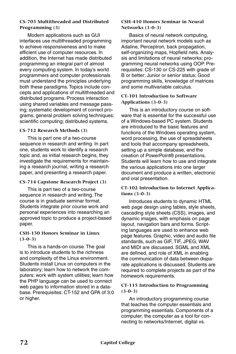#### **CS-705 Multithreaded and Distributed Programming (3)**

Modern applications such as GUI interfaces use multithreaded programming to achieve responsiveness and to make efficient use of computer resources. In addition, the Internet has made distributed programming an integral part of almost every computing system. In today's world programmers and computer professionals must understand the principles underlying both these paradigms. Topics include concepts and applications of multithreaded and distributed programs. Process interaction using shared variables and message passing; systematic development of correct programs; general problem solving techniques; scientific computing; distributed systems.

## **CS-712 Research Methods (3)**

This is part one of a two-course sequence in research and writing. In part one, students work to identify a research topic and, as initial research begins, they investigate the requirements for maintaining a research journal, writing a research paper, and presenting a research paper.

## **CS-714 Capstone Research Project (3)**

This is part two of a two-course sequence in research and writing. The course is in graduate seminar format. Students integrate prior course work and personal experiences into researching an approved topic to produce a project-based paper.

#### **CSH-150 Honors Seminar in Linux (3-0-3)**

This is a hands-on course. The goal is to introduce students to the richness and complexity of the Linux environment. Students install Linux on computers in the laboratory; learn how to network the computers; work with system utilities; learn how the PHP language can be used to connect web pages to information stored in a database. Prerequisites: CT-152 and GPA of 3.0 or higher.

#### **CSH-410 Honors Seminar in Neural Networks (3-0-3)**

Basics of neural network computing, important neural network models such as Adaline, Perceptron, back propagation, self-organizing maps, Hopfield nets. Analysis and limitations of neural networks; programming neural networks using OOP. Prerequisites: CS-130 or CS-225 with grade of B or better; Junior or senior status; Good programming skills, knowledge of matrices and some multivariable calculus.

#### **CT-101 Introduction to Software Applications (3-0-3)**

This is an introductory course on software that is essential for the successful use of a Windows-based PC system. Students are introduced to the basic features and functions of the Windows operating system, word processing, the use of spreadsheets and tools that accompany spreadsheets, setting up a simple database, and the creation of PowerPoint® presentations. Students will learn how to use and integrate the various applications into one larger document and produce a written, electronic and oral presentation.

## **CT-102 Introduction to Internet Applications (3-0-3)**

Introduces students to dynamic HTML web page design using tables, style sheets, cascading style sheets (CSS), images, and dynamic images, with emphasis on page layout, navigation bars and forms. Scripting languages are used to enhance web page features. Graphic, video and audio file standards, such as GIF, TIF, JPEG, WAV and MIDI are discussed. SGML and XML are defined, and role of XML in enabling the communication of data between disparate applications is discussed. Students are required to complete projects as part of the homework requirements.

## **CT-115 Introduction to Programming (3-0-3)**

An introductory programming course that teaches the computer essentials and programming essentials. Components of a computer, the computer as a tool for connecting to networks/Internet, digital vs.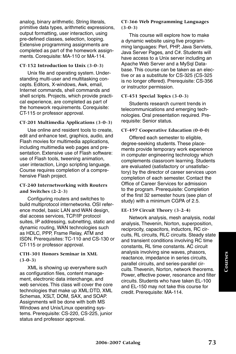analog, binary arithmetic. String literals, primitive data types, arithmetic expressions, output formatting, user interaction, using pre-defined classes, selection, looping. Extensive programming assignments are completed as part of the homework assignments. Corequisite: MA-110 or MA-114.

## **CT-152 Introduction to Unix (3-0-3)**

Unix file and operating system. Understanding multi-user and multitasking concepts. Editors, X-windows, Awk, email, Internet commands, shell commands and shell scripts. Projects, which provide practical experience, are completed as part of the homework requirements. Corequisite: CT-115 or professor approval.

#### **CT-201 Multimedia Applications (3-0-3)**

Use online and resident tools to create, edit and enhance text, graphics, audio, and Flash movies for multimedia applications, including multimedia web pages and presentation. Extensive use of Flash software: use of Flash tools, tweening animation, user interaction, Lingo scripting language. Course requires completion of a comprehensive Flash project.

#### **CT-240 Internetworking with Routers and Switches (2-2-3)**

Configuring routers and switches to build multiprotocol internetworks. OSI reference model, basic LAN and WAN design, dial access services, TCP/IP protocol suites, IP addressing, subnetting, static and dynamic routing, WAN technologies such as HDLC, PPP, Frame Relay, ATM and ISDN. Prerequisites: TC-110 and CS-130 or CT-115 or professor approval.

#### **CTH-301 Honors Seminar in XML (3-0-3)**

XML is showing up everywhere such as configuration files, content management, electronic data interchange, and web services. This class will cover the core technologies that make up XML:DTD, XML Schemas, XSLT, DOM, SAX, and SOAP. Assignments will be done with both MS Windows and Unix/Linux operating systems. Prerequisite: CS-220, CS-225, junior status and professor approval.

#### **CT-366 Web Programming Languages (3-0-3)**

This course will explore how to make a dynamic website using five programming languages: Perl, PHP, Java Servlets, Java Server Pages, and C#. Students will have access to a Unix server including an Apache Web Server and a MySql Database. This course can be taken as an elective or as a substitute for CS-325 (CS-325 is no longer offered). Prerequisite: CS-356 or instructor permission.

## **CT-451 Special Topics (3-0-3)**

Students research current trends in telecommunications and emerging technologies. Oral presentation required. Prerequisite: Senior status.

#### **CT-497 Cooperative Education (0-0-0)**

Offered each semester to eligible, degree-seeking students. These placements provide temporary work experience in computer engineering technology which complements classroom learning. Students are evaluated (satisfactory or unsatisfactory) by the director of career services upon completion of each semester. Contact the Office of Career Services for admission to the program. Prerequisite: Completion of the first 32 semester hours (see plan of study) with a minimum CGPA of 2.5.

#### **EE-159 Circuit Theory (3-2-4)**

Network analysis, mesh analysis, nodal analysis, Thevenin, Norton, superposition, reciprocity, capacitors, inductors, RC circuits, RL circuits, RLC circuits. Steady state and transient conditions involving RC time constants, RL time constants. AC circuit analysis involving sine waves, phasors, reactance, impedance in series circuits, parallel circuits, and series-parallel circuits. Thevenin, Norton, network theorems. Power, effective power, resonance and filter circuits. Students who have taken EL-100 and EL-150 may not take this course for credit. Prerequisite: MA-114.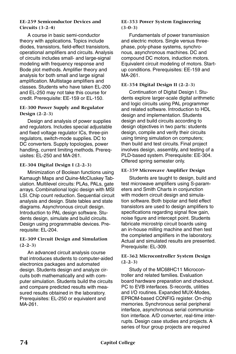#### **EE-259 Semiconductor Devices and Circuits (3-2-4)**

A course in basic semi-conductor theory with applications. Topics include diodes, transistors, field-effect transistors, operational amplifiers and circuits. Analysis of circuits includes small- and large-signal modeling with frequency response and Bode plot methods. Amplifier theory and analysis for both small and large signal amplification. Multistage amplifiers and classes. Students who have taken EL-200 and EL-250 may not take this course for credit. Prerequisite: EE-159 or EL-150.

#### **EE-300 Power Supply and Regulator Design (2-2-3)**

Design and analysis of power supplies and regulators. Includes special adjustable and fixed voltage regulator ICs, three-pin regulators, switch-mode supplies. DC to DC converters. Supply topologies, power handling, current limiting methods. Prerequisites: EL-250 and MA-261.

## **EE-304 Digital Design I (2-2-3)**

Minimization of Boolean functions using Kamaugh Maps and Quine-McCluskey Tabulation. Multilevel circuits: PLAs, PALs, gate arrays. Combinational logic design with MSI LSI. Chip count reduction. Sequential circuit analysis and design. State tables and state diagrams. Asynchronous circuit design. Introduction to PAL design software. Students design, simulate and build circuits. Design using programmable devices. Prerequisite: EL-204.

## **EE-309 Circuit Design and Simulation (2-2-3)**

An advanced circuit analysis course that introduces students to computer-aided electronics packages and automated design. Students design and analyze circuits both mathematically and with computer simulation. Students build the circuits and compare predicted results with measured results obtained in the laboratory. Prerequisites: EL-250 or equivalent and MA-261.

#### **EE-353 Power System Engineering (3-0-3)**

Fundamentals of power transmission and electric motors. Single versus threephase, poly-phase systems, synchronous, asynchronous machines. DC and compound DC motors, induction motors. Equivalent circuit modeling of motors. Startup conditions. Prerequisites: EE-159 and MA-261.

## **EE-354 Digital Design II (2-2-3)**

Continuation of Digital Design I. Students explore larger-scale digital arithmetic and logic circuits using PAL programmer and related software. Introduction to HDL design and implementation. Students design and build circuits according to design objectives in two parts: students design, compile and verify their circuits using timing simulation on computers; then build and test circuits. Final project involves design, assembly, and testing of a PLD-based system. Prerequisite: EE-304. Offered spring semester only.

## **EE-359 Microwave Amplifier Design**

Students are taught to design, build and test microwave amplifiers using S-parameters and Smith Charts in conjunction with modern circuit design and simulation software. Both bipolar and field effect transistors are used to design amplifiers to specifications regarding signal flow gain, noise figure and intercept point. Students fabricate microstrip circuit boards using an in-house milling machine and then test the completed amplifiers in the laboratory. Actual and simulated results are presented. Prerequisite: EL-309.

## **EE-362 Microcontroller System Design (2-2-3)**

Study of the MC68HC11 Microcontroller and related families. Evaluation board hardware preparation and checkout. PC to EVB interfaces. S-records, utilities and I/O routines. Expanded MUX-Modes, EPROM-based CONFIG register. On-chip memories. Synchronous serial peripheral interface, asynchronous serial communication interface. A/D converter, real-time interrupts. Design case studies and projects. A series of four group projects are required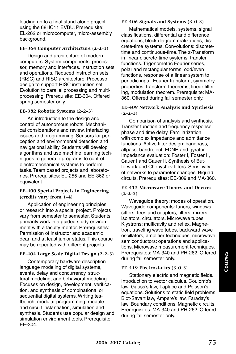leading up to a final stand-alone project using the 68HC11 EVBU. Prerequisite: EL-262 or microcomputer, micro-assembly background.

#### **EE-364 Computer Architecture (2-2-3)**

Design and architecture of modern computers. System components: processor, memory and interfaces. Instruction sets and operations. Reduced instruction sets (RISC) and RISC architecture. Processor design to support RISC instruction set. Evolution to parallel processing and multiprocessing. Prerequisite: EE-304. Offered spring semester only.

## **EE-382 Robotic Systems (2-2-3)**

An introduction to the design and control of autonomous robots. Mechanical considerations and review. Interfacing issues and programming. Sensors for perception and environmental detection and navigational ability. Students will develop algorithms and use machine learning techniques to generate programs to control electromechanical systems to perform tasks. Team based projects and laboratories. Prerequisites: EL-255 and EE-362 or equivalent.

#### **EE-400 Special Projects in Engineering (credits vary from 1-4)**

Application of engineering principles or research into a special project. Projects vary from semester to semester. Students primarily work in a guided study environment with a faculty mentor. Prerequisites: Permission of instructor and academic dean and at least junior status. This course may be repeated with different projects.

## **EE-404 Large Scale Digital Design (2-2-3)**

Contemporary hardware description language modeling of digital systems, events, delay and concurrency, structural modeling, and behavioral modeling. Focuses on design, development, verification, and synthesis of combinational or sequential digital systems. Writing testbench, modular programming, module and circuit instantiation, simulation and synthesis. Students use popular design and simulation environment tools. Prerequisite: EE-304.

#### **EE-406 Signals and Systems (3-0-3)**

Mathematical models, systems, signal classifications, differential and difference equations, block diagram realizations, discrete-time systems. Convolutions: discretetime and continuous-time. The z-Transform in linear discrete-time systems, transfer functions. Trigonometric Fourier series. polar and rectangular forms, odd/even functions, response of a linear system to periodic input. Fourier transform, symmetry properties, transform theorems, linear filtering, modulation theorem. Prerequisite: MA-360. Offered during fall semester only.

#### **EE-409 Network Analysis and Synthesis (2-2-3)**

Comparison of analysis and synthesis. Transfer function and frequency response: phase and time delay. Familiarization with complex impedance and admittance functions. Active filter design: bandpass, allpass, bandreject, FDNR and gyrator. Impedance evaluation: Foster I, Foster II, Cauer I and Cauer II. Synthesis of Butterwork and Chebyshev filters. Sensitivity of networks to parameter changes. Biquad circuits. Prerequisites: EE-309 and MA-360.

#### **EE-415 Microwave Theory and Devices (2-2-3)**

Waveguide theory: modes of operation. Waveguide components: tuners, windows, sifters, tees and couplers, filters, mixers, isolators, circulators. Microwave tubes. Klystrons: multicavity and reflex. Magnetron, traveling wave tubes, backward wave oscillators, amplifier techniques, microwave semiconductors: operations and applications. Microwave measurement techniques. Prerequisites: MA-340 and PH-262. Offered during fall semester only.

#### **EE-419 Electrostatics (3-0-3)**

Stationary electric and magnetic fields. Introduction to vector calculus. Coulomb's law, Gauss's law, Laplace and Poisson's equations. Solutions to static field problems. Biot-Savart law, Ampere's law, Faraday's law. Boundary conditions. Magnetic circuits. Prerequisites: MA-340 and PH-262. Offered during fall semester only.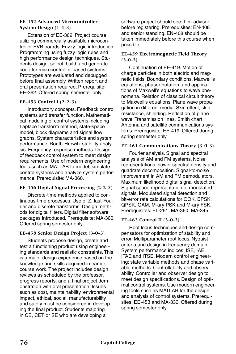#### **EE-452 Advanced Microcontroller System Design (1-4-3)**

Extension of EE-362. Project course utilizing commercially available microcontroller EVB boards. Fuzzy logic introduction. Programming using fuzzy logic rules and high performance design techniques. Students design, select, build, and generate code for microcontroller-based systems. Prototypes are evaluated and debugged before final assembly. Written report and oral presentation required. Prerequisite: EE-362. Offered spring semester only.

#### **EE-453 Control I (2-2-3)**

Introductory concepts. Feedback control systems and transfer function. Mathematical modeling of control systems including Laplace transform method, state-space model, block diagrams and signal flow graphs. System characteristics and system performance. Routh-Hurwitz stability analysis. Frequency response methods. Design of feedback control system to meet design requirements. Use of modern engineering tools such as MATLAB to model, simulate control systems and analyze system performance. Prerequisite: MA-360.

## **EE-456 Digital Signal Processing (2-2-3)**

Discrete-time methods applied to continuous-time processes. Use of Z, fast-Fourier and discrete transforms. Design methods for digital filters. Digital filter software packages introduced. Prerequisite: MA-360. Offered spring semester only.

## **EE-458 Senior Design Project (3-0-3)**

Students propose design, create and test a functioning product using engineering standards and realistic constraints. This is a major design experience based on the knowledge and skills acquired in earlier course work. The project includes design reviews as scheduled by the professor, progress reports, and a final project demonstration with oral presentation. Issues such as cost, maintainability, environmental impact, ethical, social, manufacturability and safety must be considered in developing the final product. Students majoring in CE, CET or SE who are developing a

software project should see their advisor before registering. Prerequisites: EN-408 and senior standing. EN-408 should be taken immediately before this course when possible.

#### **EE-459 Electromagnetic Field Theory (3-0-3)**

Continuation of EE-419. Motion of charge particles in both electric and magnetic fields. Boundary conditions. Maxwell's equations, phasor notation, and applications of Maxwell's equations to wave phenomena. Relation of classical circuit theory to Maxwell's equations. Plane wave propagation in different media. Skin effect, skin resistance, shielding. Reflection of plane wave. Transmission lines, Smith chart. Antenna and satellite communications systems. Prerequisite: EE-419. Offered during spring semester only.

#### **EE-461 Communications Theory (3-0-3)**

Fourier analysis. Signal and spectral analysis of AM and FM systems. Noise representations: power spectral density and quadrate decomposition. Signal-to-noise improvement in AM and FM demodulators. Maximum likelihood digital signal detection. Signal space representation of modulated signals. Modulated signal detection and bit-error rate calculations for OOK, BPSK, QPSK, QAM, M-ary PSK and M-ary FSK. Prerequisites: EL-261, MA-360, MA-345.

#### **EE-463 Control II (3-0-3)**

Root locus techniques and design compensators for optimization of stability and error. Multiparameter root locus. Nyquist criteria and design in frequency domain. System performance indices: ISE, IAE, ITAE and ITSE. Modern control engineering: state variable methods and phase variable methods. Controllability and observability. Controller and observer design to meet design specifications. Design of optimal control systems. Use modern engineering tools such as MATLAB for the design and analysis of control systems. Prerequisites: EE-453 and MA-330. Offered during spring semester only.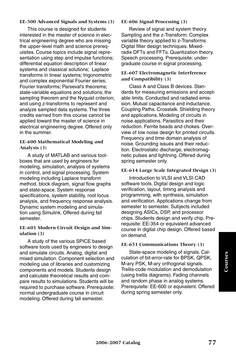#### **EE-500 Advanced Signals and Systems (3)**

This course is designed for students interested in the master of science in electrical engineering degree who are missing the upper-level math and science prerequisites. Course topics include signal representation using step and impulse functions; differential equation description of linear systems and classical solutions; Laplace transforms in linear systems; trigonometric and complex exponential Fourier series; Fourier transforms; Parseval's theorems; state-variable equations and solutions; the sampling theorem and the Nyquist criterion; and using z-transforms to represent and analyze sampled data systems. The three credits earned from this course cannot be applied toward the master of science in electrical engineering degree. Offered only in the summer.

#### **EE-600 Mathematical Modeling and Analysis (3)**

A study of MATLAB and various toolboxes that are used by engineers for modeling, simulation, analysis of systems in control, and signal processing. System modeling including Laplace transform method, block diagram, signal flow graphs and state-space. System response specifications, system stability, root locus analysis, and frequency response analysis. Dynamic system modeling and simulation using Simulink. Offered during fall semester.

#### **EE-601 Modern Circuit Design and Simulation (3)**

A study of the various SPICE based software tools used by engineers to design and simulate circuits. Analog, digital and mixed simulation. Component selection and modeling use of libraries and customizing components and models. Students design and calculate theoretical results and compare results to simulations. Students will be required to purchase software. Prerequisite: normal undergraduate course in circuit modeling. Offered during fall semester.

#### **EE-606 Signal Processing (3)**

Review of signal and system theory. Sampling and the z-Transform. Complex variable theory applied to z-Transforms. Digital filter design techniques. Mixedradix DFTs and FFTs. Quantization theory. Speech processing. Prerequisite: undergraduate course in signal processing.

#### **EE-607 Electromagnetic Interference and Compatibility (3)**

Class A and Class B devices. Standards for measuring emissions and acceptable limits. Conducted and radiated emission. Mutual capacitance and inductance. Coupling Paths. Crosstalk. Shielding theory and applications. Modeling of circuits in noise applications. Parasitics and their reduction. Ferrite beads and chokes. Overview of low noise design for printed circuits. Frequency and time domain analysis of noise. Grounding issues and their reduction. Electrostatic discharge, electromagnetic pulses and lightning. Offered during spring semester only.

#### **EE-614 Large Scale Integrated Design (3)**

Introduction to VLSI and VLSI CAD software tools. Digital design and logic verification, layout, timing analysis and programming, with synthesis, simulation and verification. Applications change from semester to semester. Subjects included designing ASICs, DSP, and processor chips. Students design and verify chip. Prerequisite: EE-354 or equivalent advanced course in digital chip design. Offered based on demand.

#### **EE-651 Communications Theory (3)**

State-space modeling of signals. Calculation of bit-error-rate for BPSK, QPSK, M-ary PSK, M-ary orthogonal signals. Trellis-code modulation and demodulation (using trellis diagrams). Fading channels and random phase in analog systems. Prerequisite: EE-600 or equivalent. Offered during spring semester only.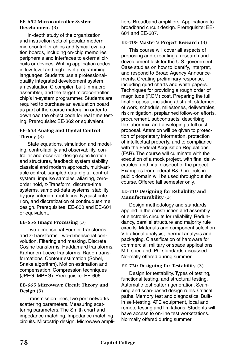#### **EE-652 Microcontroller System Development (3)**

In-depth study of the organization and instruction sets of popular modern microcontroller chips and typical evaluation boards, including on-chip memories, peripherals and interfaces to external circuits or devices. Writing application codes in low-level and high-level programming languages. Students use a professionalquality integrated development system, an evaluation C compiler, built-in macro assembler, and the target microcontroller chip's in-system programmer. Students are required to purchase an evaluation board as part of the course material in order to download the object code for real time testing. Prerequisite: EE-362 or equivalent.

## **EE-653 Analog and Digital Control Theory (3)**

State equations, simulation and modeling, controllability and observability, controller and observer design specification and structures, feedback system stability classical and modern approach, multivariable control, sampled-data digital control system, impulse samples, aliasing, zeroorder hold, z-Transform, discrete-time systems, sampled-data systems, stability by jury criterion, root locus, Nyquist criterion, and discretization of continuous-time design. Prerequisites: EE-600 and EE-601 or equivalent.

## **EE-656 Image Processing (3)**

Two-dimensional Fourier Transforms and z-Transforms. Two-dimensional convolution. Filtering and masking. Discrete Cosine transforms, Haddamard transforms, Karhunen-Loeve transforms. Radon transformations. Contour estimation (Sobel, Snake algorithm). Motion estimation and compensation. Compression techniques (JPEG, MPEG). Prerequisite: EE-606.

## **EE-665 Microwave Circuit Theory and Design (3)**

Transmission lines, two port networks scattering parameters. Measuring scattering parameters. The Smith chart and impedance matching. Impedance matching circuits. Microstrip design. Microwave amplifiers. Broadband amplifiers. Applications to broadband circuit design. Prerequisite: EE-601 and EE-607.

## **EE-708 Master's Project Research (3)**

This course will cover all aspects of proposing and executing a research and development task for the U.S. government. Case studies on how to identify, interpret, and respond to Broad Agency Announcements. Creating preliminary response, including quad charts and white papers. Techniques for providing a rough order of magnitude (ROM) cost. Preparing the full final proposal, including abstract, statement of work, schedule, milestones, deliverables, risk mitigation, preplanned follow-on efforts, procurement, subcontracts, describing the labor mix, and developing a full cost proposal. Attention will be given to protection of proprietary information, protection of intellectual property, and to compliance with the Federal Acquisition Regulations (FAR). The course will culminate with the execution of a mock project, with final deliverables, and final closeout of the project. Examples from federal R&D projects in public domain will be used throughout the course. Offered fall semester only.

## **EE-710 Designing for Reliability and Manufacturability (3)**

Design methodology and standards applied in the construction and assembly of electronic circuits for reliability. Redundancy, parallel structure and majority rule circuits. Materials and component selection. Vibrational analysis, thermal analysis and packaging. Classification of hardware for commercial, military or space applications. MIL-spec and IPC standards discussed. Normally offered during summer.

## **EE-720 Designing for Testability (3)**

Design for testability. Types of testing, functional testing, and structural testing. Automatic test pattern generation. Scanning and scan-based design rules. Critical paths. Memory test and diagnostics. Builtin self-testing. ATE equipment, local and remote testing and limitations. Students will have access to on-line test workstations. Normally offered during summer.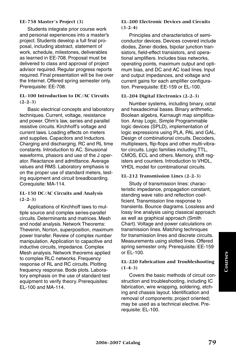#### **EE-758 Master's Project (3)**

Students integrate prior course work and personal experiences into a master's project. Students develop a full final proposal, including abstract, statement of work, schedule, milestones, deliverables as learned in EE-708. Proposal must be delivered to class and approval of project advisor required. Regular progress reports required. Final presentation will be live over the Internet. Offered spring semester only. Prerequisite: EE-708.

## **EL-100 Introduction to DC/AC Circuits (2-2-3)**

Basic electrical concepts and laboratory techniques. Current, voltage, resistance and power. Ohm's law, series and parallel resistive circuits. Kirchhoff's voltage and current laws. Loading effects on meters and supplies. Capacitors and Inductors. Charging and discharging. RC and RL time constants. Introduction to AC. Sinusional waveforms, phasors and use of the J operator. Reactance and admittance. Average values and RMS. Laboratory emphasis is on the proper use of standard meters, testing equipment and circuit breadboarding. Corequisite: MA-114.

#### **EL-150 DC/AC Circuits and Analysis (2-2-3)**

Applications of Kirchhoff laws to multiple source and complex series-parallel circuits. Determinants and matrices. Mesh and nodal analysis. Network Theorems: Thevenin, Norton, superposition, maximum power transfer. Review of complex number manipulation. Application to capacitive and inductive circuits, impedance. Complex Mesh analysis. Network theorems applied to complex RLC networks. Frequency response of RL and RC circuits. Plotting frequency response. Bode plots. Laboratory emphasis on the use of standard test equipment to verify theory. Prerequisites: EL-100 and MA-114.

#### **EL-200 Electronic Devices and Circuits (3-2-4)**

Principles and characteristics of semiconductor devices. Devices covered include diodes, Zener diodes, bipolar junction transistors, field-effect transistors, and operational amplifiers. Includes bias networks, operating points, maximum output and optimum bias, and DC and AC load lines. Input and output impedances, and voltage and current gains for each amplifier configuration. Prerequisite: EE-159 or EL-100.

#### **EL-204 Digital Electronics (2-2-3)**

Number systems, including binary, octal and hexadecimal bases. Binary arithmetic. Boolean algebra, Karnaugh map simplification. Array Logic, Simple Programmable logic devices (SPLD), implementation of logic expressions using PLA, PAL and GAL. Design of combinational circuits. Decoders, multiplexers, flip-flops and other multi-vibrator circuits. Logic families including TTL, CMOS, ECL and others. Memory, shift registers and counters. Introduction to VHDL, VHDL model for combinational circuits.

## **EL-212 Transmission Lines (2-2-3)**

Study of transmission lines: characteristic impedance, propagation constant, standing wave ratio and reflection coefficient. Transmission line response to transients. Bounce diagrams. Lossless and lossy line analysis using classical approach as well as graphical approach (Smith Chart). Voltage and power calculations on transmission lines. Matching techniques for transmission lines and discrete circuits. Measurements using slotted lines. Offered spring semester only. Prerequisite: EE-159 or  $FI -100$ .

#### **EL-220 Fabrication and Troubleshooting (1-4-3)**

Covers the basic methods of circuit construction and troubleshooting, including IC fabrication, wire wrapping, soldering, etching and chassis layout. Identification and removal of components; project oriented; may be used as a technical elective. Prerequisite: EL-100.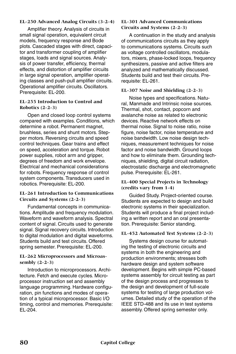## **EL-250 Advanced Analog Circuits (3-2-4)**

Amplifier theory. Analysis of circuits in small signal operation, equivalent circuit models, frequency response and Bode plots. Cascaded stages with direct, capacitor and transformer coupling of amplifier stages, loads and signal sources. Analysis of power transfer, efficiency, thermal effects, and distortion of amplifier circuits in large signal operation, amplifier operating classes and push-pull amplifier circuits. Operational amplifier circuits. Oscillators. Prerequisite: EL-200.

#### **EL-255 Introduction to Control and Robotics (2-2-3)**

Open and closed loop control systems compared with examples. Conditions, which determine a robot. Permanent magnet, brushless, series and shunt motors. Stepper motors. Reversing circuits and speed control techniques. Gear trains and effect on speed, acceleration and torque. Robot power supplies, robot arm and gripper, degrees of freedom and work envelope. Electrical and mechanical considerations for robots. Frequency response of control system components. Transducers used in robotics. Prerequisite: EL-200.

#### **EL-261 Introduction to Communications Circuits and Systems (2-2-3)**

Fundamental concepts in communications. Amplitude and frequency modulation. Waveform and waveform analysis. Spectral content of signal. Circuits used to generate signal. Signal recovery circuits. Introduction to digital modulation and digital waveforms. Students build and test circuits. Offered spring semester. Prerequisite: EL-200.

### **EL-262 Microprocessors and Microassembly (2-2-3)**

Introduction to microprocessors. Architecture. Fetch and execute cycles. Microprocessor instruction set and assembly language programming. Hardware configuration, pin functions and modes of operation of a typical microprocessor. Basic I/O timing, control and memories. Prerequisite: EL-204.

#### **EL-301 Advanced Communications Circuits and Systems (2-2-3)**

A continuation in the study and analysis of communications circuits as they apply to communications systems. Circuits such as voltage controlled oscillators, modulators, mixers, phase-locked loops, frequency synthesizers, passive and active filters are analyzed and mathematically discussed. Students build and test their circuits. Prerequisite: EL-261.

#### **EL-307 Noise and Shielding (2-2-3)**

Noise types and specifications. Natural, Manmade and Intrinsic noise sources. Thermal, shot, contact, popcorn and avalanche noise as related to electronic devices. Reactive network effects on thermal noise. Signal to noise ratio, noise figure, noise factor, noise temperature and noise bandwidth. Low noise design techniques, measurement techniques for noise factor and noise bandwidth. Ground loops and how to eliminate them. Grounding techniques, shielding, digital circuit radiation, electrostatic discharge and electromagnetic pulse. Prerequisite: EL-261.

#### **EL-400 Special Projects in Technology (credits vary from 1-4)**

Guided Study. Project-oriented course. Students are expected to design and build electronic systems in their specialization. Students will produce a final project including a written report and an oral presentation. Prerequisite: Senior standing.

#### **EL-452 Automated Test Systems (2-2-3)**

Systems design course for automating the testing of electronic circuits and systems in both the engineering and production environments; stresses both hardware design and system software development. Begins with simple PC-based systems assembly for circuit testing as part of the design process and progresses to the design and development of full-scale systems for testing of large production volumes. Detailed study of the operation of the IEEE STD-488 and its use in test systems assembly. Offered spring semester only.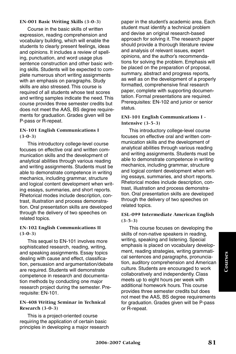#### **EN-001 Basic Writing Skills (3-0-3)**

Course in the basic skills of written expression, reading comprehension and vocabulary building, which will enable the students to clearly present feelings, ideas and opinions. It includes a review of spelling, punctuation, and word usage plus sentence construction and other basic writing skills. Students will be expected to complete numerous short writing assignments with an emphasis on paragraphs. Study skills are also stressed. This course is required of all students whose test scores and writing samples indicate the need. This course provides three semester credits but does not meet the AAS, BS degree requirements for graduation. Grades given will be P-pass or R-repeat.

#### **EN-101 English Communications I (3-0-3)**

This introductory college-level course focuses on effective oral and written communication skills and the development of analytical abilities through various reading and writing assignments. Students must be able to demonstrate competence in writing mechanics, including grammar, structure and logical content development when writing essays, summaries, and short reports. Rhetorical modes include description, contrast, illustration and process demonstration. Oral presentation skills are developed through the delivery of two speeches on related topics.

## **EN-102 English Communications II (3-0-3)**

This sequel to EN-101 involves more sophisticated research, reading, writing, and speaking assignments. Essay topics dealing with cause and effect, classification, persuasion and argumentation/debate are required. Students will demonstrate competence in research and documentation methods by conducting one major research project during the semester. Prerequisite: EN-101.

## **EN-408 Writing Seminar in Technical Research (3-0-3)**

This is a project-oriented course requiring the application of certain basic principles in developing a major research paper in the student's academic area. Each student must identify a technical problem and devise an original research-based approach for solving it. The research paper should provide a thorough literature review and analysis of relevant issues, expert opinions, and the author's recommendations for solving the problem. Emphasis will be placed on the preparation of proposal, summary, abstract and progress reports, as well as on the development of a properly formatted, comprehensive final research paper, complete with supporting documentation. Formal presentations are required. Prerequisites: EN-102 and junior or senior status.

#### **ENI-101 English Communications I - Intensive (3-5-3)**

This introductory college-level course focuses on effective oral and written communication skills and the development of analytical abilities through various reading and writing assignments. Students must be able to demonstrate competence in writing mechanics, including grammar, structure and logical content development when writing essays, summaries, and short reports. Rhetorical modes include description, contrast, illustration and process demonstration. Oral presentation skills are developed through the delivery of two speeches on related topics.

## **ESL-099 Intermediate American English (3-5-3)**

This course focuses on developing the skills of non-native speakers in reading, writing, speaking and listening. Special emphasis is placed on vocabulary development, reading strategies, writing grammatical sentences and paragraphs, pronunciation, auditory comprehension and American culture. Students are encouraged to work collaboratively and independently. Class meets up to eight hours per week with additional homework hours. This course provides three semester credits but does not meet the AAS, BS degree requirements for graduation. Grades given will be P-pass or R-repeat.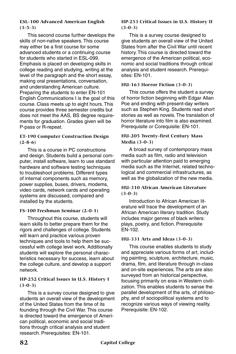## **ESL-100 Advanced American English (3-5-3)**

This second course further develops the skills of non-native speakers. This course may either be a first course for some advanced students or a continuing course for students who started in ESL-099. Emphasis is placed on developing skills in college reading and studying, writing at the level of the paragraph and the short essay, making oral presentations, conversation, and understanding American culture. Preparing the students to enter EN-101 English Communications I is the goal of this course. Class meets up to eight hours. This course provides three semester credits but does not meet the AAS, BS degree requirements for graduation. Grades given will be P-pass or R-repeat.

## **ET-190 Computer Construction Design (2-8-6)**

This is a course in PC constructions and design. Students build a personal computer, install software, learn to use standard hardware and software testing techniques to troubleshoot problems. Different types of internal components such as memory, power supplies, buses, drivers, modems, video cards, network cards and operating systems are discussed, compared and installed by the students.

## **FS-100 Freshman Seminar (2-0-1)**

Throughout this course, students will learn skills to better prepare them for the rigors and challenges of college. Students will learn and practice various proven techniques and tools to help them be successful with college level work. Additionally students will explore the personal characteristics necessary for success, learn about the college culture, and develop a support network.

## **HP-252 Critical Issues in U.S. History I (3-0-3)**

This is a survey course designed to give students an overall view of the development of the United States from the time of its founding through the Civil War. This course is directed toward the emergence of American political, economic and social traditions through critical analysis and student research. Prerequisites: EN-101.

#### **HP-253 Critical Issues in U.S. History II (3-0-3)**

This is a survey course designed to give students an overall view of the United States from after the Civil War until recent history. This course is directed toward the emergence of the American political, economic and social traditions through critical analysis and student research. Prerequisites: EN-101.

## **HU-163 Horror Fiction (3-0-3)**

This course offers the student a survey of horror fiction beginning with Edgar Allan Poe and ending with present-day writers such as Stephen King. Students read short stories as well as novels. The translation of horror literature into film is also examined. Prerequisite or Corequisite: EN-101.

### **HU-205 Twenty-first Century Mass Media (3-0-3)**

A broad survey of contemporary mass media such as film, radio and television with particular attention paid to emerging media such as the Internet, related technological and commercial infrastructures, as well as the globalization of the new media.

## **HU-310 African American Literature (3-0-3)**

Introduction to African American literature will trace the development of an African American literary tradition. Study includes major genres of black writers: plays, poetry, and fiction. Prerequisite EN-102.

## **HU-331 Arts and Ideas (3-0-3)**

This course enables students to study and appreciate various forms of art, including painting, sculpture, architecture, music, drama, film, and literature through in-class and on-site experiences. The arts are also surveyed from an historical perspective, focusing primarily on eras in Western civilization. This enables students to sense the parallel development of the arts, of philosophy, and of sociopolitical systems and to recognize various ways of viewing reality. Prerequisite: EN-102.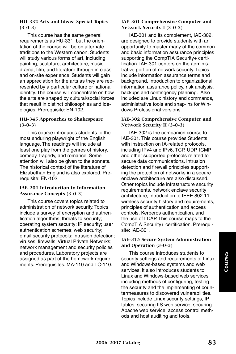## **HU-332 Arts and Ideas: Special Topics (3-0-3)**

This course has the same general requirements as HU-331, but the orientation of the course will be on alternate traditions to the Western canon. Students will study various forms of art, including painting, sculpture, architecture, music, drama, film, and literature through in-class and on-site experience. Students will gain an appreciation for the arts as they are represented by a particular culture or national identity. The course will concentrate on how the arts are shaped by cultural/social forces that result in distinct philosophies and ideologies. Prerequisite: EN-102.

## **HU-345 Approaches to Shakespeare (3-0-3)**

This course introduces students to the most enduring playwright of the English language. The readings will include at least one play from the genres of history, comedy, tragedy, and romance. Some attention will also be given to the sonnets. The historical context of the literature of Elizabethan England is also explored. Prerequisite: EN-102.

#### **IAE-201 Introduction to Information Assurance Concepts (3-0-3)**

This course covers topics related to administration of network security. Topics include a survey of encryption and authentication algorithms; threats to security; operating system security; IP security; user authentication schemes; web security; email security protocols; intrusion detection; viruses; firewalls; Virtual Private Networks; network management and security policies and procedures. Laboratory projects are assigned as part of the homework requirements. Prerequisites: MA-110 and TC-110.

#### **IAE-301 Comprehensive Computer and Network Security I (3-0-3)**

IAE-301 and its complement, IAE-302, are designed to provide students with an opportunity to master many of the common and basic information assurance principles supporting the CompTIA Security+ certification. IAE-301 centers on the administrative portion of network security. Topics include information assurance terms and background, introduction to organizational information assurance policy, risk analysis, backups and contingency planning. Also included are Linux history and commands, administrative tools and snap-ins for Windows Professional versions.

#### **IAE-302 Comprehensive Computer and Network Security II (3-0-3)**

IAE-302 is the companion course to IAE-301. This course provides Students with instruction on IA-related protocols, including IPv4 and IPv6, TCP, UDP, ICMP and other supported protocols related to secure data communications. Intrusion detection and firewall principles supporting the protection of networks in a secure enclave architecture are also discussed. Other topics include infrastructure security requirements, network enclave security architecture, introduction to IEEE 802.11 wireless security history and requirements, principles of authentication and access controls, Kerberos authentication, and the use of LDAP. This course maps to the CompTIA Security+ certification. Prerequisite: IAE-301.

## **IAE-315 Secure System Administration and Operation (3-0-3)**

This course introduces students to security settings and requirements of Linux and Windows-based systems and web services. It also introduces students to Linux and Windows-based web services, including methods of configuring, testing the security and the implementing of countermeasures to discovered vulnerabilities. Topics include Linux security settings, IP tables, securing IIS web service, securing Apache web service, access control methods and host auditing and tools.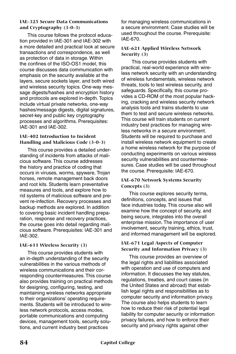#### **IAE-325 Secure Data Communications and Cryptography (3-0-3)**

This course follows the protocol education provided in IAE-301 and IAE-302 with a more detailed and practical look at secure transactions and correspondence, as well as protection of data in storage. Within the confines of the ISO-OS1 model, this course discusses data communication with emphasis on the security available at the layers, secure sockets layer, and both wired and wireless security topics. One-way message digests/hashes and encryption history and protocols are explored in-depth. Topics include virtual private networks, one-way hashes/message digests, digital signatures, secret-key and public key cryptography processes and algorithms. Prerequisites: IAE-301 and IAE-302.

## **IAE-402 Introduction to Incident Handling and Malicious Code (3-0-3)**

This course provides a detailed understanding of incidents from attacks of malicious software. This course addresses the history and practice of coding that occurs in viruses, worms, spyware, Trojan horses, remote management back doors and root kits. Students learn preventative measures and tools, and explore how to rid systems of malicious software and prevent re-infection. Recovery processes and backup methods are explored. In addition to covering basic incident handling preparation, response and recovery practices, the course goes into detail regarding malicious software. Prerequisites: IAE-301 and IAE-302.

## **IAE-611 Wireless Security (3)**

This course provides students with an in-depth understanding of the security vulnerabilities in the various methods of wireless communications and their corresponding countermeasures. This course also provides training on practical methods for designing, configuring, testing, and maintaining wireless networks appropriate to their organizations' operating requirements. Students will be introduced to wireless network protocols, access modes, portable communications and computing devices, management tools, security solutions, and current industry best practices

for managing wireless communications in a secure environment. Case studies will be used throughout the course. Prerequisite: IAE-670.

#### **IAE-621 Applied Wireless Network Security (3)**

 This course provides students with practical, real-world experience with wireless network security with an understanding of wireless fundamentals, wireless network threats, tools to test wireless security, and safeguards. Specifically, this course provides a CD-ROM of the most popular hacking, cracking and wireless security network analysis tools and trains students to use them to test and secure wireless networks. This course will train students on current industry best practices for managing wireless networks in a secure environment. Students will be required to purchase and install wireless network equipment to create a home wireless network for the purpose of conducting experiments on various wireless security vulnerabilities and countermeasures. Case studies will be used throughout the course. Prerequisite: IAE-670.

## **IAE-670 Network Systems Security Concepts (3)**

This course explores security terms, definitions, concepts, and issues that face industries today. This course also will examine how the concept of security, and being secure, integrates into the overall enterprise mission. The importance of user involvement, security training, ethics, trust, and informed management will be explored.

#### **IAE-671 Legal Aspects of Computer Security and Information Privacy (3)**

This course provides an overview of the legal rights and liabilities associated with operation and use of computers and information. It discusses the key statutes, regulations, treaties, and court cases (in the United States and abroad) that establish legal rights and responsibilities as to computer security and information privacy. The course also helps students to learn how to reduce their risk of potential legal liability for computer security or information privacy failures, and how to enforce their security and privacy rights against other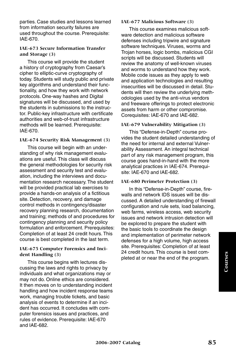parties. Case studies and lessons learned from information security failures are used throughout the course. Prerequisite: IAE-670.

#### **IAE-673 Secure Information Transfer and Storage (3)**

This course will provide the student a history of cryptography from Caesar's cipher to elliptic-curve cryptography of today. Students will study public and private key algorithms and understand their functionality, and how they work with network protocols. One-way hashes and Digital signatures will be discussed, and used by the students in submissions to the instructor. Public-key infrastructure with certificate authorities and web-of-trust infrastructure methods will be learned. Prerequisite: IAE-670.

#### **IAE-674 Security Risk Management (3)**

This course will begin with an understanding of why risk management evaluations are useful. This class will discuss the general methodologies for security risk assessment and security test and evaluation, including the interviews and documentation research necessary. The student will be provided practical lab exercises to provide a hands-on analysis of a fictitious site. Detection, recovery, and damage control methods in contingency/disaster recovery planning research, documentation and training; methods of and procedures for contingency planning and security policy formulation and enforcement. Prerequisites: Completion of at least 24 credit hours. This course is best completed in the last term.

#### **IAE-675 Computer Forensics and Incident Handling (3)**

This course begins with lectures discussing the laws and rights to privacy by individuals and what organizations may or may not do. Online ethics are considered. It then moves on to understanding incident handling and how incident response teams work, managing trouble tickets, and basic analysis of events to determine if an incident has occurred. It concludes with computer forensics issues and practices, and rules of evidence. Prerequisite: IAE-670 and IAE-682.

#### **IAE-677 Malicious Software (3)**

This course examines malicious software detection and malicious software defenses including tripwire and signature software techniques. Viruses, worms and Trojan horses, logic bombs, malicious CGI scripts will be discussed. Students will review the anatomy of well-known viruses and worms to understand how they work. Mobile code issues as they apply to web and application technologies and resulting insecurities will be discussed in detail. Students will then review the underlying methodologies used by the anti-virus vendors and freeware offerings to protect electronic assets from harm or other compromise. Corequisites: IAE-670 and IAE-682.

## **IAE-679 Vulnerability Mitigation (3)**

This "Defense-in-Depth" course provides the student detailed understanding of the need for internal and external Vulnerability Assessment. An integral technical part of any risk management program, this course goes hand-in-hand with the more analytical practices in IAE-674. Prerequisite: IAE-670 and IAE-682.

#### **IAE-680 Perimeter Protection (3)**

In this "Defense-in-Depth" course, firewalls and network IDS issues will be discussed. A detailed understanding of firewall configuration and rule sets, load balancing, web farms, wireless access, web security issues and network intrusion detection will be explored to prepare the student with the basic tools to coordinate the design and implementation of perimeter network defenses for a high volume, high access site. Prerequisites: Completion of at least 24 credit hours. This course is best completed at or near the end of the program.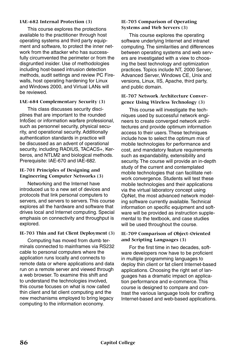#### **IAE-682 Internal Protection (3)**

This course explores the protections available to the practitioner through host operating systems and third party equipment and software, to protect the inner network from the attacker who has successfully circumvented the perimeter or from the disgruntled insider. Use of methodologies including host-based intrusion detection methods, audit settings and review PC Firewalls, host operating hardening for Linux and Windows 2000, and Virtual LANs will be reviewed.

#### **IAE-684 Complementary Security (3)**

This class discusses security disciplines that are important to the rounded InfoSec or information warfare professional, such as personnel security, physical security, and operational security. Additionally authentication standards in practice will be discussed as an advent of operational security, including RADIUS, TACACS+, Kerberos, and NTLM2 and biological methods. Prerequisite: IAE-670 and IAE-682.

#### **IE-701 Principles of Designing and Engineering Computer Networks (3)**

Networking and the Internet have introduced us to a new set of devices and protocols that link personal computers to servers, and servers to servers. This course explores all the hardware and software that drives local and Internet computing. Special emphasis on connectivity and throughput is explored.

#### **IE-703 Thin and Fat Client Deployment (3)**

Computing has moved from dumb terminals connected to mainframes via RS232 cable to personal computers where the application runs locally and connects to remote data or where applications and data run on a remote server and viewed through a web browser. To examine this shift and to understand the technologies involved, this course focuses on what is now called thin client and fat client computing and the new mechanisms employed to bring legacy computing to the information economy.

#### **IE-705 Comparison of Operating Systems and Web Servers (3)**

This course explores the operating software underlying Internet and intranet computing. The similarities and differences between operating systems and web servers are investigated with a view to choosing the best technology and optimization practices. Topics include NT, 2000 Server, Advanced Server, Windows CE, Unix and versions, Linux, IIS, Apache, third party, and public domain.

## **IE-707 Network Architecture Convergence Using Wireless Technology (3)**

This course will investigate the techniques used by successful network engineers to create converged network architectures and provide optimum information access to their users. These techniques include how to select the optimum mix of mobile technologies for performance and cost, and mandatory feature requirements such as expandability, extensibility and security. The course will provide an in-depth study of the current and contemplated mobile technologies that can facilitate network convergence. Students will test these mobile technologies and their applications via the virtual laboratory concept using OpNet, the most advanced network modeling software currently available. Technical information on specific equipment and software will be provided as instruction supplemental to the textbook, and case studies will be used throughout the course.

## **IE-709 Comparison of Object-Oriented and Scripting Languages (3)**

For the first time in two decades, software developers now have to be proficient in multiple programming languages to deploy thin client or fat client Internet-based applications. Choosing the right set of languages has a dramatic impact on application performance and e-commerce. This course is designed to compare and contrast the various language tools for crafting Internet-based and web-based applications.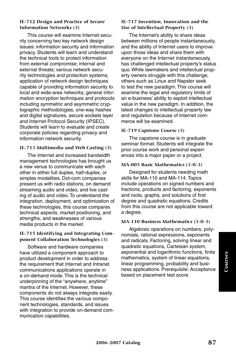#### **IE-712 Design and Practice of Secure Information Networks (3)**

This course will examine Internet security concerning two key network design issues: information security and information privacy. Students will learn and understand the technical tools to protect information from external compromise; internal and external threats; various network security technologies and protection systems; application of network design techniques capable of providing information security to local and wide-area networks; general information encryption techniques and protocols including symmetric and asymmetric cryptographic methodologies, one-way hashes and digital signatures, secure sockets layer and Internet Protocol Security (IPSEC). Students will learn to evaluate and create corporate policies regarding privacy and information network security.

## **IE-713 Multimedia and Web Casting (3)**

The Internet and increased bandwidth management technologies has brought us a new venue to communicate with each other in either full duplex, half-duplex, or simplex modalities. Dot-com companies present us with radio stations, on demand streaming audio and video, and live casting of audio and video. To understand the integration, deployment, and optimization of these technologies, this course compares technical aspects, market positioning, and strengths, and weaknesses of various media products in the market.

#### **IE-715 Identifying and Integrating Component Collaboration Technologies (3)**

Software and hardware companies have utilized a component approach to product development in order to address the requirement that Internet and Intranet communications applications operate in a on-demand mode. This is the technical underpinning of the "anywhere, anytime" mantra of the Internet. However, these components do not always integrate easily. This course identifies the various component technologies, standards, and issues with integration to provide on-demand communication capabilities.

#### **IE-717 Invention, Innovation and the Use of Intellectual Property (3)**

The Internet's ability to share ideas between millions of people instantaneously, and the ability of Internet users to improve upon those ideas and share them with everyone on the Internet instantaneously, has challenged intellectual property's status quo. While lawmakers and intellectual property owners struggle with this challenge, others such as Linux and Napster seek to test the new paradigm. This course will examine the legal and regulatory limits of an e-business' ability to exploit intellectual value in the new paradigm. In addition, the latest changes to intellectual property law and regulation because of Internet commerce will be examined.

## **IE-719 Capstone Course (3)**

The capstone course is in graduate seminar format. Students will integrate the prior course work and personal experiences into a major paper or a project.

#### **MA-005 Basic Mathematics (3-0-3)**

Designed for students needing math skills for MA-110 and MA-114. Topics include operations on signed numbers and fractions, products and factoring, exponents and roots, graphs, and solutions of first degree and quadratic equations. Credits from this course are not applicable toward a degree.

#### **MA-110 Business Mathematics (3-0-3)**

Algebraic operations on numbers, polynomials, rational expressions, exponents and radicals. Factoring, solving linear and quadratic equations, Cartesian system, exponential and logarithmic functions, finite mathematics, system of linear equations, linear programming, probability and business applications. Prerequisite: Acceptance based on placement test score.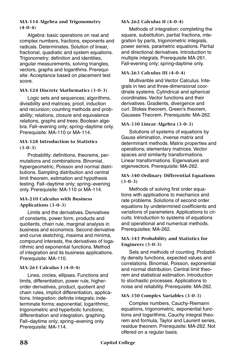## **MA-114 Algebra and Trigonometry (4-0-4)**

Algebra: basic operations on real and complex numbers, fractions, exponents and radicals. Determinates. Solution of linear, fractional, quadratic and system equations. Trigonometry: definition and identities, angular measurements, solving triangles, vectors, graphs and logarithms. Prerequisite: Acceptance based on placement test score.

## **MA-124 Discrete Mathematics (3-0-3)**

Logic sets and sequences; algorithms, divisibility and matrices; proof, induction and recursion; counting methods and probability; relations, closure and equivalence relations, graphs and trees; Boolean algebra. Fall–evening only; spring–daytime only. Prerequisite: MA-110 or MA-114.

#### **MA-128 Introduction to Statistics (3-0-3)**

Probability: definitions, theorems, permutations and combinations. Binomial, hypergeometric, Poisson and normal distributions. Sampling distribution and central limit theorem, estimation and hypothesis testing. Fall–daytime only; spring–evening only. Prerequisite: MA-110 or MA-114.

## **MA-210 Calculus with Business Applications (3-0-3)**

Limits and the derivatives. Derivatives of constants, power form, products and quotients, chain rule, marginal analysis in business and economics. Second derivative and curve sketching, maxima and minima, compound interests, the derivatives of logarithmic and exponential functions. Method of integration and its business applications. Prerequisite: MA-110.

## **MA-261 Calculus I (4-0-4)**

Lines, circles, ellipses. Functions and limits, differentiation, power rule, higherorder derivatives, product, quotient and chain rules, implicit differentiation, applications. Integration: definite integrals; indeterminate forms; exponential, logarithmic, trigonometric and hyperbolic functions; differentiation and integration, graphing. Fall–daytime only; spring–evening only. Prerequisite: MA-114.

## **MA-262 Calculus II (4-0-4)**

Methods of integration: completing the square, substitution, partial fractions, integration by parts, trigonometric integrals, power series, parametric equations. Partial and directional derivatives. Introduction to multiple integrals. Prerequisite MA-261. Fall-evening only; spring-daytime only.

#### **MA-263 Calculus III (4-0-4)**

Multivarible and Vector Calculus. Integrals in two and three-dimensional coordinate systems. Cylindrical and spherical coordinates. Vector functions and their derivatives. Gradients, divergence and curl. Stokes theorem, Green's theorem, Gausses Theorem. Prerequisite: MA-262.

#### **MA-330 Linear Algebra (3-0-3)**

Solutions of systems of equations by Gauss elimination, inverse matrix and determinant methods. Matrix properties and operations; elementary matrices. Vector spaces and similarity transformations. Linear transformations. Eigenvalues and eigenvectors. Prerequisite: MA-262.

#### **MA-340 Ordinary Differential Equations (3-0-3)**

Methods of solving first order equations with applications to mechanics and rate problems. Solutions of second order equations by undetermined coefficients and variations of parameters. Applications to circuits. Introduction to systems of equations and operational and numerical methods. Prerequisites: MA-262.

#### **MA-345 Probability and Statistics for Engineers (3-0-3)**

Sets and methods of counting. Probability density functions, expected values and correlations. Binomial, Poisson, exponential and normal distribution. Central limit theorem and statistical estimation. Introduction to stochastic processes. Applications to noise and reliability. Prerequisite: MA-262.

#### **MA-350 Complex Variables (3-0-3)**

Complex numbers, Cauchy-Riemann equations, trigonometric, exponential functions and logarithms, Cauchy integral theorem and formula, Taylor and Laurent series, residue theorem. Prerequisite: MA-262. Not offered on a regular basis.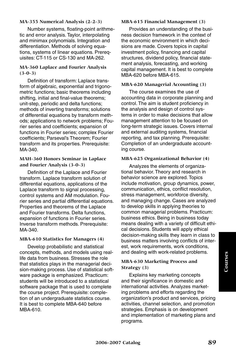#### **MA-355 Numerical Analysis (2-2-3)**

Number systems, floating-point arithmetic and error analysis. Taylor, interpolating and minimax polynomials. Integration and differentiation. Methods of solving equations, systems of linear equations. Prerequisites: CT-115 or CS-130 and MA-262.

## **MA-360 Laplace and Fourier Analysis (3-0-3)**

Definition of transform: Laplace transform of algebraic, exponential and trigonometric functions; basic theorems including shifting, initial and final-value theorems; unit-step, periodic and delta functions; methods of inverting transforms; solutions of differential equations by transform methods; applications to network problems; Fourier series and coefficients; expansion of functions in Fourier series; complex Fourier coefficients; Parseval's Theorem; Fourier transform and its properties. Prerequisite: MA-340.

#### **MAH-360 Honors Seminar in Laplace and Fourier Analysis (3-0-3)**

Definition of the Laplace and Fourier transform. Laplace transform solution of differential equations, applications of the Laplace transform to signal processing, control systems and AM modulation. Fourier series and partial differential equations. Properties and theorems of the Laplace and Fourier transforms. Delta functions, expansion of functions in Fourier series. Inverse transform methods. Prerequisite: MA-340.

## **MBA-610 Statistics for Managers (4)**

Develop probabilistic and statistical concepts, methods, and models using reallife data from business. Stresses the role that statistics plays in the managerial decision-making process. Use of statistical software package is emphasized. Practicum: students will be introduced to a statistical software package that is used to complete the course project. Prerequisite: completion of an undergraduate statistics course. It is best to complete MBA-640 before MBA-610.

#### **MBA-615 Financial Management (3)**

Provides an understanding of the business decision framework in the context of the economic environment in which decisions are made. Covers topics in capital investment policy, financing and capital structures, dividend policy, financial statement analysis, forecasting, and working capital management. It is best to complete MBA-620 before MBA-615.

## **MBA-620 Managerial Accounting (3)**

The course examines the use of accounting data in corporate planning and control. The aim is student proficiency in the analysis and design of control systems in order to make decisions that allow management attention to be focused on long-term strategic issues. Covers internal and external auditing systems, financial reporting, and tax planning. Prerequisite: Completion of an undergraduate accounting course.

#### **MBA-625 Organizational Behavior (4)**

Analyzes the elements of organizational behavior. Theory and research in behavior science are explored. Topics include motivation, group dynamics, power, communication, ethics, conflict resolution, stress management, workforce diversity, and managing change. Cases are analyzed to develop skills in applying theories to common managerial problems. Practicum: business ethics. Being in business today means dealing with a variety of difficult ethical decisions. Students will apply ethical decision-making skills they learn in class to business matters involving conflicts of interest, work requirements, work conditions, and dealing with work-related problems.

## **MBA-630 Marketing Process and Strategy (3)**

Explains key marketing concepts and their significance in domestic and international activities. Analyzes marketing problems and efforts regarding the organization's product and services, pricing activities, channel selection, and promotion strategies. Emphasis is on development and implementation of marketing plans and programs.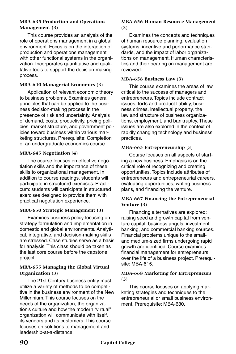#### **MBA-635 Production and Operations Management (3)**

This course provides an analysis of the role of operations management in a global environment. Focus is on the interaction of production and operations management with other functional systems in the organization. Incorporates quantitative and qualitative tools to support the decision-making process.

## **MBA-640 Managerial Economics (3)**

Application of relevant economic theory to business problems. Examines general principles that can be applied to the business decision-making process in the presence of risk and uncertainty. Analysis of demand, costs, productivity, pricing policies, market structure, and government policies toward business within various marketing structures. Prerequisite: Completion of an undergraduate economics course.

## **MBA-645 Negotiation (4)**

The course focuses on effective negotiation skills and the importance of these skills to organizational management. In addition to course readings, students will participate in structured exercises. Practicum: students will participate in structured exercises designed to provide them with practical negotiation experience.

## **MBA-650 Strategic Management (3)**

Examines business policy focusing on strategy formulation and implementation in domestic and global environments. Analytical, integrative, and decision-making skills are stressed. Case studies serve as a basis for analysis. This class should be taken as the last core course before the capstone project.

## **MBA-655 Managing the Global Virtual Organization (3)**

The 21st Century business entity must utilize a variety of methods to be competitive in the business environment of the New Millennium. This course focuses on the needs of the organization, the organization's culture and how the modern "virtual" organization will communicate with itself, its vendors and its customers. This course focuses on solutions to management and leadership-at-a-distance.

#### **MBA-656 Human Resource Management (3)**

Examines the concepts and techniques of human resource planning, evaluation systems, incentive and performance standards, and the impact of labor organizations on management. Human characteristics and their bearing on management are reviewed.

## **MBA-658 Business Law (3)**

This course examines the areas of law critical to the success of managers and entrepreneurs. Topics include contract issues, torts and product liability, business crimes, intellectual property, the law and structure of business organizations, employment, and bankruptcy. These issues are also explored in the context of rapidly changing technology and business practices.

## **MBA-665 Entrepreneurship (3)**

Course focuses on all aspects of starting a new business. Emphasis is on the critical role of recognizing and creating opportunities. Topics include attributes of entrepreneurs and entrepreneurial careers, evaluating opportunities, writing business plans, and financing the venture.

## **MBA-667 Financing the Entrepreneurial Venture (3)**

Financing alternatives are explored: raising seed and growth capital from venture capital, business angels, investment banking, and commercial banking sources. Financial problems unique to the smalland medium-sized firms undergoing rapid growth are identified. Course examines financial management for entrepreneurs over the life of a business project. Prerequisite: MBA-615.

## **MBA-668 Marketing for Entrepreneurs (3)**

This course focuses on applying marketing strategies and techniques to the entrepreneurial or small business environment. Prerequisite: MBA-630.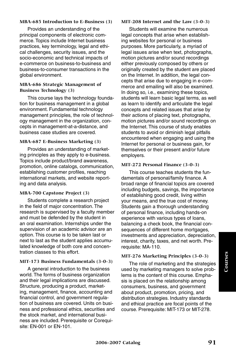#### **MBA-685 Introduction to E-Business (3)**

Provides an understanding of the principal components of electronic commerce. Topics include Internet business practices, key terminology, legal and ethical challenges, security issues, and the socio-economic and technical impacts of e-commerce on business-to-business and business-to-consumer transactions in the global environment.

#### **MBA-686 Strategic Management of Business Technology (3)**

This course lays the technology foundation for business management in a global environment. Fundamental technology management principles, the role of technology management in the organization, concepts in management-at-a-distance, and business case studies are covered.

#### **MBA-687 E-Business Marketing (3)**

Provides an understanding of marketing principles as they apply to e-business. Topics include product/brand awareness, promotion, online catalogs, communication, establishing customer profiles, reaching international markets, and website reporting and data analysis.

## **MBA-700 Capstone Project (3)**

Students complete a research project in the field of major concentration. The research is supervised by a faculty member and must be defended by the student in an oral examination. Internships under the supervision of an academic advisor are an option. This course is to be taken last or next to last as the student applies accumulated knowledge of both core and concentration classes to this effort.

## **MIT-173 Business Fundamentals (3-0-3)**

A general introduction to the business world. The forms of business organization and their legal implications are discussed. Structure, producing a product, marketing, management, finance, accounting and financial control, and government regulation of business are covered. Units on business and professional ethics, securities and the stock market, and international business are included. Prerequisite or Corequisite: EN-001 or EN-101.

#### **MIT-208 Internet and the Law (3-0-3)**

Students will examine the numerous legal concepts that arise when establishing websites for personal or business purposes. More particularly, a myriad of legal issues arise when text, photographs, motion pictures and/or sound recordings either previously composed by others or originally created by the student are placed on the Internet. In addition, the legal concepts that arise due to engaging in e-commerce and emailing will also be examined. In doing so, i.e., examining these topics, students will learn basic legal terms, as well as learn to identify and articulate the legal concepts and related issues that arise by their actions of placing text, photographs, motion pictures and/or sound recordings on the Internet. This course of study enables students to avoid or diminish legal pitfalls encountered when engaging and using the Internet for personal or business gain, for themselves or their present and/or future employers.

#### **MIT-272 Personal Finance (3-0-3)**

This course teaches students the fundamentals of personal/family finance. A broad range of financial topics are covered including budgets, savings, the importance of establishing good credit, living within your means, and the true cost of money. Students gain a thorough understanding of personal finance, including hands-on experience with various types of loans, balancing a check book, the financial consequences of different home mortgages, investments and appreciation, depreciation, interest, charity, taxes, and net worth. Prerequisite: MA-110.

#### **MIT-276 Marketing Principles (3-0-3)**

The role of marketing and the strategies used by marketing managers to solve problems is the content of this course. Emphasis is placed on the relationship among consumers, business, and government about product, promotion, pricing, and distribution strategies. Industry standards and ethical practice are focal points of the course. Prerequisite: MIT-173 or MIT-278.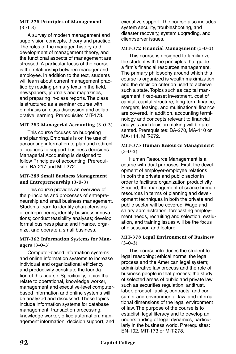## **MIT-278 Principles of Management (3-0-3)**

A survey of modern management and supervision concepts, theory and practice. The roles of the manager, history and development of management theory, and the functional aspects of management are stressed. A particular focus of the course is the relationship between manager and employee. In addition to the text, students will learn about current management practice by reading primary texts in the field, newspapers, journals and magazines, and preparing in-class reports. The class is structured as a seminar course with emphasis on class discussion and collaborative learning. Prerequisite: MIT-173.

#### **MIT-283 Managerial Accounting (3-0-3)**

This course focuses on budgeting and planning. Emphasis is on the use of accounting information to plan and redirect allocations to support business decisions. Managerial Accounting is designed to follow Principles of accounting. Prerequisite: BA-217 and MIT-272.

#### **MIT-289 Small Business Management and Entrepreneurship (3-0-3)**

This course provides an overview of the principles and processes of entrepreneurship and small business management. Students learn to identify characteristics of entrepreneurs; identify business innovations; conduct feasibility analyses; develop formal business plans; and finance, organize, and operate a small business.

## **MIT-362 Information Systems for Managers (3-0-3)**

Computer-based information systems and online information systems to increase individual and organizational efficiency and productivity constitute the foundation of this course. Specifically, topics that relate to operational, knowledge worker, management and executive-level computerbased information and online systems will be analyzed and discussed. These topics include information systems for database management, transaction processing, knowledge worker, office automation, management information, decision support, and executive support. The course also includes system security, troubleshooting, and disaster recovery, system upgrading, and client/server issues.

#### **MIT-372 Financial Management (3-0-3)**

This course is designed to familiarize the student with the principles that guide a firm's financial resources management. The primary philosophy around which this course is organized is wealth maximization and the decision criterion used to achieve such a state. Topics such as capital management, fixed-asset investment, cost of capital, capital structure, long-term finance, mergers, leasing, and multinational finance are covered. In addition, accounting terminology and concepts relevant to financial analysis and decision making will be presented. Prerequisites: BA-270, MA-110 or MA-114, MIT-272.

#### **MIT-375 Human Resource Management (3-0-3)**

Human Resource Management is a course with dual purposes. First, the development of employer-employee relations in both the private and public sector in order to facilitate organization productivity. Second, the management of scarce human resources in terms of planning and development techniques in both the private and public sector will be covered. Wage and salary administration, forecasting employment needs, recruiting and selection, evaluation, and training issues will be the focus of discussion and lecture.

#### **MIT-378 Legal Environment of Business (3-0-3)**

This course introduces the student to legal reasoning; ethical norms; the legal process and the American legal system; administrative law process and the role of business people in that process; the study of selected areas of public and private law, such as securities regulation, antitrust, labor, product liability, contracts, and consumer and environmental law; and international dimensions of the legal environment of law. The purpose of the course is to establish legal literacy and to develop an understanding of legal dynamics, particularly in the business world. Prerequisites: EN-102, MIT-173 or MIT-278.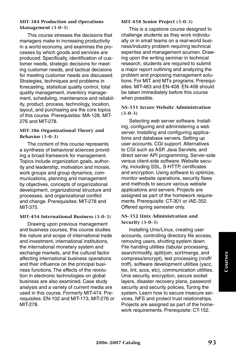#### **MIT-384 Production and Operations Management (3-0-3)**

This course stresses the decisions that managers make in increasing productivity in a world economy, and examines the processes by which goods and services are produced. Specifically, identification of customer needs, strategic decisions for meeting customer needs, and tactical decisions for meeting customer needs are discussed. Strategies, techniques and problems in forecasting, statistical quality control, total quality management, inventory management, scheduling, maintenance and reliability, product, process, technology, location, layout, and purchasing are the core topics of this course. Prerequisites: MA-128, MIT-276 and MIT-278.

#### **MIT-386 Organizational Theory and Behavior (3-0-3)**

The content of this course represents a synthesis of behavioral sciences providing a broad framework for management. Topics include organization goals, authority and leadership, motivation and morale, work groups and group dynamics, communications, planning and management by objectives, concepts of organizational development, organizational structure and processes, and organizational conflict and change. Prerequisites: MIT-278 and MIT-375.

## **MIT-454 International Business (3-0-3)**

Drawing upon previous management and business courses, this course studies the nature and scope of international trade and investment, international institutions, the international monetary system and exchange markets, and the cultural factor affecting international business operations and their influence on the principal business functions. The effects of the revolution in electronic technologies on global business are also examined. Case study analysis and a variety of current media are used in this course. Formerly MIT-474. Prerequisites: EN-102 and MIT-173, MIT-276 or MIT-278.

#### **MIT-458 Senior Project (3-0-3)**

This is a capstone course designed to challenge students as they work individually or in small teams on a real-world business/industry problem requiring technical expertise and management acumen. Drawing upon the writing seminar in technical research, students are required to submit a major report outlining and analyzing the problem and proposing management solutions. For MIT and MTs programs. Prerequisites: MIT-483 and EN-408. EN-408 should be taken immediately before this course when possible.

#### **NS-351 Secure Website Administration (3-0-3)**

Selecting web server software. Installing, configuring and administering a web server. Installing and configuring applications and database servers. Setting up user accounts. CGI support. Alternatives to CGI such as ASP, Java Servlets, and direct server API programming. Server-side versus client-side software. Website security, including SSL, S-HTTP, certificates and encryption. Using software to optimize, monitor website operations, security flaws and methods to secure various website applications and servers. Projects are assigned as part of the homework requirements. Prerequisite: CT-301 or IAE-352. Offered spring semester only.

#### **NS-352 Unix Administration and Security (3-0-3)**

Installing Unix/Linux, creating user accounts, controlling directory file access, removing users, shutting system down. File handing utilities (tabular processing, search/modify, split/join, sort/merge, and compress/encrypt), text processing (nroff/ troff), software development utilities (yacc, lex, lint, sccs, etc), communication utilities. Unix security, encryption, secure socket layers, disaster recovery plans, password security and security policies. Tuning the system. Learn how to secure insecure services, NFS and protect trust relationships. Projects are assigned as part of the homework requirements. Prerequisite: CT-152.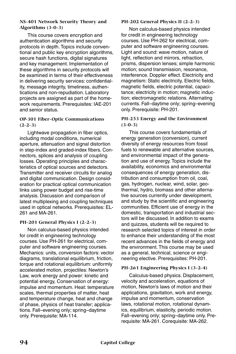#### **NS-401 Network Security Theory and Algorithms (3-0-3)**

This course covers encryption and authentication algorithms and security protocols in depth. Topics include conventional and public key encryption algorithms, secure hash functions, digital signatures and key management. Implementation of these algorithms in security protocols will be examined in terms of their effectiveness in delivering security services: confidentiality, message integrity, timeliness, authentications and non-repudiation. Laboratory projects are assigned as part of the homework requirements. Prerequisites: IAE-201 and senior status.

## **OP-301 Fiber-Optic Communications (2-2-3)**

Lightwave propagation in fiber optics, including modal conditions, numerical aperture, attenuation and signal distortion in step-index and graded-index fibers. Connectors, splices and analysis of coupling losses. Operating principles and characteristics of optical sources and detectors. Transmitter and receiver circuits for analog and digital communication. Design consideration for practical optical communication links using power budget and rise-time analysis. Discussion and comparison of latest multiplexing and coupling techniques used in optical networks. Prerequisites: EL-261 and MA-261.

## **PH-201 General Physics I (2-2-3)**

Non calculus-based physics intended for credit in engineering technology courses. Use PH-261 for electrical, computer and software engineering courses. Mechanics: units, conversion factors: vector diagrams, translational equilibrium, friction, torque and rotational equilibrium: uniformly accelerated motion, projectiles: Newton's Law, work energy and power: kinetic and potential energy, Conservation of energy: impulse and momentum. Heat: temperature scales, thermal properties of matter, heat and temperature change, heat and change of phase, physics of heat transfer; applications. Fall–evening only; spring–daytime only. Prerequisite: MA-114.

## **PH-202 General Physics II (2-2-3)**

Non calculus-based physics intended for credit in engineering technology courses. Use PH-262 for electrical, computer and software engineering courses. Light and sound: wave motion, nature of light, reflection and mirrors, refraction, prisms, dispersion lenses; simple harmonic motion; sound transmission, resonance, interference. Doppler effect. Electricity and magnetism: Static electricity, Electric fields, magnetic fields, electric potential, capacitance; electricity in motion; magnetic induction; electromagnetic relations. Alternating currents. Fall–daytime only; spring–evening only. Prerequisite: PH-201.

## **PH-253 Energy and the Environment (3-0-3)**

This course covers fundamentals of energy generation (conversion), current diversity of energy resources from fossil fuels to renewable and alternative sources, and environmental impact of the generation and use of energy. Topics include the availability, economics and environmental consequences of energy generation, distribution and consumption from oil, coal, gas, hydrogen, nuclear, wind, solar, geothermal, hydro, biomass and other alternative sources currently under development, and study by the scientific and engineering communities. Efficient use of energy in the domestic, transportation and industrial sectors will be discussed. In addition to exams and quizzes, students will be required to research selected topics of interest in order to enhance their understanding of the most recent advances in the fields of energy and the environment. This course may be used as a general, technical, science or engineering elective. Prerequisites: PH-201.

## **PH-261 Engineering Physics I (3-2-4)**

Calculus-based physics. Displacement, velocity and acceleration, equations of motion, Newton's laws of motion and their applications, gravitation, work and energy, impulse and momentum, conservation laws, rotational motion, rotational dynamics, equilibrium, elasticity, periodic motion. Fall–evening only; spring–daytime only. Prerequisite: MA-261. Corequisite: MA-262.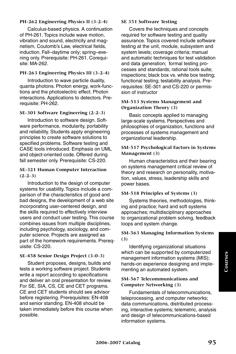## **PH-262 Engineering Physics II (3-2-4)**

Calculus-based physics. A continuation of PH-261. Topics include wave motion, vibration and sound, electricity and magnetism, Coulomb's Law, electrical fields, induction. Fall–daytime only; spring–evening only. Prerequisite: PH-261. Corequisite: MA-262.

## **PH-263 Engineering Physics III (3-2-4)**

Introduction to wave particle duality, quanta photons. Photon energy, work-functions and the photoelectric effect. Photon interactions. Applications to detectors. Prerequisite: PH-262.

## **SE-301 Software Engineering (2-2-3)**

Introduction to software design. Software performance, modularity, portability and reliability. Students apply engineering principles to create software solutions to specified problems. Software testing and CASE tools introduced. Emphasis on UML and object-oriented code. Offered during fall semester only. Prerequisite: CS-220.

## **SE-321 Human Computer Interaction (2-2-3)**

Introduction to the design of computer systems for usability. Topics include a comparison of the characteristics of good and bad designs, the development of a web site incorporating user-centered design, and the skills required to effectively interview users and conduct user testing. This course combines issues from multiple disciplines, including psychology, sociology, and computer science. Projects are assigned as part of the homework requirements. Prerequisite: CS-220.

## **SE-458 Senior Design Project (3-0-3)**

Student proposes, designs, builds and tests a working software project. Students write a report according to specifications and deliver an oral presentation for review. For SE, SIA, CS, CE and CET programs. CE and CET students should see advisor before registering. Prerequisites: EN-408 and senior standing. EN-408 should be taken immediately before this course when possible.

## **SE 351 Software Testing**

Covers the techniques and concepts required for software testing and quality assurance. Topics covered include software testing at the unit, module, subsystem and system levels; coverage criteria; manual and automatic techniques for test validation and data generation; formal testing processes and standards; rational tools suite; inspections; black box vs. white box testing; functional testing; testability analysis. Prerequisites: SE-301 and CS-220 or permission of instructor

#### **SM-513 Systems Management and Organization Theory (3)**

Basic concepts applied to managing large-scale systems. Perspectives and philosophies of organization, functions and processes of systems management and organizational leadership.

## **SM-517 Psychological Factors in Systems Management (3)**

Human characteristics and their bearing on systems management critical review of theory and research on personality, motivation, values, stress, leadership skills and power bases.

## **SM-518 Principles of Systems (3)**

Systems theories, methodologies, thinking and practice; hard and soft systems approaches; multidisciplinary approaches to organizational problem solving, feedback loops and system change.

## **SM-563 Managing Information Systems (3)**

Identifying organizational situations which can be supported by computerized management information systems (MIS); hands-on experience designing and implementing an automated system.

## **SM-567 Telecommunications and Computer Networking (3)**

Fundamentals of telecommunications, teleprocessing, and computer networks; data communications, distributed processing, interactive systems; telemetric, analysis and design of telecommunications-based information systems.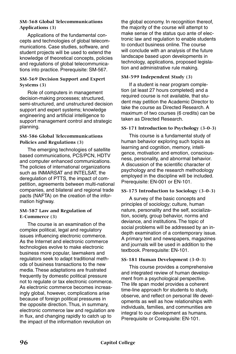### **SM-568 Global Telecommunications Applications (3)**

Applications of the fundamental concepts and technologies of global telecommunications. Case studies, software, and student projects will be used to extend the knowledge of theoretical concepts, policies and regulations of global telecommunications into practice. Prerequisite: SM-567.

## **SM-569 Decision Support and Expert Systems (3)**

Role of computers in management decision-making processes; structured, semi-structured, and unstructured decision support and expert systems; knowledge engineering and artificial intelligence to support management control and strategic planning.

#### **SM-586 Global Telecommunications Policies and Regulations (3)**

The emerging technologies of satellite based communications, PCS/PCN, HDTV and computer enhanced communications. The policies of international organizations such as INMARSAT and INTELSAT, the deregulation of PTTS, the impact of competition, agreements between multi-national companies, and bilateral and regional trade pacts (NAFTA) on the creation of the information highway.

## **SM-587 Law and Regulation of E-Commerce (3)**

The course is an examination of the complex political, legal and regulatory issues influencing electronic commerce. As the Internet and electronic commerce technologies evolve to make electronic business more popular, lawmakers and regulators seek to adapt traditional methods of business transactions to the new media. These adaptations are frustrated frequently by domestic political pressure not to regulate or tax electronic commerce. As electronic commerce becomes increasingly global, however, complications arise because of foreign political pressures in the opposite direction. Thus, in summary, electronic commerce law and regulation are in flux, and changing rapidly to catch up to the impact of the information revolution on

the global economy. In recognition thereof, the majority of the course will attempt to make sense of the status quo ante of electronic law and regulation to enable students to conduct business online. The course will conclude with an analysis of the future landscape based upon developments in technology, applications, proposed legislation and administrative rule making.

## **SM-599 Independent Study (3)**

If a student is near program completion (at least 27 hours completed) and a required course is not available, that student may petition the Academic Director to take the course as Directed Research. A maximum of two courses (6 credits) can be taken as Directed Research.

## **SS-171 Introduction to Psychology (3-0-3)**

This course is a fundamental study of human behavior exploring such topics as learning and cognition, memory, intelligence, motivation and emotion, consciousness, personality, and abnormal behavior. A discussion of the scientific character of psychology and the research methodology employed in the discipline will be included. Prerequisite: EN-001 or EN-101.

## **SS-175 Introduction to Sociology (3-0-3)**

A survey of the basic concepts and principles of sociology; culture, human nature, personality and the self, socialization, society, group behavior, norms and deviance, and institutions. The topic of social problems will be addressed by an indepth examination of a contemporary issue. A primary text and newspapers, magazines and journals will be used in addition to the textbook. Prerequisite: EN-101.

## **SS-181 Human Development (3-0-3)**

This course provides a comprehensive and integrated review of human development from a psychological perspective. The life span model provides a coherent time-line approach for students to study, observe, and reflect on personal life developments as well as how relationships with individuals, families, and communities are integral to our development as humans. Prerequisite or Corequisite: EN-101.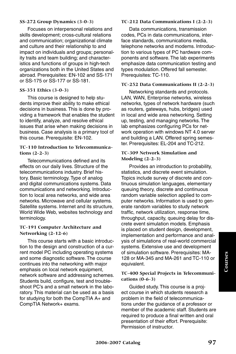#### **SS-272 Group Dynamics (3-0-3)**

Focuses on interpersonal relations and skills development; cross-cultural relations and communication; organizational climate and culture and their relationship to and impact on individuals and groups; personality traits and team building; and characteristics and functions of groups in high-tech organizations both in the United States and abroad. Prerequisites: EN-102 and SS-171 or SS-175 or SS-177 or SS-181.

#### **SS-351 Ethics (3-0-3)**

This course is designed to help students improve their ability to make ethical decisions in business. This is done by providing a framework that enables the student to identify, analyze, and resolve ethical issues that arise when making decisions in business. Case analysis is a primary tool of this course. Prerequisite: EN-102.

### **TC-110 Introduction to Telecommunications (2-2-3)**

Telecommunications defined and its effects on our daily lives. Structure of the telecommunications industry. Brief history. Basic terminology. Type of analog and digital communications systems. Data communications and networking. Introduction to local area networks, and wide area networks. Microwave and cellular systems. Satellite systems. Internet and its structure, World Wide Web, websites technology and terminology.

#### **TC-191 Computer Architecture and Networking (2-12-6)**

This course starts with a basic introduction to the design and construction of a current model PC including operating systems and some diagnostic software. The course continues into the networking with major emphasis on local network equipment, network software and addressing schemes. Students build, configure, test and troubleshoot PC's and a small network in the laboratory. This material can be used as a basis for studying for both the CompTIA A+ and CompTIA Network+ exams.

#### **TC-212 Data Communications I (2-2-3)**

Data communications, transmission codes, PCs in data communications, interface standards, communications media, telephone networks and modems. Introduction to various types of PC hardware components and software. The lab experiments emphasize data communication testing and types modulation. Offered fall semester. Prerequisites: TC-110.

## **TC-252 Data Communications II (2-2-3)**

Networking standards and protocols. LAN, WAN, Enterprise networks, wireless networks, types of network hardware (such as routers, gateways, hubs, bridges) used in local and wide area networking. Setting up, testing, and managing networks. The lab emphasizes configuring PCs for network operation with windows NT 4.0 server and building a LAN. Offered spring semester. Prerequisites: EL-204 and TC-212.

## **TC-309 Network Simulation and Modeling (2-2-3)**

Provides an introduction to probability, statistics, and discrete event simulation. Topics include survey of discrete and continuous simulation languages, elementary queuing theory, discrete and continuous random variable selection applied to computer networks. Information is used to generate random variables to study network traffic, network utilization, response time, throughput, capacity, queuing delay for discrete event simulation models. Emphasis is placed on student design, development, implementation and performance and analysis of simulations of real-world commercial systems. Extensive use and development of simulation software. Prerequisites: MA-128 or MA-345 and MA-261 and TC-110 or equivalent.

#### **TC-400 Special Projects in Telecommunications (0-6-3)**

Guided study. This course is a project course in which students research a problem in the field of telecommunications under the guidance of a professor or member of the academic staff. Students are required to produce a final written and oral presentation of their effort. Prerequisite: Permission of instructor.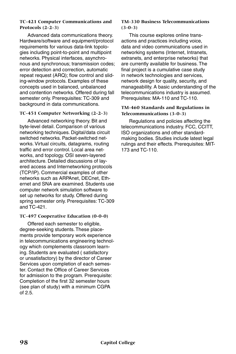#### **TC-421 Computer Communications and Protocols (2-2-3)**

Advanced data communications theory. Hardware/software and equipment/protocol requirements for various data-link topologies including point-to-point and multipoint networks. Physical interfaces, asynchronous and synchronous; transmission codes; error detection and correction, automatic repeat request (ARQ); flow control and sliding-window protocols. Examples of these concepts used in balanced, unbalanced and contention networks. Offered during fall semester only. Prerequisites: TC-309 and background in data communications.

## **TC-451 Computer Networking (2-2-3)**

Advanced networking theory. Bit and byte-level detail. Comparison of various networking techniques. Digital/data circuit switched networks. Packet-switched networks. Virtual circuits, datagrams, routing traffic and error control. Local area networks, and topology. OSI seven-layered architecture. Detailed discussions of layered access and Internetworking protocols (TCP/IP). Commercial examples of other networks such as ARPAnet, DECnet, Ethernet and SNA are examined. Students use computer network simulation software to set up networks for study. Offered during spring semester only. Prerequisites: TC-309 and TC-421.

## **TC-497 Cooperative Education (0-0-0)**

Offered each semester to eligible, degree-seeking students. These placements provide temporary work experience in telecommunications engineering technology which complements classroom learning. Students are evaluated ( satisfactory or unsatisfactory) by the director of Career Services upon completion of each semester. Contact the Office of Career Services for admission to the program. Prerequisite: Completion of the first 32 semester hours (see plan of study) with a minimum CGPA of 2.5.

#### **TM-330 Business Telecommunications (3-0-3)**

This course explores online transactions and practices including voice, data and video communications used in networking systems (Internet, Intranets, extranets, and enterprise networks) that are currently available for business. The final project is a cumulative case study in network technologies and services, network design for quality, security, and manageability. A basic understanding of the telecommunications industry is assumed. Prerequisites: MA-110 and TC-110.

## **TM-460 Standards and Regulations in Telecommunications (3-0-3)**

Regulations and policies affecting the telecommunications industry. FCC, CCITT, ISO organizations and other standardmaking bodies. Studies include latest legal rulings and their effects. Prerequisites: MIT-173 and TC-110.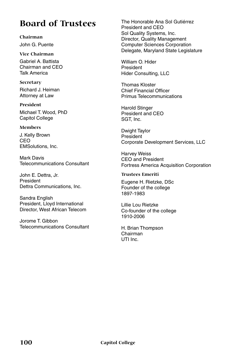# **Board of Trustees**

**Chairman** John G. Puente

**Vice Chairman** Gabriel A. Battista Chairman and CEO Talk America

**Secretary** Richard J. Heiman Attorney at Law

**President** Michael T. Wood, PhD Capitol College

## **Members**

J. Kelly Brown CEO EMSolutions, Inc.

Mark Davis Telecommunications Consultant

John E. Dettra, Jr. President Dettra Communications, Inc.

Sandra English President, Lloyd International Director, West African Telecom

Jorome T. Gibbon Telecommunications Consultant The Honorable Ana Sol Gutiérrez President and CEO Sol Quality Systems, Inc. Director, Quality Management Computer Sciences Corporation Delegate, Maryland State Legislature

William O. Hider President Hider Consulting, LLC

Thomas Kloster Chief Financial Officer Primus Telecommunications

Harold Stinger President and CEO SGT, Inc.

Dwight Taylor President Corporate Development Services, LLC

Harvey Weiss CEO and President Fortress America Acquisition Corporation

#### **Trustees Emeriti**

Eugene H. Rietzke, DSc Founder of the college 1897-1983

Lillie Lou Rietzke Co-founder of the college 1910-2006

H. Brian Thompson Chairman UTI Inc.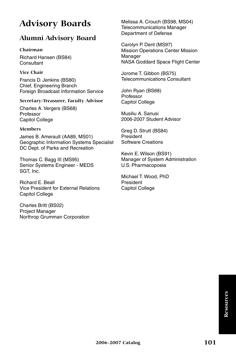# **Advisory Boards**

## **Alumni Advisory Board**

## **Chairman**

Richard Hansen (BS84) **Consultant** 

## **Vice Chair**

Francis D. Jenkins (BS80) Chief, Engineering Branch Foreign Broadcast Information Service

## **Secretary-Treasurer, Faculty Advisor**

Charles A. Vergers (BS68) Professor Capitol College

## **Members**

James B. Amerault (AA89, MS01) Geographic Information Systems Specialist DC Dept. of Parks and Recreation

Thomas C. Bagg III (MS95) Senior Systems Engineer - MEDS SGT, Inc.

Richard E. Beall Vice President for External Relations Capitol College

Charles Britt (BS02) Project Manager Northrop Grumman Corporation Melissa A. Crouch (BS98, MS04) Telecommunications Manager Department of Defense

Carolyn P. Dent (MS97) Mission Operations Center Mission Manager NASA Goddard Space Flight Center

Jorome T. Gibbon (BS75) Telecommunications Consultant

John Ryan (BS68) Professor Capitol College

Musiliu A. Sanusi 2006-2007 Student Advisor

Greg D. Strutt (BS84) President Software Creations

Kevin E. Wilson (BS91) Manager of System Administration U.S. Pharmacopoeia

Michael T. Wood, PhD President Capitol College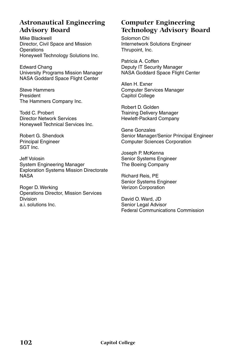## **Astronautical Engineering Advisory Board**

Mike Blackwell Director, Civil Space and Mission **Operations** Honeywell Technology Solutions Inc.

Edward Chang University Programs Mission Manager NASA Goddard Space Flight Center

Steve Hammers President The Hammers Company Inc.

Todd C. Probert Director Network Services Honeywell Technical Services Inc.

Robert G. Shendock Principal Engineer SGT Inc.

Jeff Volosin System Engineering Manager Exploration Systems Mission Directorate NASA

Roger D. Werking Operations Director, Mission Services Division a.i. solutions Inc.

## **Computer Engineering Technology Advisory Board**

Solomon Chi Internetwork Solutions Engineer Thrupoint, Inc.

Patricia A. Coffen Deputy IT Security Manager NASA Goddard Space Flight Center

Allen H. Exner Computer Services Manager Capitol College

Robert D. Golden Training Delivery Manager Hewlett-Packard Company

Gene Gonzales Senior Manager/Senior Principal Engineer Computer Sciences Corporation

Joseph P. McKenna Senior Systems Engineer The Boeing Company

Richard Reis, PE Senior Systems Engineer Verizon Corporation

David O. Ward, JD Senior Legal Advisor Federal Communications Commission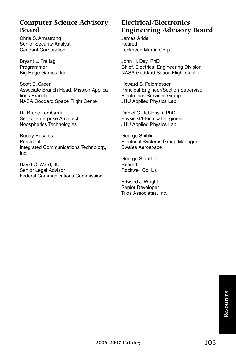## **Computer Science Advisory Board**

Chris S. Armstrong Senior Security Analyst Cendant Corporation

Bryant L. Freitag Programmer Big Huge Games, Inc.

Scott E. Green Associate Branch Head, Mission Applications Branch NASA Goddard Space Flight Center

Dr. Bruce Lombardi Senior Enterprise Architect Noospherics Technologies

Roody Rosales President Integrated Communications Technology, Inc.

David O. Ward, JD Senior Legal Advisor Federal Communications Commission

## **Electrical/Electronics Engineering Advisory Board**

James Arida Retired Lockheed Martin Corp.

John H. Day, PhD Chief, Electrical Engineering Division NASA Goddard Space Flight Center

Howard S. Feldmesser Principal Engineer/Section Supervisor Electronics Services Group JHU Applied Physics Lab

Daniel G. Jablonski, PhD Physicist/Electrical Engineer JHU Applied Physics Lab

George Shiblic Electrical Systems Group Manager Swales Aerospace

George Stauffer Retired Rockwell Collius

Edward J. Wright Senior Developer Trios Associates, Inc.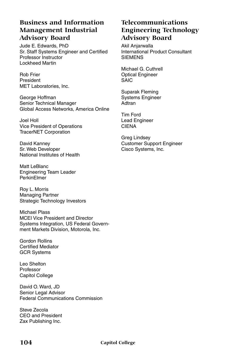## **Business and Information Management Industrial Advisory Board**

Jude E. Edwards, PhD Sr. Staff Systems Engineer and Certified Professor Instructor Lockheed Martin

Rob Frier President MET Laboratories, Inc.

George Hoffman Senior Technical Manager Global Access Networks, America Online

Joel Holl Vice President of Operations TracerNET Corporation

David Kanney Sr. Web Developer National Institutes of Health

Matt LeBlanc Engineering Team Leader PerkinElmer

Roy L. Morris Managing Partner Strategic Technology Investors

Michael Plass MCEI Vice President and Director Systems Integration, US Federal Government Markets Division, Motorola, Inc.

Gordon Rollins Certified Mediator GCR Systems

Leo Shelton Professor Capitol College

David O. Ward, JD Senior Legal Advisor Federal Communications Commission

Steve Zecola CEO and President Zax Publishing Inc.

## **Telecommunications Engineering Technology Advisory Board**

Akil Anjarwalla International Product Consultant **SIEMENS** 

Michael G. Cuthrell Optical Engineer **SAIC** 

Suparak Fleming Systems Engineer Adtran

Tim Ford Lead Engineer CIENA

Greg Lindsey Customer Support Engineer Cisco Systems, Inc.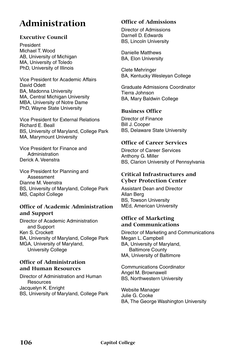# **Administration**

#### **Executive Council**

President Michael T. Wood AB, University of Michigan MA, University of Toledo PhD, University of Illinois

Vice President for Academic Affairs David Odett BA, Madonna University MA, Central Michigan University MBA, University of Notre Dame PhD, Wayne State University

Vice President for External Relations Richard E. Beall BS, University of Maryland, College Park MA, Marymount University

Vice President for Finance and Administration Derick A. Veenstra

Vice President for Planning and Assessment Dianne M. Veenstra BS, University of Maryland, College Park MS, Capitol College

#### **Office of Academic Administration and Support**

Director of Academic Administration and Support Ken S. Crockett BA, University of Maryland, College Park MGA, University of Maryland, University College

#### **Office of Administration and Human Resources**

Director of Administration and Human **Resources** Jacquelyn K. Enright BS, University of Maryland, College Park

#### **Office of Admissions**

Director of Admissions Darnell D. Edwards BS, Lincoln University

Danielle Matthews BA, Elon University

Clete Mehringer BA, Kentucky Wesleyan College

Graduate Admissions Coordinator Tierra Johnson BA, Mary Baldwin College

#### **Business Office**

Director of Finance Bill J. Cooper BS, Delaware State University

#### **Office of Career Services**

Director of Career Services Anthony G. Miller BS, Clarion University of Pennsylvania

#### **Critical Infrastructures and Cyber Protection Center**

Assistant Dean and Director Allan Berg BS, Towson University MEd, American University

#### **Office of Marketing and Communications**

Director of Marketing and Communications Megan L. Campbell BA, University of Maryland, Baltimore County MA, University of Baltimore

Communications Coordinator Angel M. Brownawell BS, Northwestern University

Website Manager Julie G. Cooke BA, The George Washington University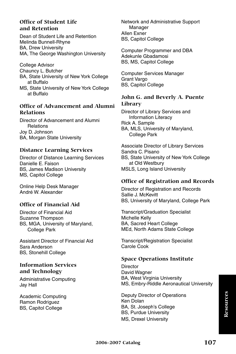#### **Office of Student Life and Retention**

Dean of Student Life and Retention Melinda Bunnell-Rhyne BA, Drew University MA, The George Washington University

College Advisor Chauncy L. Butcher BA, State University of New York College at Buffalo MS, State University of New York College at Buffalo

#### **Office of Advancement and Alumni Relations**

Director of Advancement and Alumni Relations Joy D. Johnson BA, Morgan State University

#### **Distance Learning Services**

Director of Distance Learning Services Danielle E. Faison BS, James Madison University MS, Capitol College

Online Help Desk Manager André W. Alexander

#### **Office of Financial Aid**

Director of Financial Aid Suzanne Thompson BS, MGA, University of Maryland, College Park

Assistant Director of Financial Aid Sara Anderson BS, Stonehill College

#### **Information Services and Technology**

Administrative Computing Jay Hall

Academic Computing Ramon Rodriguez BS, Capitol College

Network and Administrative Support Manager Allen Exner BS, Capitol College

Computer Programmer and DBA Adekunle Gbadamosi BS, MS, Capitol College

Computer Services Manager Grant Vargo BS, Capitol College

#### **John G. and Beverly A. Puente Library**

Director of Library Services and Information Literacy Rick A. Sample BA, MLS, University of Maryland, College Park

Associate Director of Library Services Sandra C. Pisano BS, State University of New York College at Old Westbury MSLS, Long Island University

#### **Office of Registration and Records**

Director of Registration and Records Sallie J. McKevitt BS, University of Maryland, College Park

Transcript/Graduation Specialist Michelle Kelly BA, Sacred Heart College MEd, North Adams State College

Transcript/Registration Specialist Carole Cook

#### **Space Operations Institute**

**Director** David Wagner BA, West Virginia University MS, Embry-Riddle Aeronautical University

Deputy Director of Operations Ken Dolan BA, St. Joseph's College BS, Purdue University MS, Drexel University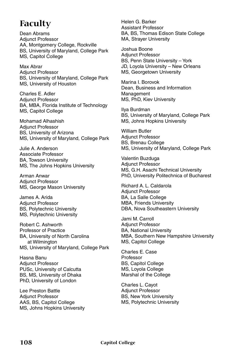# **Faculty**

Dean Abrams Adjunct Professor AA, Montgomery College, Rockville BS, University of Maryland, College Park MS, Capitol College

Max Abrar Adjunct Professor BS, University of Maryland, College Park MS, University of Houston

Charles E. Adler Adjunct Professor BA, MBA, Florida Institute of Technology MS, Capitol College

Mohamad Alhashish Adjunct Professor BS, University of Arizona MS, University of Maryland, College Park

Julie A. Anderson Associate Professor BA, Towson University MS, The Johns Hopkins University

Arman Anwar Adjunct Professor MS, George Mason University

James A. Arida Adjunct Professor BS, Polytechnic University MS, Polytechnic University

Robert C. Ashworth Professor of Practice BA, University of North Carolina at Wilmington MS, University of Maryland, College Park

Hasna Banu Adjunct Professor PUSc, University of Calcutta BS, MS, University of Dhaka PhD, University of London

Lee Preston Battle Adjunct Professor AAS, BS, Capitol College MS, Johns Hopkins University Helen G. Barker Assistant Professor BA, BS, Thomas Edison State College MA, Strayer University

Joshua Boone Adjunct Professor BS, Penn State University – York JD, Loyola University – New Orleans MS, Georgetown University

Marina I. Borovok Dean, Business and Information Management MS, PhD, Kiev University

Ilya Burdman BS, University of Maryland, College Park MS, Johns Hopkins University

William Butler Adjunct Professor BS, Brenau College MS, University of Maryland, College Park

Valentin Buzduga Adjunct Professor MS, G.H. Asachi Technical University PhD, University Politechnica of Bucharest

Richard A. L. Caldarola Adjunct Professor BA, La Salle College MBA, Friends University DBA, Nova Southeastern University

Jami M. Carroll Adjunct Professor BA, National University MBA, Southern New Hampshire University MS, Capitol College

Charles E. Case Professor BS, Capitol College MS, Loyola College Marshal of the College

Charles L. Cayot Adjunct Professor BS, New York University MS, Polytechnic University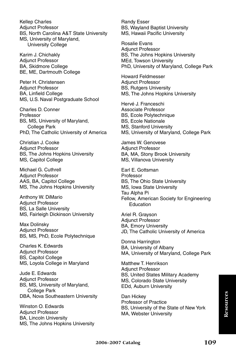Kellep Charles Adjunct Professor BS, North Carolina A&T State University MS, University of Maryland, University College

Karim J. Chichakly Adjunct Professor BA, Skidmore College BE, ME, Dartmouth College

Peter H. Christensen Adjunct Professor BA, Linfield College MS, U.S. Naval Postgraduate School

Charles D. Conner **Professor** BS, MS, University of Maryland, College Park PhD, The Catholic University of America

Christian J. Cooke Adjunct Professor BS, The Johns Hopkins University MS, Capitol College

Michael G. Cuthrell Adjunct Professor AAS, BA, Capitol College MS, The Johns Hopkins University

Anthony W. DiMario Adjunct Professor BS, La Salle University MS, Fairleigh Dickinson University

Max Dolinsky Adjunct Professor BS, MS, PhD, Ecole Polytechnique

Charles K. Edwards Adjunct Professor BS, Capitol College MS, Loyola College in Maryland

Jude E. Edwards Adjunct Professor BS, MS, University of Maryland, College Park DBA, Nova Southeastern University

Winston O. Edwards Adjunct Professor BA, Lincoln University MS, The Johns Hopkins University Randy Esser BS, Wayland Baptist University MS, Hawaii Pacific University

Rosalie Evans Adjunct Professor BS, The Johns Hopkins University MEd, Towson University PhD, University of Maryland, College Park

Howard Feldmesser Adjunct Professor BS, Rutgers University MS, The Johns Hopkins University

Hervé J. Franceschi Associate Professor BS, Ecole Polytechnique BS, Ecole Nationale MS, Stanford University MS, University of Maryland, College Park

James W. Genovese Adjunct Professor BA, MA, Stony Brook University MS, Villanova University

Earl E. Gottsman Professor BS, The Ohio State University MS, Iowa State University Tau Alpha Pi Fellow, American Society for Engineering Education

Ariel R. Grayson Adjunct Professor BA, Emory University JD, The Catholic University of America

Donna Harrington BA, University of Albany MA, University of Maryland, College Park

Matthew T. Henrikson Adjunct Professor BS, United States Military Academy MS, Colorado State University EDd, Auburn University

Dan Hickey Professor of Practice BS, University of the State of New York MA, Webster University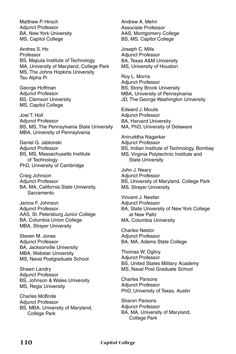Matthew P. Hirsch Adjunct Professor BA, New York University MS, Capitol College

Andres S. Ho Professor BS, Mapula Institute of Technology MA, University of Maryland, College Park MS, The Johns Hopkins University Tau Alpha Pi

George Hoffman Adjunct Professor BS, Clemson University MS, Capitol College

Joel T. Holl Adjunct Professor BS, MS, The Pennsylvania State University MBA, University of Pennsylvania

Daniel G. Jablonski Adjunct Professor BS, MS, Massachusetts Institute of Technology PhD, University of Cambridge

Craig Johnson Adjunct Professor BA, MA, California State University, **Sacramento** 

Janice F. Johnson Adjunct Professor AAS, St. Petersburg Junior College BA, Columbia Union College MBA, Strayer University

Steven M. Jones Adjunct Professor BA, Jacksonville University MBA, Webster University MS, Naval Postgraduate School

Shawn Landry Adjunct Professor BS, Johnson & Wales University MS, Regis University

Charles McBride Adjunct Professor BS, MBA, University of Maryland, College Park

Andrew A. Mehri Associate Professor AAS, Montgomery College BS, MS, Capitol College

Joseph C. Mills Adjunct Professor BA, Texas A&M University MS, University of Houston

Roy L. Morris Adjunct Professor BS, Stony Brook University MBA, University of Pennsylvania JD, The George Washington University

Edward J. Moulis Adjunct Professor BA, Harvard University MA, PhD, University of Delaware

Aniruddha Nagarkar Adjunct Professor BS, Indian Institute of Technology, Bombay MS, Virginia Polytechnic Institute and State University

John J. Neary Adjunct Professor BS, University of Maryland, College Park MS, Strayer University

Vincent J. Nestler Adjunct Professor BA, State University of New York College at New Paltz MA, Columbia University

Charles Nestor Adjunct Professor BA, MA, Adams State College

Thomas W. Ogilvy Adjunct Professor BS, United States Military Academy MS, Naval Post Graduate School

Charles Parsons Adjunct Professor PhD, University of Texas, Austin

Sharon Parsons Adjunct Professor BA, MA, University of Maryland, College Park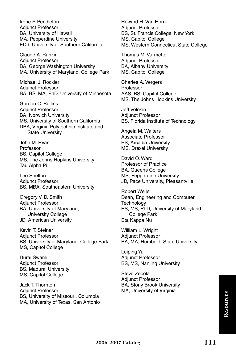Irene P. Pendleton Adjunct Professor BA, University of Hawaii MA, Pepperdine University EDd, University of Southern California

Claude A. Rankin Adjunct Professor BA, George Washington University MA, University of Maryland, College Park

Michael J. Rockler Adjunct Professor BA, BS, MA, PhD, University of Minnesota

Gordon C. Rollins Adjunct Professor BA, Norwich University MS, University of Southern California DBA, Virginia Polytechnic Institute and State University

John M. Ryan Professor BS, Capitol College MS, The Johns Hopkins University Tau Alpha Pi

Leo Shelton Adjunct Professor BS, MBA, Southeastern University

Gregory V. D. Smith Adjunct Professor BA, University of Maryland, University College JD, American University

Kevin T. Steiner Adjunct Professor BS, University of Maryland, College Park MS, Capitol College

Durai Swami Adjunct Professor BS, Madurai University MS, Capitol College

Jack T. Thornton Adjunct Professor BS, University of Missouri, Columbia MA, University of Texas, San Antonio Howard H. Van Horn Adjunct Professor BS, St. Francis College, New York MS, Capitol College MS, Western Connecticut State College

Thomas M. Varmette Adjunct Professor BA, Albany University MS, Capitol College

Charles A. Vergers Professor AAS, BS, Capitol College MS, The Johns Hopkins University

Jeff Volosin Adjunct Professor BS, Florida Institute of Technology

Angela M. Walters Associate Professor BS, Arcadia University MS, Drexel University

David O. Ward Professor of Practice BA, Queens College MS, Pepperdine University JD, Pace University, Pleasantville

Robert Weiler Dean, Engineering and Computer **Technology** BS, MS, PhD, University of Maryland, College Park Eta Kappa Nu

William L. Wright Adjunct Professor BA, MA, Humboldt State University

Leiping Yu Adjunct Professor BS, MS, Nanjing University

Steve Zecola Adjunct Professor BA, Stony Brook University MA, University of Virginia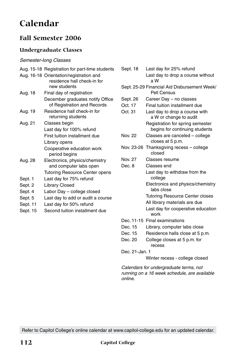# **Calendar**

## **Fall Semester 2006**

#### **Undergraduate Classes**

#### *Semester-long Classes*

|         | Aug. 15-18 Registration for part-time students                                         |
|---------|----------------------------------------------------------------------------------------|
|         | Aug. 16-18 Orientation/registration and<br>residence hall check-in for<br>new students |
| Aug. 18 | Final day of registration                                                              |
|         | December graduates notify Office<br>of Registration and Records                        |
| Aug. 19 | Residence hall check-in for<br>returning students                                      |
| Aug. 21 | Classes begin                                                                          |
|         | Last day for 100% refund                                                               |
|         | First tuition installment due                                                          |
|         | Library opens                                                                          |
|         | Cooperative education work<br>period begins                                            |
| Aug. 28 | Electronics, physics/chemistry<br>and computer labs open                               |
|         | <b>Tutoring Resource Center opens</b>                                                  |
| Sept. 1 | Last day for 75% refund                                                                |
| Sept. 2 | Library Closed                                                                         |
| Sept. 4 | Labor Day - college closed                                                             |
| Sept. 5 | Last day to add or audit a course                                                      |
|         |                                                                                        |

- Sept. 11 Last day for 50% refund
- Sept. 15 Second tuition installment due

| Sept. 18 | Last day for 25% refund                                            |
|----------|--------------------------------------------------------------------|
|          | Last day to drop a course without<br>a W                           |
|          | Sept. 25-29 Financial Aid Disbursement Week/<br>Pell Census        |
| Sept. 26 | Career Day - no classes                                            |
| Oct. 17  | Final tuition installment due                                      |
| Oct. 31  | Last day to drop a course with<br>a W or change to audit           |
|          | Registration for spring semester<br>begins for continuing students |
| Nov. 22  | Classes are canceled - college<br>closes at 5 p.m.                 |
|          | Nov. 23-26 Thanksgiving recess - college<br>closed                 |
| Nov. 27  | Classes resume                                                     |
| Dec. 8   | Classes end                                                        |
|          | Last day to withdraw from the<br>college                           |
|          | Electronics and physics/chemistry<br>labs close                    |
|          | <b>Tutoring Resource Center closes</b>                             |
|          | All library materials are due                                      |
|          | Last day for cooperative education<br>work                         |
|          | Dec. 11-15 Final examinations                                      |
| Dec. 15  | Library, computer labs close                                       |
| Dec. 15  | Residence halls close at 5 p.m.                                    |
| Dec. 20  | College closes at 5 p.m. for                                       |

Dec. 21-Jan. 1

Winter recess - college closed

*Calendars for undergraduate terms, not running on a 16 week schedule, are available online.*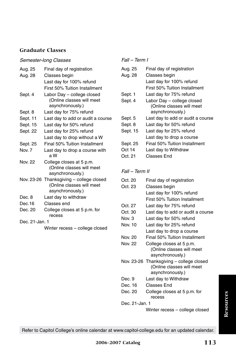#### *Semester-long Classes*

| Aug. 25        | Final day of registration                |
|----------------|------------------------------------------|
| Aug. 28        | Classes begin                            |
|                | Last day for 100% refund                 |
|                | First 50% Tuition Installment            |
| Sept. 4        | Labor Day - college closed               |
|                | (Online classes will meet                |
|                | asynchronously.)                         |
| Sept. 8        | Last day for 75% refund                  |
| Sept. 11       | Last day to add or audit a course        |
| Sept. 15       | Last day for 50% refund                  |
| Sept. 22       | Last day for 25% refund                  |
|                | Last day to drop without a W             |
| Sept. 25       | Final 50% Tuition Installment            |
| <b>Nov. 7</b>  | Last day to drop a course with<br>a W    |
| <b>Nov. 22</b> | College closes at 5 p.m.                 |
|                | (Online classes will meet                |
|                | asynchronously.)                         |
|                | Nov. 23-26 Thanksgiving - college closed |
|                | (Online classes will meet                |
|                | asynchronously.)                         |
| Dec. 8         | Last day to withdraw                     |
| Dec.16         | Classes end                              |
| Dec. 20        | College closes at 5 p.m. for<br>recess   |
| Dec. 21-Jan. 1 |                                          |
|                | Winter recess - college closed           |
|                |                                          |

#### *Fall – Term I*

| Aug. 25  | Final day of registration         |
|----------|-----------------------------------|
| Aug. 28  | Classes begin                     |
|          | Last day for 100% refund          |
|          | First 50% Tuition Installment     |
| Sept. 1  | Last day for 75% refund           |
| Sept. 4  | Labor Day - college closed        |
|          | (Online classes will meet         |
|          | asynchronously.)                  |
| Sept. 5  | Last day to add or audit a course |
| Sept. 8  | Last day for 50% refund           |
| Sept. 15 | Last day for 25% refund           |
|          | Last day to drop a course         |
| Sept. 25 | Final 50% Tuition Installment     |
| Oct 14   | Last day to Withdraw              |
| Oct. 21  | Classes End                       |

#### *Fall – Term II*

| Oct. 20        | Final day of registration                |  |
|----------------|------------------------------------------|--|
| Oct. 23        | Classes begin                            |  |
|                | Last day for 100% refund                 |  |
|                | First 50% Tuition Installment            |  |
| Oct. 27        | Last day for 75% refund                  |  |
| Oct. 30        | Last day to add or audit a course        |  |
| Nov. 3         | Last day for 50% refund                  |  |
| Nov. 10        | Last day for 25% refund                  |  |
|                | Last day to drop a course                |  |
| Nov. 20        | Final 50% Tuition Installment            |  |
| Nov 22         | College closes at 5 p.m.                 |  |
|                | (Online classes will meet                |  |
|                | asynchronously.)                         |  |
|                | Nov. 23-26 Thanksgiving – college closed |  |
|                | (Online classes will meet                |  |
|                | asynchronously.)                         |  |
| Dec. 9         | Last day to Withdraw                     |  |
| Dec. 16        | Classes End                              |  |
| Dec. 20        | College closes at 5 p.m. for             |  |
|                | recess                                   |  |
| Dec. 21-Jan. 1 |                                          |  |

Winter recess – college closed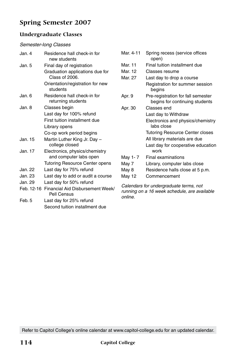## **Spring Semester 2007**

#### **Undergraduate Classes**

#### *Semester-long Classes*

| Jan. 4                                                        | Residence hall check-in for<br>new students       | Mar. 4-11                                                                              | Spring recess (service offices<br>open)                              |
|---------------------------------------------------------------|---------------------------------------------------|----------------------------------------------------------------------------------------|----------------------------------------------------------------------|
| Jan. 5                                                        | Final day of registration                         | Mar. 11                                                                                | Final tuition installment due                                        |
|                                                               | Graduation applications due for                   | Mar. 12                                                                                | Classes resume                                                       |
|                                                               | Class of 2006.                                    | Mar. 27                                                                                | Last day to drop a course                                            |
|                                                               | Orientation/registration for new<br>students      |                                                                                        | Registration for summer session<br>begins                            |
| Jan. 6                                                        | Residence hall check-in for<br>returning students | Apr. 9                                                                                 | Pre-registration for fall semester<br>begins for continuing students |
| Jan. 8                                                        | Classes begin                                     | Apr. 30                                                                                | Classes end                                                          |
|                                                               | Last day for 100% refund                          |                                                                                        | Last day to Withdraw                                                 |
|                                                               | First tuition installment due<br>Library opens    |                                                                                        | Electronics and physics/chemistry<br>labs close                      |
|                                                               | Co-op work period begins                          |                                                                                        | <b>Tutoring Resource Center closes</b>                               |
| Jan. 15                                                       | Martin Luther King Jr. Day -                      |                                                                                        | All library materials are due                                        |
|                                                               | college closed                                    |                                                                                        | Last day for cooperative education                                   |
| Jan. 17                                                       | Electronics, physics/chemistry                    |                                                                                        | work                                                                 |
|                                                               | and computer labs open                            | May 1-7                                                                                | Final examinations                                                   |
|                                                               | <b>Tutoring Resource Center opens</b>             | May 7                                                                                  | Library, computer labs close                                         |
| Jan. 22                                                       | Last day for 75% refund                           | May 8                                                                                  | Residence halls close at 5 p.m.                                      |
| Jan. 23                                                       | Last day to add or audit a course                 | May 12                                                                                 | Commencement                                                         |
| Jan. 29                                                       | Last day for 50% refund                           |                                                                                        |                                                                      |
| Financial Aid Disbursement Week/<br>Feb. 12-16<br>Pell Census |                                                   | Calendars for undergraduate terms, not<br>running on a 16 week schedule, are available |                                                                      |

Feb. 5 Last day for 25% refund Second tuition installment due *online.*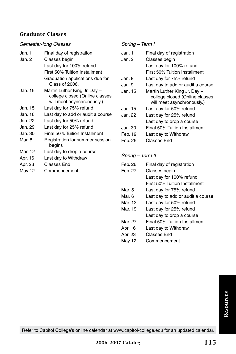#### *Semester-long Classes*

| Jan. 1  | Final day of registration                                    |
|---------|--------------------------------------------------------------|
| Jan. 2  | Classes begin                                                |
|         | Last day for 100% refund                                     |
|         | First 50% Tuition Installment                                |
|         | Graduation applications due for<br>Class of 2006.            |
| Jan. 15 | Martin Luther King Jr. Day -                                 |
|         | college closed (Online classes<br>will meet asynchronously.) |
| Jan. 15 | Last day for 75% refund                                      |
| Jan. 16 | Last day to add or audit a course                            |
| Jan. 22 | Last day for 50% refund                                      |
| Jan. 29 | Last day for 25% refund                                      |
| Jan. 30 | Final 50% Tuition Installment                                |
| Mar. 8  | Registration for summer session<br>begins                    |
| Mar. 12 | Last day to drop a course                                    |
| Apr. 16 | Last day to Withdraw                                         |
| Apr. 23 | Classes End                                                  |
| May 12  | Commencement                                                 |

#### *Spring – Term I*

| Jan. 1  | Final day of registration                                      |
|---------|----------------------------------------------------------------|
| Jan. 2  | Classes begin                                                  |
|         | Last day for 100% refund                                       |
|         | First 50% Tuition Installment                                  |
| Jan. 8  | Last day for 75% refund                                        |
| Jan. 9  | Last day to add or audit a course                              |
| Jan. 15 | Martin Luther King Jr. Day -<br>college closed (Online classes |
|         | will meet asynchronously.)                                     |
| Jan. 15 | Last day for 50% refund                                        |
| Jan. 22 | Last day for 25% refund                                        |
|         | Last day to drop a course                                      |
| Jan. 30 | Final 50% Tuition Installment                                  |
| Feb. 19 | Last day to Withdraw                                           |
| Feb. 26 | Classes End                                                    |

#### *Spring – Term II*

| Feb. 26 | Final day of registration         |
|---------|-----------------------------------|
| Feb. 27 | Classes begin                     |
|         | Last day for 100% refund          |
|         | First 50% Tuition Installment     |
| Mar. 5  | Last day for 75% refund           |
| Mar. 6  | Last day to add or audit a course |
| Mar. 12 | Last day for 50% refund           |
| Mar. 19 | Last day for 25% refund           |
|         | Last day to drop a course         |
| Mar. 27 | Final 50% Tuition Installment     |
| Apr. 16 | Last day to Withdraw              |
| Apr. 23 | Classes End                       |
| May 12  | Commencement                      |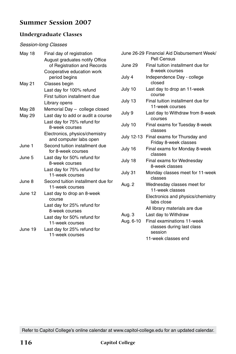### **Summer Session 2007**

#### **Undergraduate Classes**

#### *Session-long Classes*

| May 18  | Final day of registration                                | Jun        |
|---------|----------------------------------------------------------|------------|
|         | August graduates notify Office                           | Jun        |
|         | of Registration and Records                              |            |
|         | Cooperative education work                               |            |
|         | period begins                                            | July       |
| May 21  | Classes begin                                            |            |
|         | Last day for 100% refund                                 | July       |
|         | First tuition installment due                            |            |
|         | Library opens                                            | July       |
| May 28  | Memorial Day - college closed                            | July       |
| May 29  | Last day to add or audit a course                        |            |
|         | Last day for 75% refund for                              | July       |
|         | 8-week courses                                           |            |
|         | Electronics, physics/chemistry<br>and computer labs open | July       |
| June 1  | Second tuition installment due<br>for 8-week courses     | July       |
| June 5  | Last day for 50% refund for<br>8-week courses            | July       |
|         | Last day for 75% refund for<br>11-week courses           | July       |
| June 8  | Second tuition installment due for<br>11-week courses    | Aug        |
| June 12 | Last day to drop an 8-week<br>course                     |            |
|         | Last day for 25% refund for<br>8-week courses            |            |
|         | Last day for 50% refund for<br>11-week courses           | Aug<br>Aug |
| June 19 | Last day for 25% refund for<br>11-week courses           |            |
|         |                                                          |            |

|            | June 26-29 Financial Aid Disbursement Week/<br>Pell Census         |
|------------|--------------------------------------------------------------------|
| June 29    | Final tuition installment due for<br>8-week courses                |
| July 4     | Independence Day - college<br>closed                               |
| July 10    | Last day to drop an 11-week<br>course                              |
| July 13    | Final tuition installment due for<br>11-week courses               |
| July 9     | Last day to Withdraw from 8-week<br>COULSES                        |
| July 10    | Final exams for Tuesday 8-week<br>classes                          |
| July 12-13 | Final exams for Thursday and<br>Friday 8-week classes              |
| July 16    | Final exams for Monday 8-week<br>classes                           |
| July 18    | Final exams for Wednesday<br>8-week classes                        |
| July 31    | Monday classes meet for 11-week<br>classes                         |
| Aug. 2     | Wednesday classes meet for<br>11-week classes                      |
|            | Electronics and physics/chemistry<br>labs close                    |
|            | All library materials are due                                      |
| Aug. 3     | Last day to Withdraw                                               |
| Aug. 6-10  | Final examinations 11-week<br>classes during last class<br>session |
|            | 11-week classes end                                                |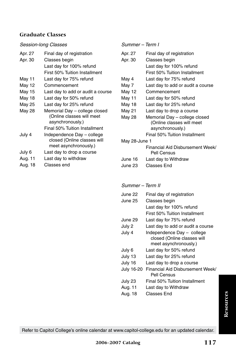#### *Session-long Classes*

| Apr. 27 | Final day of registration                                                          |
|---------|------------------------------------------------------------------------------------|
| Apr. 30 | Classes begin                                                                      |
|         | Last day for 100% refund                                                           |
|         | First 50% Tuition Installment                                                      |
| May 11  | Last day for 75% refund                                                            |
| May 12  | Commencement                                                                       |
| May 15  | Last day to add or audit a course                                                  |
| May 18  | Last day for 50% refund                                                            |
| May 25  | Last day for 25% refund                                                            |
| May 28  | Memorial Day - college closed<br>(Online classes will meet<br>asynchronously.)     |
|         | Final 50% Tuition Installment                                                      |
| July 4  | Independence Day - college<br>closed (Online classes will<br>meet asynchronously.) |
| July 6  | Last day to drop a course                                                          |
| Aug. 11 | Last day to withdraw                                                               |

Aug. 18 Classes end

#### *Summer – Term I*

| Apr. 27       | Final day of registration         |
|---------------|-----------------------------------|
| Apr. 30       | Classes begin                     |
|               | Last day for 100% refund          |
|               | First 50% Tuition Installment     |
| May 4         | Last day for 75% refund           |
| May 7         | Last day to add or audit a course |
| May 12        | Commencement                      |
| May 11        | Last day for 50% refund           |
| May 18        | Last day for 25% refund           |
| May 21        | Last day to drop a course         |
| May 28        | Memorial Day - college closed     |
|               | (Online classes will meet         |
|               | asynchronously.)                  |
|               | Final 50% Tuition Installment     |
| May 28-June 1 |                                   |
|               | Financial Aid Disbursement Week/  |
|               | Pell Census                       |

June 16 Last day to Withdraw June 23 Classes End

#### *Summer – Term II*

| June 22<br>June 25 | Final day of registration<br>Classes begin           |
|--------------------|------------------------------------------------------|
|                    | Last day for 100% refund                             |
|                    | First 50% Tuition Installment                        |
| June 29            | Last day for 75% refund                              |
| July 2             | Last day to add or audit a course                    |
| July 4             | Independence Day - college                           |
|                    | closed (Online classes will<br>meet asynchronously.) |
| July 6             | Last day for 50% refund                              |
| July 13            | Last day for 25% refund                              |
| July 16            | Last day to drop a course                            |
| July 16-20         | Financial Aid Disbursement Week/<br>Pell Census      |
| July 23            | Final 50% Tuition Installment                        |
| Aug. 11            | Last day to Withdraw                                 |
| Aug. 18            | Classes End                                          |
|                    |                                                      |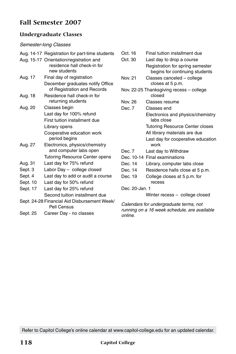### **Fall Semester 2007**

#### **Undergraduate Classes**

#### *Semester-long Classes*

|          | Aug. 14-17 Registration for part-time students |  |
|----------|------------------------------------------------|--|
|          | Aug. 15-17 Orientation/registration and        |  |
|          | residence hall check-in for                    |  |
|          | new students                                   |  |
| Aug. 17  | Final day of registration                      |  |
|          | December graduates notify Office               |  |
|          | of Registration and Records                    |  |
| Aug. 18  | Residence hall check-in for                    |  |
|          | returning students                             |  |
| Aug. 20  | Classes begin                                  |  |
|          | Last day for 100% refund                       |  |
|          | First tuition installment due                  |  |
|          | Library opens                                  |  |
|          | Cooperative education work                     |  |
|          | period begins                                  |  |
| Aug. 27  | Electronics, physics/chemistry                 |  |
|          | and computer labs open                         |  |
|          | <b>Tutoring Resource Center opens</b>          |  |
| Aug. 31  | Last day for 75% refund                        |  |
| Sept. 3  | Labor Day - college closed                     |  |
| Sept. 4  | Last day to add or audit a course              |  |
| Sept. 10 | Last day for 50% refund                        |  |
| Sept. 17 | Last day for 25% refund                        |  |
|          | Second tuition installment due                 |  |
|          | Sept. 24-28 Financial Aid Disbursement Week/   |  |
|          | Pell Census                                    |  |

Sept. 25 Career Day - no classes

Oct. 16 Final tuition installment due Oct. 30 Last day to drop a course Registration for spring semester begins for continuing students Nov. 21 Classes canceled – college closes at 5 p.m. Nov. 22-25 Thanksgiving recess – college closed Nov. 26 Classes resume Dec. 7 Classes end Electronics and physics/chemistry labs close Tutoring Resource Center closes All library materials are due Last day for cooperative education work Dec. 7 Last day to Withdraw Dec. 10-14 Final examinations Dec. 14 Library, computer labs close Dec. 14 Residence halls close at 5 p.m. Dec. 19 College closes at 5 p.m. for recess Dec. 20-Jan. 1 Winter recess – college closed

*Calendars for undergraduate terms, not running on a 16 week schedule, are available online.*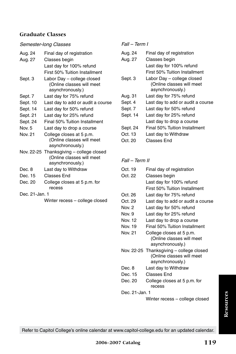#### *Semester-long Classes*

| Aug. 24  | Final day of registration                                             |
|----------|-----------------------------------------------------------------------|
| Aug. 27  | Classes begin                                                         |
|          | Last day for 100% refund                                              |
|          | First 50% Tuition Installment                                         |
| Sept. 3  | Labor Day - college closed                                            |
|          | (Online classes will meet<br>asynchronously.)                         |
| Sept. 7  | Last day for 75% refund                                               |
| Sept. 10 | Last day to add or audit a course                                     |
| Sept. 14 | Last day for 50% refund                                               |
| Sept. 21 | Last day for 25% refund                                               |
| Sept. 24 | Final 50% Tuition Installment                                         |
| Nov. 5   | Last day to drop a course                                             |
| Nov. 21  | College closes at 5 p.m.                                              |
|          | (Online classes will meet<br>asynchronously.)                         |
|          | Nov. 22-25 Thanksgiving - college closed<br>(Online classes will meet |
|          | asynchronously.)                                                      |
| Dec. 8   | Last day to Withdraw                                                  |
| Dec. 15  | <b>Classes End</b>                                                    |
| Dec. 20  | College closes at 5 p.m. for                                          |
|          | recess                                                                |

Dec. 21-Jan. 1

Winter recess – college closed

#### *Fall – Term I*

| Aug. 24  | Final day of registration         |
|----------|-----------------------------------|
| Aug. 27  | Classes begin                     |
|          | Last day for 100% refund          |
|          | First 50% Tuition Installment     |
| Sept. 3  | Labor Day - college closed        |
|          | (Online classes will meet         |
|          | asynchronously.)                  |
| Aug. 31  | Last day for 75% refund           |
| Sept. 4  | Last day to add or audit a course |
| Sept. 7  | Last day for 50% refund           |
| Sept. 14 | Last day for 25% refund           |
|          | Last day to drop a course         |
| Sept. 24 | Final 50% Tuition Installment     |
| Oct. 13  | Last day to Withdraw              |
| Oct. 20  | Classes Fnd                       |

#### *Fall – Term II*

| Oct. 19        | Final day of registration                |
|----------------|------------------------------------------|
| Oct. 22        | Classes begin                            |
|                | Last day for 100% refund                 |
|                | First 50% Tuition Installment            |
| Oct. 26        | Last day for 75% refund                  |
| Oct. 29        | Last day to add or audit a course        |
| Nov. 2         | Last day for 50% refund                  |
| Nov. 9         | Last day for 25% refund                  |
| Nov. 12        | Last day to drop a course                |
| Nov. 19        | Final 50% Tuition Installment            |
| Nov. 21        | College closes at 5 p.m.                 |
|                | (Online classes will meet                |
|                | asynchronously.)                         |
|                | Nov. 22-25 Thanksgiving – college closed |
|                | (Online classes will meet                |
|                | asynchronously.)                         |
| Dec. 8         | Last day to Withdraw                     |
| Dec. 15        | Classes End                              |
| Dec. 20        | College closes at 5 p.m. for             |
|                | recess                                   |
| Dec. 21-Jan. 1 |                                          |

Winter recess – college closed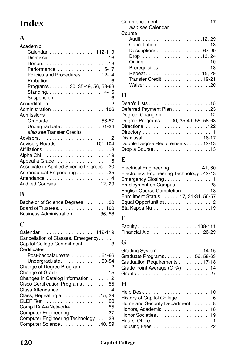# **Index**

### **A**

| Academic                                  |
|-------------------------------------------|
| Calendar  112-119                         |
|                                           |
|                                           |
| Performance  15-17                        |
| Policies and Procedures  12-14            |
|                                           |
| Programs 30, 35-49, 56, 58-63             |
|                                           |
|                                           |
|                                           |
| Administration  106                       |
| Admissions                                |
| Graduate 56-57                            |
| Undergraduate31-34                        |
| also see Transfer Credits                 |
|                                           |
| Advisory Boards 101-104                   |
| Affiliations 8                            |
|                                           |
| Appeal a Grade  15                        |
| Associate in Applied Science Degrees . 30 |
| Astronautical Engineering 35              |
| Attendance 14                             |
| Audited Courses 12, 29                    |

# **B**

| Bachelor of Science Degrees 30 |  |
|--------------------------------|--|
| Board of Trustees. 100         |  |
| Business Administration 36, 58 |  |

# **C**

| Commencement 17<br>also see Calendar |
|--------------------------------------|
| Course                               |
|                                      |
| Cancellation 13                      |
| Descriptions 67-99                   |
| Drop13, 24                           |
| Online  10                           |
|                                      |
| Repeat 15, 29                        |
| Transfer Credit 19-21                |
|                                      |
|                                      |

# **D**

| Deferred Payment Plan 23              |
|---------------------------------------|
| Degree, Change of 12                  |
| Degree Programs  30, 35-49, 56, 58-63 |
|                                       |
|                                       |
|                                       |
| Double Degree Requirements 12-13      |
| Drop a Course13                       |

# **E**

| Electrical Engineering 41, 60             |  |
|-------------------------------------------|--|
| Electronics Engineering Technology. 42-43 |  |
| Emergency Closing1                        |  |
| Employment on Campus28                    |  |
| English Course Completion13               |  |
| Enrollment Status 17, 31-34, 56-57        |  |
| Equal Opportunities. 2                    |  |
|                                           |  |
|                                           |  |

# **F**

| Financial Aid 26-29 |  |  |  |  |  |  |  |  |  |  |
|---------------------|--|--|--|--|--|--|--|--|--|--|

# **G**

| Grading System  14-15         |  |
|-------------------------------|--|
| Graduate Programs 56, 58-63   |  |
| Graduation Requirements 17-18 |  |
| Grade Point Average (GPA) 14  |  |
|                               |  |

# **H**

| History of Capitol College  6  |  |
|--------------------------------|--|
| Homeland Security Department 8 |  |
| Honors, Academic 18            |  |
| Honor Societies 19             |  |
|                                |  |
| Housing Fees  22               |  |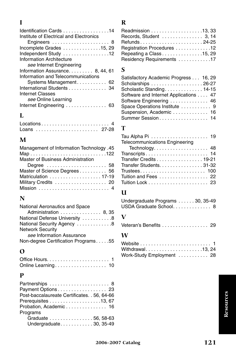# **I**

| Identification Cards 14<br>Institute of Electrical and Electronics |  |
|--------------------------------------------------------------------|--|
| Engineers  8                                                       |  |
| Incomplete Grades 15, 29                                           |  |
| Independent Study 12                                               |  |
| Information Architecture                                           |  |
| see Internet Engineering                                           |  |
| Information Assurance. 8, 44, 61                                   |  |
| Information and Telecommunications                                 |  |
| Systems Management. 62                                             |  |
|                                                                    |  |
| International Students 34                                          |  |
| Internet Classes                                                   |  |
| see Online Learning                                                |  |
| Internet Engineering  63                                           |  |

# **L**

| Loans  27-28 |  |  |  |  |  |  |  |  |  |  |  |  |  |  |
|--------------|--|--|--|--|--|--|--|--|--|--|--|--|--|--|

# **M**

| Management of Information Technology .45 |
|------------------------------------------|
|                                          |
| Master of Business Administration        |
| Degree  58                               |
| Master of Science Degrees 56             |
| Matriculation  17-19                     |
| Military Credits  20                     |
|                                          |

# **N**

| National Aeronautics and Space      |
|-------------------------------------|
| Administration  8, 35               |
| National Defense University 8       |
| National Security Agency  8         |
| <b>Network Security</b>             |
| see Information Assurance           |
| Non-degree Certification Programs55 |

# **O**

| Online Learning 10 |  |  |  |  |  |  |  |  |  |  |
|--------------------|--|--|--|--|--|--|--|--|--|--|

### **P**

| Partnerships  8                              |
|----------------------------------------------|
| Payment Options 23                           |
| Post-baccalaureate Certificates. . 56, 64-66 |
| Prerequisites 13, 67                         |
| Probation, Academic 16                       |
| Programs                                     |
| Graduate 56, 58-63                           |
| Undergraduate 30, 35-49                      |
|                                              |

# **R**

| Readmission 13, 33         |
|----------------------------|
| Records, Student 3, 14     |
|                            |
| Registration Procedures 12 |
| Repeating a Class 15, 29   |
| Residency Requirements 17  |
|                            |

# **S**

| Satisfactory Academic Progress 16, 29 |  |
|---------------------------------------|--|
| Scholarships 26-27                    |  |
| Scholastic Standing 14-15             |  |
| Software and Internet Applications 47 |  |
| Software Engineering  46              |  |
| Space Operations Institute  9         |  |
| Suspension, Academic  16              |  |
| Summer Session 14                     |  |

# **T**

| <b>Telecommunications Engineering</b> |
|---------------------------------------|
|                                       |
| Transcripts 14                        |
| Transfer Credits 19-21                |
| Transfer Students. 31-32              |
|                                       |
| Tuition and Fees 22                   |
|                                       |

# **U**

| Undergraduate Programs 30, 35-49 |  |  |  |  |  |
|----------------------------------|--|--|--|--|--|
| USDA Graduate School 8           |  |  |  |  |  |

# **V**<br>Vei

| Veteran's Benefits 29 |  |  |  |  |  |  |  |  |  |  |  |  |  |  |  |  |  |  |
|-----------------------|--|--|--|--|--|--|--|--|--|--|--|--|--|--|--|--|--|--|
|-----------------------|--|--|--|--|--|--|--|--|--|--|--|--|--|--|--|--|--|--|

# **W**

| Withdrawal13, 24          |  |  |  |  |  |  |
|---------------------------|--|--|--|--|--|--|
| Work-Study Employment  28 |  |  |  |  |  |  |